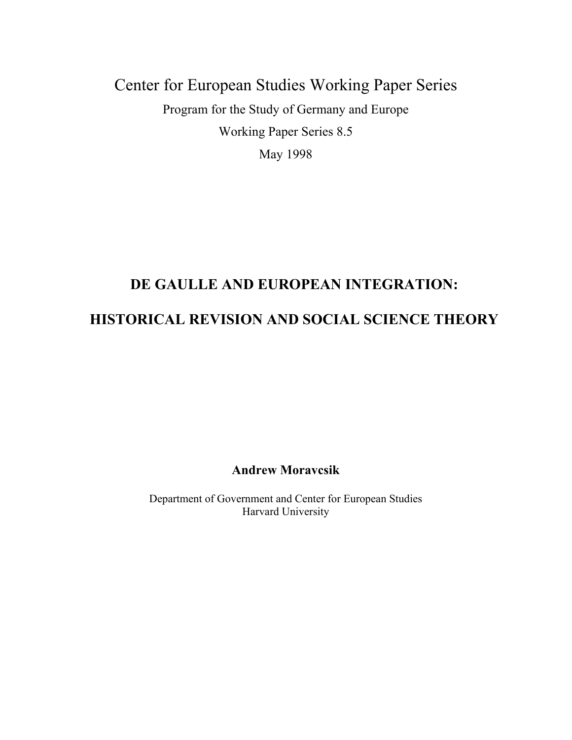# Center for European Studies Working Paper Series Program for the Study of Germany and Europe Working Paper Series 8.5 May 1998

## **DE GAULLE AND EUROPEAN INTEGRATION:**

### **HISTORICAL REVISION AND SOCIAL SCIENCE THEORY**

**Andrew Moravcsik** 

Department of Government and Center for European Studies Harvard University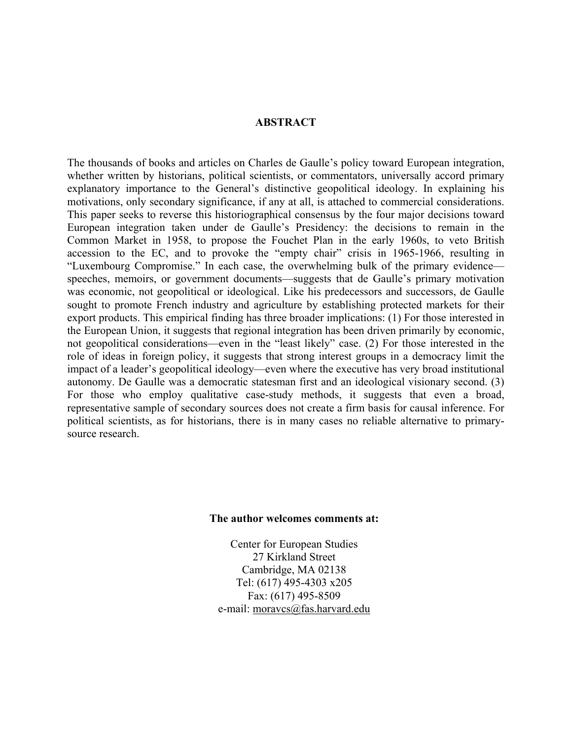#### **ABSTRACT**

The thousands of books and articles on Charles de Gaulle's policy toward European integration, whether written by historians, political scientists, or commentators, universally accord primary explanatory importance to the General's distinctive geopolitical ideology. In explaining his motivations, only secondary significance, if any at all, is attached to commercial considerations. This paper seeks to reverse this historiographical consensus by the four major decisions toward European integration taken under de Gaulle's Presidency: the decisions to remain in the Common Market in 1958, to propose the Fouchet Plan in the early 1960s, to veto British accession to the EC, and to provoke the "empty chair" crisis in 1965-1966, resulting in "Luxembourg Compromise." In each case, the overwhelming bulk of the primary evidence speeches, memoirs, or government documents—suggests that de Gaulle's primary motivation was economic, not geopolitical or ideological. Like his predecessors and successors, de Gaulle sought to promote French industry and agriculture by establishing protected markets for their export products. This empirical finding has three broader implications: (1) For those interested in the European Union, it suggests that regional integration has been driven primarily by economic, not geopolitical considerations—even in the "least likely" case. (2) For those interested in the role of ideas in foreign policy, it suggests that strong interest groups in a democracy limit the impact of a leader's geopolitical ideology—even where the executive has very broad institutional autonomy. De Gaulle was a democratic statesman first and an ideological visionary second. (3) For those who employ qualitative case-study methods, it suggests that even a broad, representative sample of secondary sources does not create a firm basis for causal inference. For political scientists, as for historians, there is in many cases no reliable alternative to primarysource research.

#### **The author welcomes comments at:**

Center for European Studies 27 Kirkland Street Cambridge, MA 02138 Tel: (617) 495-4303 x205 Fax: (617) 495-8509 e-mail: moravcs@fas.harvard.edu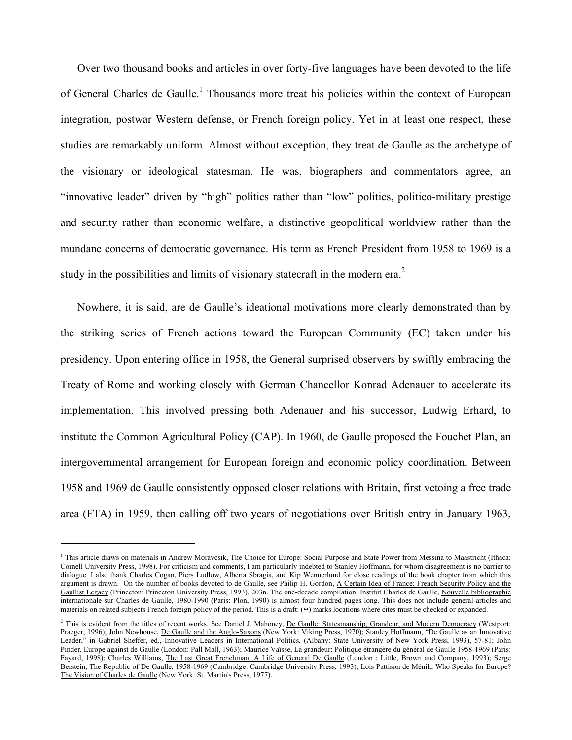Over two thousand books and articles in over forty-five languages have been devoted to the life of General Charles de Gaulle.<sup>1</sup> Thousands more treat his policies within the context of European integration, postwar Western defense, or French foreign policy. Yet in at least one respect, these studies are remarkably uniform. Almost without exception, they treat de Gaulle as the archetype of the visionary or ideological statesman. He was, biographers and commentators agree, an "innovative leader" driven by "high" politics rather than "low" politics, politico-military prestige and security rather than economic welfare, a distinctive geopolitical worldview rather than the mundane concerns of democratic governance. His term as French President from 1958 to 1969 is a study in the possibilities and limits of visionary statecraft in the modern era.<sup>2</sup>

Nowhere, it is said, are de Gaulle's ideational motivations more clearly demonstrated than by the striking series of French actions toward the European Community (EC) taken under his presidency. Upon entering office in 1958, the General surprised observers by swiftly embracing the Treaty of Rome and working closely with German Chancellor Konrad Adenauer to accelerate its implementation. This involved pressing both Adenauer and his successor, Ludwig Erhard, to institute the Common Agricultural Policy (CAP). In 1960, de Gaulle proposed the Fouchet Plan, an intergovernmental arrangement for European foreign and economic policy coordination. Between 1958 and 1969 de Gaulle consistently opposed closer relations with Britain, first vetoing a free trade area (FTA) in 1959, then calling off two years of negotiations over British entry in January 1963,

<sup>&</sup>lt;sup>1</sup> This article draws on materials in Andrew Moravcsik, The Choice for Europe: Social Purpose and State Power from Messina to Maastricht (Ithaca: Cornell University Press, 1998). For criticism and comments, I am particularly indebted to Stanley Hoffmann, for whom disagreement is no barrier to dialogue. I also thank Charles Cogan, Piers Ludlow, Alberta Sbragia, and Kip Wennerlund for close readings of the book chapter from which this argument is drawn. On the number of books devoted to de Gaulle, see Philip H. Gordon, A Certain Idea of France: French Security Policy and the Gaullist Legacy (Princeton: Princeton University Press, 1993), 203n. The one-decade compilation, Institut Charles de Gaulle, Nouvelle bibliographie internationale sur Charles de Gaulle, 1980-1990 (Paris: Plon, 1990) is almost four hundred pages long. This does not include general articles and materials on related subjects French foreign policy of the period. This is a draft: (••) marks locations where cites must be checked or expanded.

<sup>&</sup>lt;sup>2</sup> This is evident from the titles of recent works. See Daniel J. Mahoney, <u>De Gaulle: Statesmanship, Grandeur, and Modern Democracy</u> (Westport: Praeger, 1996); John Newhouse, <u>De Gaulle and the Anglo-Saxons</u> (New York: Viking Press, 1970); Stanley Hoffmann, "De Gaulle as an Innovative Leader," in Gabriel Sheffer, ed., Innovative Leaders in International Politics, (Albany: State University of New York Press, 1993), 57-81; John Pinder, Europe against de Gaulle (London: Pall Mall, 1963); Maurice Vaïsse, La grandeur: Politique étrangère du général de Gaulle 1958-1969 (Paris: Fayard, 1998); Charles Williams, The Last Great Frenchman: A Life of General De Gaulle (London : Little, Brown and Company, 1993); Serge Berstein, The Republic of De Gaulle, 1958-1969 (Cambridge: Cambridge University Press, 1993); Lois Pattison de Ménil,, Who Speaks for Europe? The Vision of Charles de Gaulle (New York: St. Martin's Press, 1977).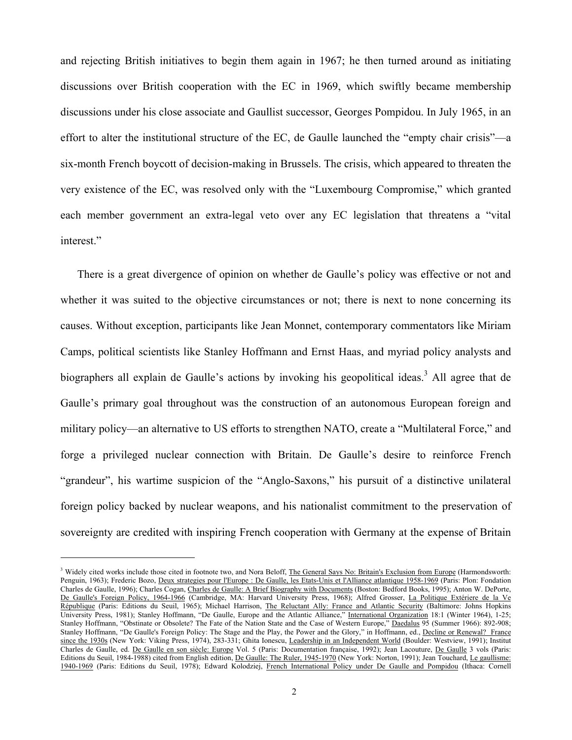and rejecting British initiatives to begin them again in 1967; he then turned around as initiating discussions over British cooperation with the EC in 1969, which swiftly became membership discussions under his close associate and Gaullist successor, Georges Pompidou. In July 1965, in an effort to alter the institutional structure of the EC, de Gaulle launched the "empty chair crisis"—a six-month French boycott of decision-making in Brussels. The crisis, which appeared to threaten the very existence of the EC, was resolved only with the "Luxembourg Compromise," which granted each member government an extra-legal veto over any EC legislation that threatens a "vital interest."

There is a great divergence of opinion on whether de Gaulle's policy was effective or not and whether it was suited to the objective circumstances or not; there is next to none concerning its causes. Without exception, participants like Jean Monnet, contemporary commentators like Miriam Camps, political scientists like Stanley Hoffmann and Ernst Haas, and myriad policy analysts and biographers all explain de Gaulle's actions by invoking his geopolitical ideas.<sup>3</sup> All agree that de Gaulle's primary goal throughout was the construction of an autonomous European foreign and military policy—an alternative to US efforts to strengthen NATO, create a "Multilateral Force," and forge a privileged nuclear connection with Britain. De Gaulle's desire to reinforce French "grandeur", his wartime suspicion of the "Anglo-Saxons," his pursuit of a distinctive unilateral foreign policy backed by nuclear weapons, and his nationalist commitment to the preservation of sovereignty are credited with inspiring French cooperation with Germany at the expense of Britain

<sup>&</sup>lt;sup>3</sup> Widely cited works include those cited in footnote two, and Nora Beloff, The General Says No: Britain's Exclusion from Europe (Harmondsworth: Penguin, 1963); Frederic Bozo, Deux strategies pour l'Europe : De Gaulle, les Etats-Unis et l'Alliance atlantique 1958-1969 (Paris: Plon: Fondation Charles de Gaulle, 1996); Charles Cogan, Charles de Gaulle: A Brief Biography with Documents (Boston: Bedford Books, 1995); Anton W. DePorte, De Gaulle's Foreign Policy, 1964-1966 (Cambridge, MA: Harvard University Press, 1968); Alfred Grosser, La Politique Extériere de la Ve République (Paris: Editions du Seuil, 1965); Michael Harrison, The Reluctant Ally: France and Atlantic Security (Baltimore: Johns Hopkins University Press, 1981); Stanley Hoffmann, "De Gaulle, Europe and the Atlantic Alliance," International Organization 18:1 (Winter 1964), 1-25; Stanley Hoffmann, "Obstinate or Obsolete? The Fate of the Nation State and the Case of Western Europe," Daedalus 95 (Summer 1966): 892-908; Stanley Hoffmann, "De Gaulle's Foreign Policy: The Stage and the Play, the Power and the Glory," in Hoffmann, ed., Decline or Renewal? France since the 1930s (New York: Viking Press, 1974), 283-331; Ghita Ionescu, Leadership in an Independent World (Boulder: Westview, 1991); Institut Charles de Gaulle, ed. De Gaulle en son siècle: Europe Vol. 5 (Paris: Documentation française, 1992); Jean Lacouture, De Gaulle 3 vols (Paris: Editions du Seuil, 1984-1988) cited from English edition, De Gaulle: The Ruler, 1945-1970 (New York: Norton, 1991); Jean Touchard, Le gaullisme: 1940-1969 (Paris: Editions du Seuil, 1978); Edward Kolodziej, French International Policy under De Gaulle and Pompidou (Ithaca: Cornell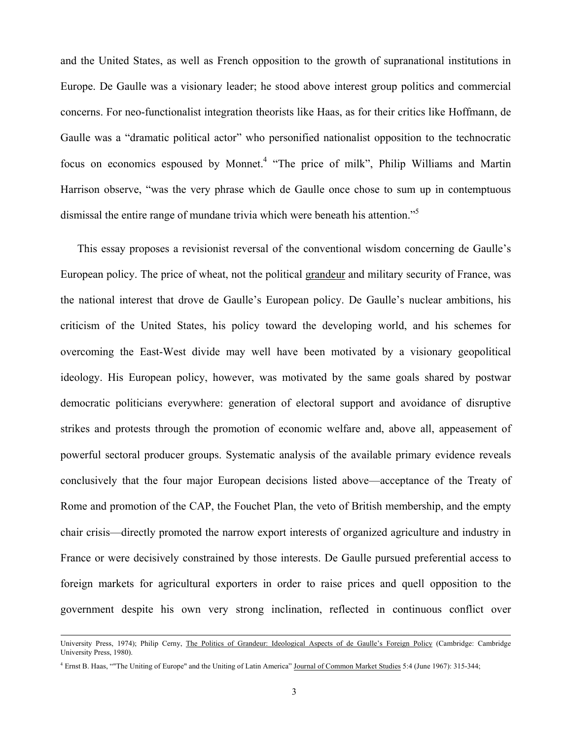and the United States, as well as French opposition to the growth of supranational institutions in Europe. De Gaulle was a visionary leader; he stood above interest group politics and commercial concerns. For neo-functionalist integration theorists like Haas, as for their critics like Hoffmann, de Gaulle was a "dramatic political actor" who personified nationalist opposition to the technocratic focus on economics espoused by Monnet.<sup>4</sup> "The price of milk", Philip Williams and Martin Harrison observe, "was the very phrase which de Gaulle once chose to sum up in contemptuous dismissal the entire range of mundane trivia which were beneath his attention."<sup>5</sup>

This essay proposes a revisionist reversal of the conventional wisdom concerning de Gaulle's European policy. The price of wheat, not the political grandeur and military security of France, was the national interest that drove de Gaulle's European policy. De Gaulle's nuclear ambitions, his criticism of the United States, his policy toward the developing world, and his schemes for overcoming the East-West divide may well have been motivated by a visionary geopolitical ideology. His European policy, however, was motivated by the same goals shared by postwar democratic politicians everywhere: generation of electoral support and avoidance of disruptive strikes and protests through the promotion of economic welfare and, above all, appeasement of powerful sectoral producer groups. Systematic analysis of the available primary evidence reveals conclusively that the four major European decisions listed above—acceptance of the Treaty of Rome and promotion of the CAP, the Fouchet Plan, the veto of British membership, and the empty chair crisis—directly promoted the narrow export interests of organized agriculture and industry in France or were decisively constrained by those interests. De Gaulle pursued preferential access to foreign markets for agricultural exporters in order to raise prices and quell opposition to the government despite his own very strong inclination, reflected in continuous conflict over

University Press, 1974); Philip Cerny, The Politics of Grandeur: Ideological Aspects of de Gaulle's Foreign Policy (Cambridge: Cambridge University Press, 1980).

<sup>&</sup>lt;sup>4</sup> Ernst B. Haas, ""The Uniting of Europe" and the Uniting of Latin America" Journal of Common Market Studies 5:4 (June 1967): 315-344;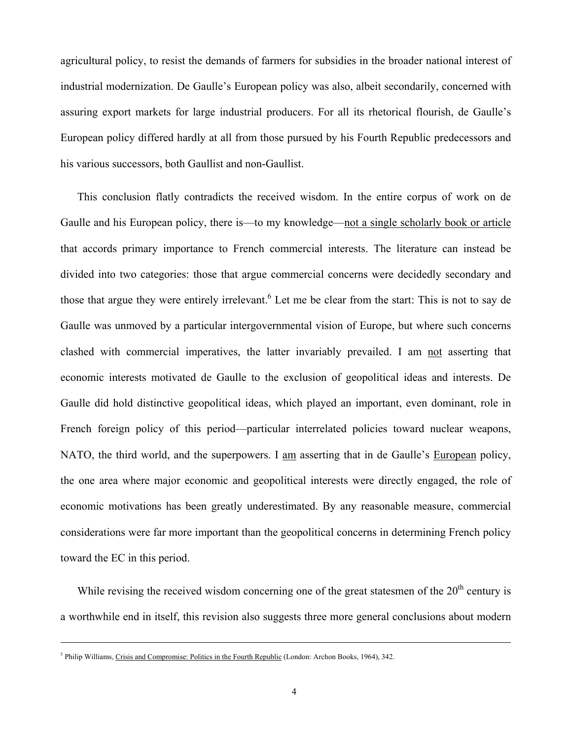agricultural policy, to resist the demands of farmers for subsidies in the broader national interest of industrial modernization. De Gaulle's European policy was also, albeit secondarily, concerned with assuring export markets for large industrial producers. For all its rhetorical flourish, de Gaulle's European policy differed hardly at all from those pursued by his Fourth Republic predecessors and his various successors, both Gaullist and non-Gaullist.

This conclusion flatly contradicts the received wisdom. In the entire corpus of work on de Gaulle and his European policy, there is—to my knowledge—not a single scholarly book or article that accords primary importance to French commercial interests. The literature can instead be divided into two categories: those that argue commercial concerns were decidedly secondary and those that argue they were entirely irrelevant.<sup>6</sup> Let me be clear from the start: This is not to say de Gaulle was unmoved by a particular intergovernmental vision of Europe, but where such concerns clashed with commercial imperatives, the latter invariably prevailed. I am not asserting that economic interests motivated de Gaulle to the exclusion of geopolitical ideas and interests. De Gaulle did hold distinctive geopolitical ideas, which played an important, even dominant, role in French foreign policy of this period—particular interrelated policies toward nuclear weapons, NATO, the third world, and the superpowers. I am asserting that in de Gaulle's European policy, the one area where major economic and geopolitical interests were directly engaged, the role of economic motivations has been greatly underestimated. By any reasonable measure, commercial considerations were far more important than the geopolitical concerns in determining French policy toward the EC in this period.

While revising the received wisdom concerning one of the great statesmen of the  $20<sup>th</sup>$  century is a worthwhile end in itself, this revision also suggests three more general conclusions about modern

-

<sup>&</sup>lt;sup>5</sup> Philip Williams, Crisis and Compromise: Politics in the Fourth Republic (London: Archon Books, 1964), 342.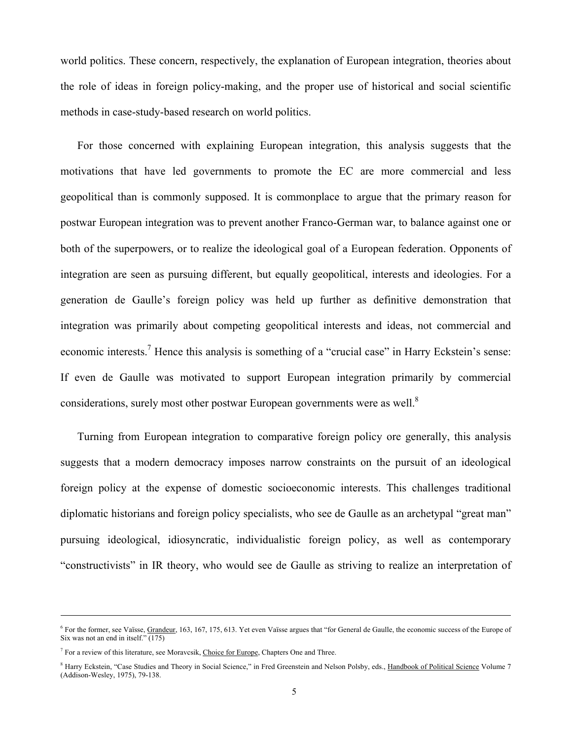world politics. These concern, respectively, the explanation of European integration, theories about the role of ideas in foreign policy-making, and the proper use of historical and social scientific methods in case-study-based research on world politics.

For those concerned with explaining European integration, this analysis suggests that the motivations that have led governments to promote the EC are more commercial and less geopolitical than is commonly supposed. It is commonplace to argue that the primary reason for postwar European integration was to prevent another Franco-German war, to balance against one or both of the superpowers, or to realize the ideological goal of a European federation. Opponents of integration are seen as pursuing different, but equally geopolitical, interests and ideologies. For a generation de Gaulle's foreign policy was held up further as definitive demonstration that integration was primarily about competing geopolitical interests and ideas, not commercial and economic interests.<sup>7</sup> Hence this analysis is something of a "crucial case" in Harry Eckstein's sense: If even de Gaulle was motivated to support European integration primarily by commercial considerations, surely most other postwar European governments were as well.<sup>8</sup>

Turning from European integration to comparative foreign policy ore generally, this analysis suggests that a modern democracy imposes narrow constraints on the pursuit of an ideological foreign policy at the expense of domestic socioeconomic interests. This challenges traditional diplomatic historians and foreign policy specialists, who see de Gaulle as an archetypal "great man" pursuing ideological, idiosyncratic, individualistic foreign policy, as well as contemporary "constructivists" in IR theory, who would see de Gaulle as striving to realize an interpretation of

-

<sup>&</sup>lt;sup>6</sup> For the former, see Vaïsse, Grandeur, 163, 167, 175, 613. Yet even Vaïsse argues that "for General de Gaulle, the economic success of the Europe of Six was not an end in itself." $(175)$ 

<sup>&</sup>lt;sup>7</sup> For a review of this literature, see Moravcsik, Choice for Europe, Chapters One and Three.

<sup>&</sup>lt;sup>8</sup> Harry Eckstein, "Case Studies and Theory in Social Science," in Fred Greenstein and Nelson Polsby, eds., Handbook of Political Science Volume 7 (Addison-Wesley, 1975), 79-138.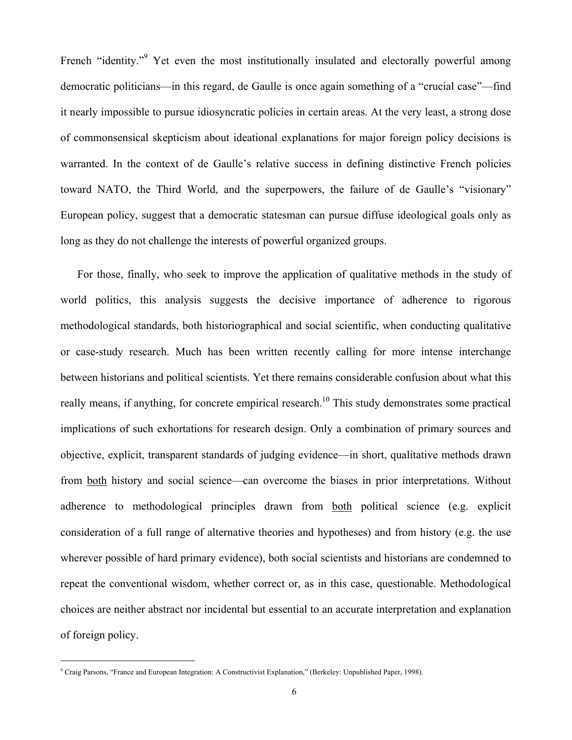French "identity." Yet even the most institutionally insulated and electorally powerful among democratic politicians—in this regard, de Gaulle is once again something of a "crucial case"—find it nearly impossible to pursue idiosyncratic policies in certain areas. At the very least, a strong dose of commonsensical skepticism about ideational explanations for major foreign policy decisions is warranted. In the context of de Gaulle's relative success in defining distinctive French policies toward NATO, the Third World, and the superpowers, the failure of de Gaulle's "visionary" European policy, suggest that a democratic statesman can pursue diffuse ideological goals only as long as they do not challenge the interests of powerful organized groups.

For those, finally, who seek to improve the application of qualitative methods in the study of world politics, this analysis suggests the decisive importance of adherence to rigorous methodological standards, both historiographical and social scientific, when conducting qualitative or case-study research. Much has been written recently calling for more intense interchange between historians and political scientists. Yet there remains considerable confusion about what this really means, if anything, for concrete empirical research.<sup>10</sup> This study demonstrates some practical implications of such exhortations for research design. Only a combination of primary sources and objective, explicit, transparent standards of judging evidence—in short, qualitative methods drawn from both history and social science—can overcome the biases in prior interpretations. Without adherence to methodological principles drawn from both political science (e.g. explicit consideration of a full range of alternative theories and hypotheses) and from history (e.g. the use wherever possible of hard primary evidence), both social scientists and historians are condemned to repeat the conventional wisdom, whether correct or, as in this case, questionable. Methodological choices are neither abstract nor incidental but essential to an accurate interpretation and explanation of foreign policy.

<sup>9</sup> Craig Parsons, "France and European Integration: A Constructivist Explanation," (Berkeley: Unpublished Paper, 1998).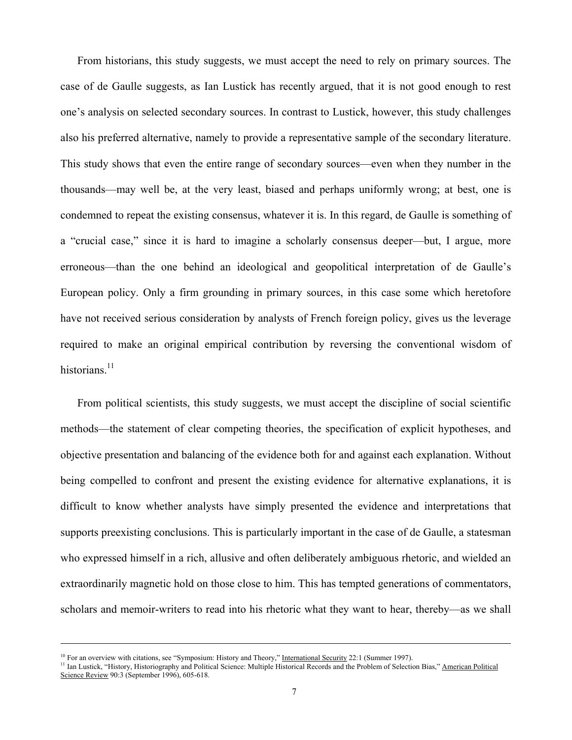From historians, this study suggests, we must accept the need to rely on primary sources. The case of de Gaulle suggests, as Ian Lustick has recently argued, that it is not good enough to rest one's analysis on selected secondary sources. In contrast to Lustick, however, this study challenges also his preferred alternative, namely to provide a representative sample of the secondary literature. This study shows that even the entire range of secondary sources—even when they number in the thousands—may well be, at the very least, biased and perhaps uniformly wrong; at best, one is condemned to repeat the existing consensus, whatever it is. In this regard, de Gaulle is something of a "crucial case," since it is hard to imagine a scholarly consensus deeper—but, I argue, more erroneous—than the one behind an ideological and geopolitical interpretation of de Gaulle's European policy. Only a firm grounding in primary sources, in this case some which heretofore have not received serious consideration by analysts of French foreign policy, gives us the leverage required to make an original empirical contribution by reversing the conventional wisdom of historians.<sup>11</sup>

From political scientists, this study suggests, we must accept the discipline of social scientific methods—the statement of clear competing theories, the specification of explicit hypotheses, and objective presentation and balancing of the evidence both for and against each explanation. Without being compelled to confront and present the existing evidence for alternative explanations, it is difficult to know whether analysts have simply presented the evidence and interpretations that supports preexisting conclusions. This is particularly important in the case of de Gaulle, a statesman who expressed himself in a rich, allusive and often deliberately ambiguous rhetoric, and wielded an extraordinarily magnetic hold on those close to him. This has tempted generations of commentators, scholars and memoir-writers to read into his rhetoric what they want to hear, thereby—as we shall

-

<sup>&</sup>lt;sup>10</sup> For an overview with citations, see "Symposium: History and Theory," <u>International Security</u> 22:1 (Summer 1997).<br><sup>11</sup> Ian Lustick, "History, Historiography and Political Science: Multiple Historical Records and the P Science Review 90:3 (September 1996), 605-618.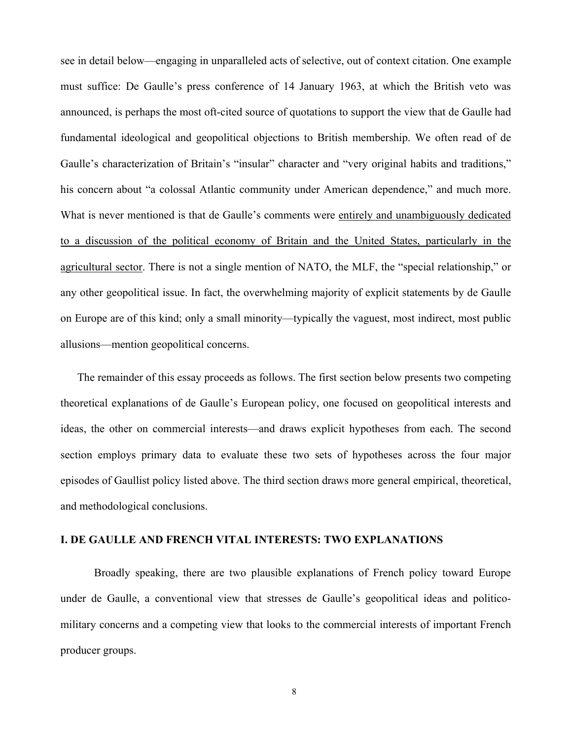see in detail below—engaging in unparalleled acts of selective, out of context citation. One example must suffice: De Gaulle's press conference of 14 January 1963, at which the British veto was announced, is perhaps the most oft-cited source of quotations to support the view that de Gaulle had fundamental ideological and geopolitical objections to British membership. We often read of de Gaulle's characterization of Britain's "insular" character and "very original habits and traditions," his concern about "a colossal Atlantic community under American dependence," and much more. What is never mentioned is that de Gaulle's comments were entirely and unambiguously dedicated to a discussion of the political economy of Britain and the United States, particularly in the agricultural sector. There is not a single mention of NATO, the MLF, the "special relationship," or any other geopolitical issue. In fact, the overwhelming majority of explicit statements by de Gaulle on Europe are of this kind; only a small minority—typically the vaguest, most indirect, most public allusions—mention geopolitical concerns.

The remainder of this essay proceeds as follows. The first section below presents two competing theoretical explanations of de Gaulle's European policy, one focused on geopolitical interests and ideas, the other on commercial interests—and draws explicit hypotheses from each. The second section employs primary data to evaluate these two sets of hypotheses across the four major episodes of Gaullist policy listed above. The third section draws more general empirical, theoretical, and methodological conclusions.

#### **I. DE GAULLE AND FRENCH VITAL INTERESTS: TWO EXPLANATIONS**

Broadly speaking, there are two plausible explanations of French policy toward Europe under de Gaulle, a conventional view that stresses de Gaulle's geopolitical ideas and politicomilitary concerns and a competing view that looks to the commercial interests of important French producer groups.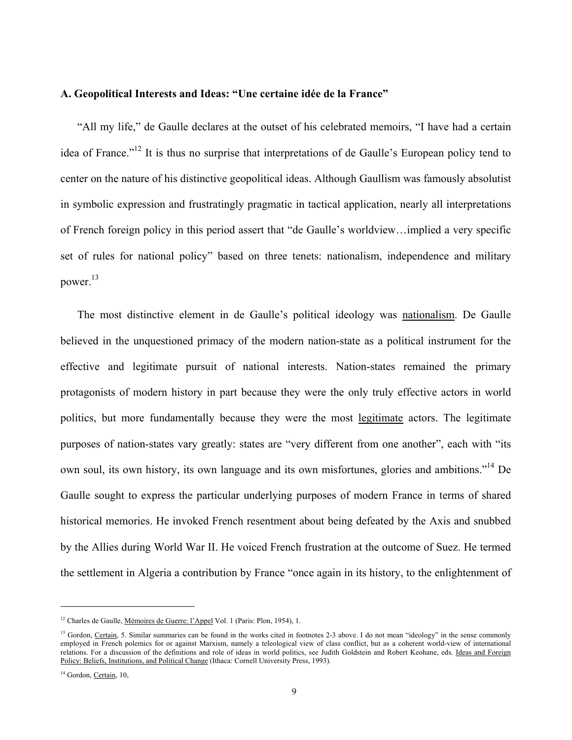#### **A. Geopolitical Interests and Ideas: "Une certaine idée de la France"**

"All my life," de Gaulle declares at the outset of his celebrated memoirs, "I have had a certain idea of France."<sup>12</sup> It is thus no surprise that interpretations of de Gaulle's European policy tend to center on the nature of his distinctive geopolitical ideas. Although Gaullism was famously absolutist in symbolic expression and frustratingly pragmatic in tactical application, nearly all interpretations of French foreign policy in this period assert that "de Gaulle's worldview…implied a very specific set of rules for national policy" based on three tenets: nationalism, independence and military power.13

The most distinctive element in de Gaulle's political ideology was nationalism. De Gaulle believed in the unquestioned primacy of the modern nation-state as a political instrument for the effective and legitimate pursuit of national interests. Nation-states remained the primary protagonists of modern history in part because they were the only truly effective actors in world politics, but more fundamentally because they were the most legitimate actors. The legitimate purposes of nation-states vary greatly: states are "very different from one another", each with "its own soul, its own history, its own language and its own misfortunes, glories and ambitions."14 De Gaulle sought to express the particular underlying purposes of modern France in terms of shared historical memories. He invoked French resentment about being defeated by the Axis and snubbed by the Allies during World War II. He voiced French frustration at the outcome of Suez. He termed the settlement in Algeria a contribution by France "once again in its history, to the enlightenment of

<sup>&</sup>lt;sup>12</sup> Charles de Gaulle, Mémoires de Guerre: l'Appel Vol. 1 (Paris: Plon, 1954), 1.

<sup>&</sup>lt;sup>13</sup> Gordon, Certain, 5. Similar summaries can be found in the works cited in footnotes 2-3 above. I do not mean "ideology" in the sense commonly employed in French polemics for or against Marxism, namely a teleological view of class conflict, but as a coherent world-view of international relations. For a discussion of the definitions and role of ideas in world politics, see Judith Goldstein and Robert Keohane, eds. Ideas and Foreign Policy: Beliefs, Institutions, and Political Change (Ithaca: Cornell University Press, 1993).

<sup>&</sup>lt;sup>14</sup> Gordon, Certain, 10,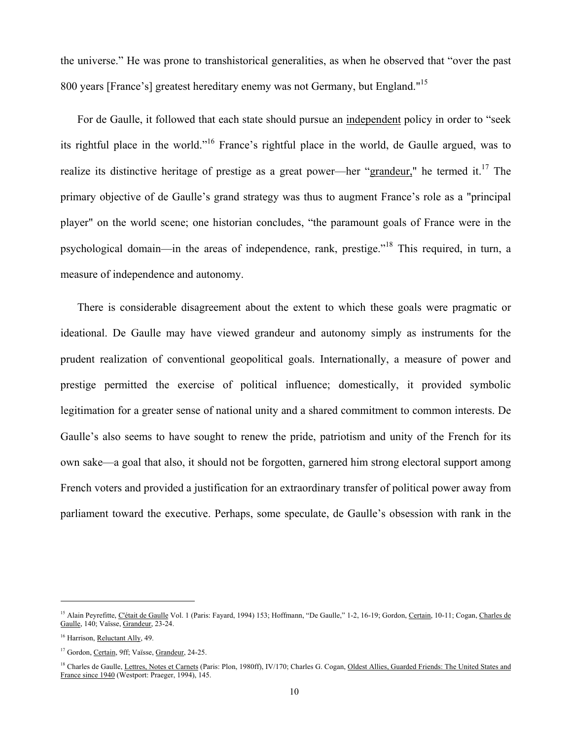the universe." He was prone to transhistorical generalities, as when he observed that "over the past 800 years [France's] greatest hereditary enemy was not Germany, but England."<sup>15</sup>

For de Gaulle, it followed that each state should pursue an independent policy in order to "seek its rightful place in the world."16 France's rightful place in the world, de Gaulle argued, was to realize its distinctive heritage of prestige as a great power—her "grandeur," he termed it.<sup>17</sup> The primary objective of de Gaulle's grand strategy was thus to augment France's role as a "principal player" on the world scene; one historian concludes, "the paramount goals of France were in the psychological domain—in the areas of independence, rank, prestige."18 This required, in turn, a measure of independence and autonomy.

There is considerable disagreement about the extent to which these goals were pragmatic or ideational. De Gaulle may have viewed grandeur and autonomy simply as instruments for the prudent realization of conventional geopolitical goals. Internationally, a measure of power and prestige permitted the exercise of political influence; domestically, it provided symbolic legitimation for a greater sense of national unity and a shared commitment to common interests. De Gaulle's also seems to have sought to renew the pride, patriotism and unity of the French for its own sake—a goal that also, it should not be forgotten, garnered him strong electoral support among French voters and provided a justification for an extraordinary transfer of political power away from parliament toward the executive. Perhaps, some speculate, de Gaulle's obsession with rank in the

<sup>&</sup>lt;sup>15</sup> Alain Peyrefitte, C'était de Gaulle Vol. 1 (Paris: Fayard, 1994) 153; Hoffmann, "De Gaulle," 1-2, 16-19; Gordon, Certain, 10-11; Cogan, Charles de Gaulle, 140; Vaïsse, Grandeur, 23-24.

<sup>&</sup>lt;sup>16</sup> Harrison, Reluctant Ally, 49.

<sup>&</sup>lt;sup>17</sup> Gordon, Certain, 9ff; Vaïsse, Grandeur, 24-25.

<sup>&</sup>lt;sup>18</sup> Charles de Gaulle, Lettres, Notes et Carnets (Paris: Plon, 1980ff), IV/170; Charles G. Cogan, Oldest Allies, Guarded Friends: The United States and France since 1940 (Westport: Praeger, 1994), 145.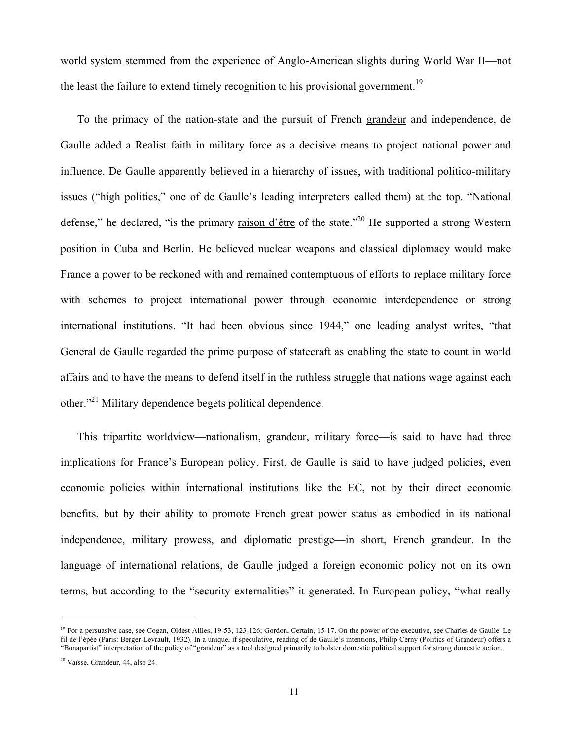world system stemmed from the experience of Anglo-American slights during World War II—not the least the failure to extend timely recognition to his provisional government.<sup>19</sup>

To the primacy of the nation-state and the pursuit of French grandeur and independence, de Gaulle added a Realist faith in military force as a decisive means to project national power and influence. De Gaulle apparently believed in a hierarchy of issues, with traditional politico-military issues ("high politics," one of de Gaulle's leading interpreters called them) at the top. "National defense," he declared, "is the primary raison d'être of the state."<sup>20</sup> He supported a strong Western position in Cuba and Berlin. He believed nuclear weapons and classical diplomacy would make France a power to be reckoned with and remained contemptuous of efforts to replace military force with schemes to project international power through economic interdependence or strong international institutions. "It had been obvious since 1944," one leading analyst writes, "that General de Gaulle regarded the prime purpose of statecraft as enabling the state to count in world affairs and to have the means to defend itself in the ruthless struggle that nations wage against each other."21 Military dependence begets political dependence.

This tripartite worldview—nationalism, grandeur, military force—is said to have had three implications for France's European policy. First, de Gaulle is said to have judged policies, even economic policies within international institutions like the EC, not by their direct economic benefits, but by their ability to promote French great power status as embodied in its national independence, military prowess, and diplomatic prestige—in short, French grandeur. In the language of international relations, de Gaulle judged a foreign economic policy not on its own terms, but according to the "security externalities" it generated. In European policy, "what really

<sup>&</sup>lt;sup>19</sup> For a persuasive case, see Cogan, Oldest Allies, 19-53, 123-126; Gordon, Certain, 15-17. On the power of the executive, see Charles de Gaulle, Le fil de l'épée (Paris: Berger-Levrault, 1932). In a unique, if speculative, reading of de Gaulle's intentions, Philip Cerny (Politics of Grandeur) offers a "Bonapartist" interpretation of the policy of "grandeur" as a tool designed primarily to bolster domestic political support for strong domestic action.

<sup>&</sup>lt;sup>20</sup> Vaïsse, Grandeur, 44, also 24.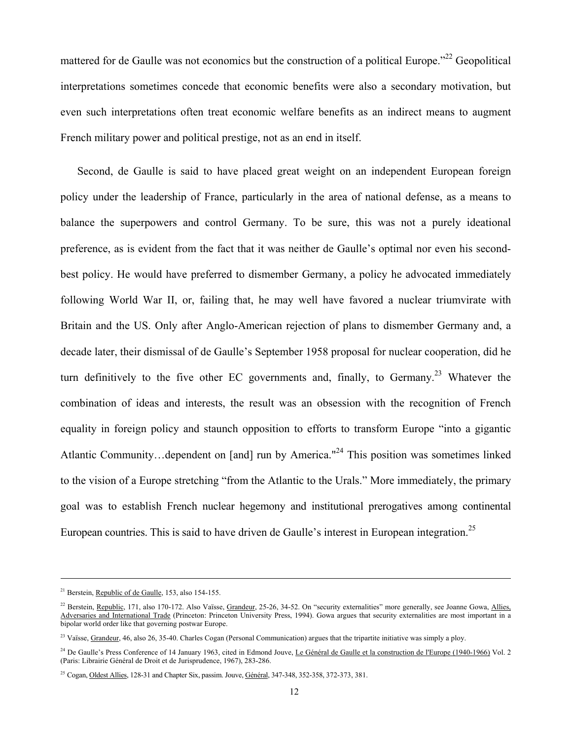mattered for de Gaulle was not economics but the construction of a political Europe.<sup>22</sup> Geopolitical interpretations sometimes concede that economic benefits were also a secondary motivation, but even such interpretations often treat economic welfare benefits as an indirect means to augment French military power and political prestige, not as an end in itself.

Second, de Gaulle is said to have placed great weight on an independent European foreign policy under the leadership of France, particularly in the area of national defense, as a means to balance the superpowers and control Germany. To be sure, this was not a purely ideational preference, as is evident from the fact that it was neither de Gaulle's optimal nor even his secondbest policy. He would have preferred to dismember Germany, a policy he advocated immediately following World War II, or, failing that, he may well have favored a nuclear triumvirate with Britain and the US. Only after Anglo-American rejection of plans to dismember Germany and, a decade later, their dismissal of de Gaulle's September 1958 proposal for nuclear cooperation, did he turn definitively to the five other EC governments and, finally, to Germany.<sup>23</sup> Whatever the combination of ideas and interests, the result was an obsession with the recognition of French equality in foreign policy and staunch opposition to efforts to transform Europe "into a gigantic Atlantic Community…dependent on [and] run by America."<sup>24</sup> This position was sometimes linked to the vision of a Europe stretching "from the Atlantic to the Urals." More immediately, the primary goal was to establish French nuclear hegemony and institutional prerogatives among continental European countries. This is said to have driven de Gaulle's interest in European integration.<sup>25</sup>

-

<sup>21</sup> Berstein, Republic of de Gaulle, 153, also 154-155.

<sup>&</sup>lt;sup>22</sup> Berstein, Republic, 171, also 170-172. Also Vaïsse, Grandeur, 25-26, 34-52. On "security externalities" more generally, see Joanne Gowa, Allies, Adversaries and International Trade (Princeton: Princeton University Press, 1994). Gowa argues that security externalities are most important in a bipolar world order like that governing postwar Europe.

<sup>&</sup>lt;sup>23</sup> Vaïsse, Grandeur, 46, also 26, 35-40. Charles Cogan (Personal Communication) argues that the tripartite initiative was simply a ploy.

<sup>&</sup>lt;sup>24</sup> De Gaulle's Press Conference of 14 January 1963, cited in Edmond Jouve, Le Général de Gaulle et la construction de l'Europe (1940-1966) Vol. 2 (Paris: Librairie Général de Droit et de Jurisprudence, 1967), 283-286.

<sup>&</sup>lt;sup>25</sup> Cogan, Oldest Allies, 128-31 and Chapter Six, passim. Jouve, Général, 347-348, 352-358, 372-373, 381.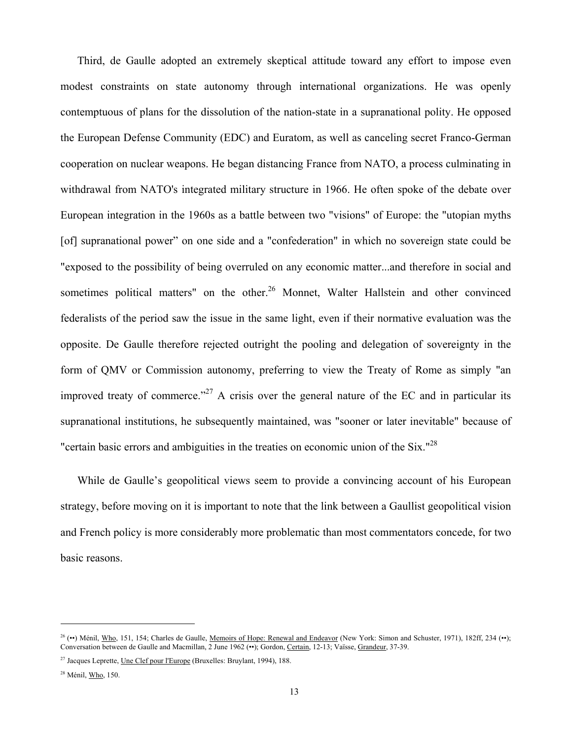Third, de Gaulle adopted an extremely skeptical attitude toward any effort to impose even modest constraints on state autonomy through international organizations. He was openly contemptuous of plans for the dissolution of the nation-state in a supranational polity. He opposed the European Defense Community (EDC) and Euratom, as well as canceling secret Franco-German cooperation on nuclear weapons. He began distancing France from NATO, a process culminating in withdrawal from NATO's integrated military structure in 1966. He often spoke of the debate over European integration in the 1960s as a battle between two "visions" of Europe: the "utopian myths [of] supranational power" on one side and a "confederation" in which no sovereign state could be "exposed to the possibility of being overruled on any economic matter...and therefore in social and sometimes political matters" on the other.<sup>26</sup> Monnet, Walter Hallstein and other convinced federalists of the period saw the issue in the same light, even if their normative evaluation was the opposite. De Gaulle therefore rejected outright the pooling and delegation of sovereignty in the form of QMV or Commission autonomy, preferring to view the Treaty of Rome as simply "an improved treaty of commerce."<sup>27</sup> A crisis over the general nature of the EC and in particular its supranational institutions, he subsequently maintained, was "sooner or later inevitable" because of "certain basic errors and ambiguities in the treaties on economic union of the Six."<sup>28</sup>

While de Gaulle's geopolitical views seem to provide a convincing account of his European strategy, before moving on it is important to note that the link between a Gaullist geopolitical vision and French policy is more considerably more problematic than most commentators concede, for two basic reasons.

<sup>&</sup>lt;sup>26</sup> (••) Ménil, Who, 151, 154; Charles de Gaulle, <u>Memoirs of Hope: Renewal and Endeavor</u> (New York: Simon and Schuster, 1971), 182ff, 234 (••); Conversation between de Gaulle and Macmillan, 2 June 1962 (••); Gordon, Certain, 12-13; Vaïsse, Grandeur, 37-39.

<sup>27</sup> Jacques Leprette, Une Clef pour l'Europe (Bruxelles: Bruylant, 1994), 188.

<sup>28</sup> Ménil, Who, 150.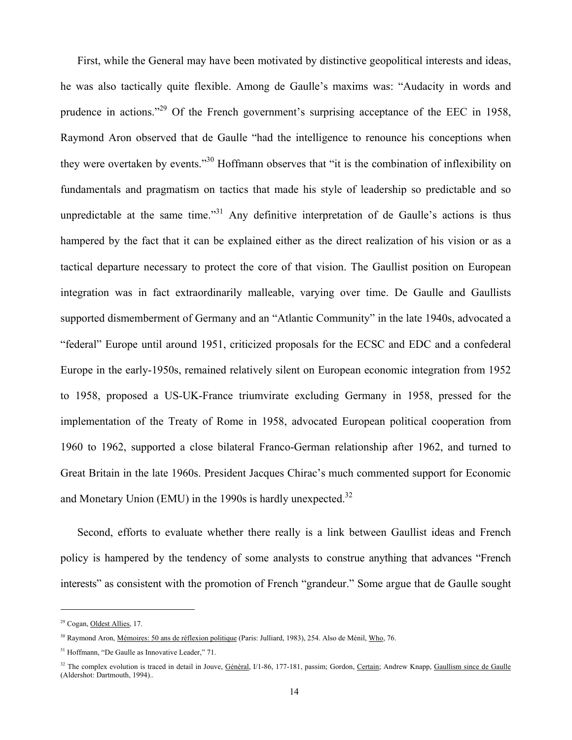First, while the General may have been motivated by distinctive geopolitical interests and ideas, he was also tactically quite flexible. Among de Gaulle's maxims was: "Audacity in words and prudence in actions."<sup>29</sup> Of the French government's surprising acceptance of the EEC in 1958, Raymond Aron observed that de Gaulle "had the intelligence to renounce his conceptions when they were overtaken by events."30 Hoffmann observes that "it is the combination of inflexibility on fundamentals and pragmatism on tactics that made his style of leadership so predictable and so unpredictable at the same time."<sup>31</sup> Any definitive interpretation of de Gaulle's actions is thus hampered by the fact that it can be explained either as the direct realization of his vision or as a tactical departure necessary to protect the core of that vision. The Gaullist position on European integration was in fact extraordinarily malleable, varying over time. De Gaulle and Gaullists supported dismemberment of Germany and an "Atlantic Community" in the late 1940s, advocated a "federal" Europe until around 1951, criticized proposals for the ECSC and EDC and a confederal Europe in the early-1950s, remained relatively silent on European economic integration from 1952 to 1958, proposed a US-UK-France triumvirate excluding Germany in 1958, pressed for the implementation of the Treaty of Rome in 1958, advocated European political cooperation from 1960 to 1962, supported a close bilateral Franco-German relationship after 1962, and turned to Great Britain in the late 1960s. President Jacques Chirac's much commented support for Economic and Monetary Union (EMU) in the 1990s is hardly unexpected. $32$ 

Second, efforts to evaluate whether there really is a link between Gaullist ideas and French policy is hampered by the tendency of some analysts to construe anything that advances "French interests" as consistent with the promotion of French "grandeur." Some argue that de Gaulle sought

<sup>29</sup> Cogan, Oldest Allies, 17.

<sup>&</sup>lt;sup>30</sup> Raymond Aron, *Mémoires: 50 ans de réflexion politique* (Paris: Julliard, 1983), 254. Also de Ménil, *Who*, 76.

<sup>&</sup>lt;sup>31</sup> Hoffmann, "De Gaulle as Innovative Leader," 71.

<sup>&</sup>lt;sup>32</sup> The complex evolution is traced in detail in Jouve, Général, I/1-86, 177-181, passim; Gordon, Certain; Andrew Knapp, Gaullism since de Gaulle (Aldershot: Dartmouth, 1994)..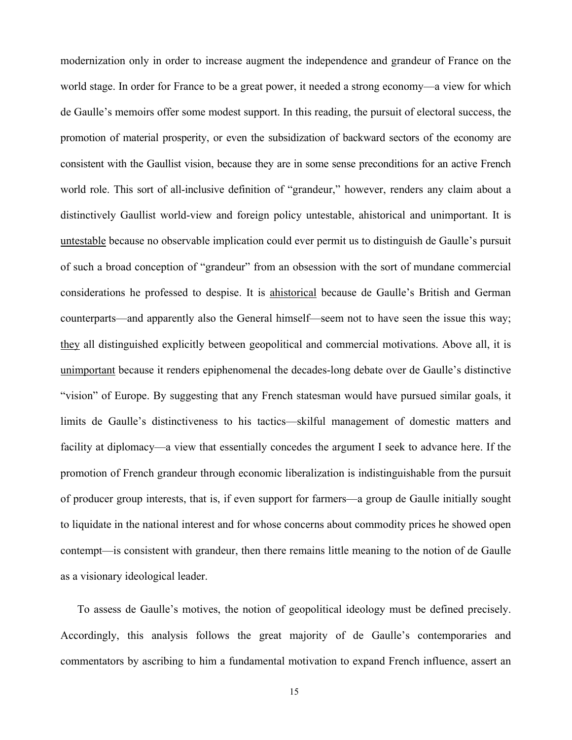modernization only in order to increase augment the independence and grandeur of France on the world stage. In order for France to be a great power, it needed a strong economy—a view for which de Gaulle's memoirs offer some modest support. In this reading, the pursuit of electoral success, the promotion of material prosperity, or even the subsidization of backward sectors of the economy are consistent with the Gaullist vision, because they are in some sense preconditions for an active French world role. This sort of all-inclusive definition of "grandeur," however, renders any claim about a distinctively Gaullist world-view and foreign policy untestable, ahistorical and unimportant. It is untestable because no observable implication could ever permit us to distinguish de Gaulle's pursuit of such a broad conception of "grandeur" from an obsession with the sort of mundane commercial considerations he professed to despise. It is ahistorical because de Gaulle's British and German counterparts—and apparently also the General himself—seem not to have seen the issue this way; they all distinguished explicitly between geopolitical and commercial motivations. Above all, it is unimportant because it renders epiphenomenal the decades-long debate over de Gaulle's distinctive "vision" of Europe. By suggesting that any French statesman would have pursued similar goals, it limits de Gaulle's distinctiveness to his tactics—skilful management of domestic matters and facility at diplomacy—a view that essentially concedes the argument I seek to advance here. If the promotion of French grandeur through economic liberalization is indistinguishable from the pursuit of producer group interests, that is, if even support for farmers—a group de Gaulle initially sought to liquidate in the national interest and for whose concerns about commodity prices he showed open contempt—is consistent with grandeur, then there remains little meaning to the notion of de Gaulle as a visionary ideological leader.

To assess de Gaulle's motives, the notion of geopolitical ideology must be defined precisely. Accordingly, this analysis follows the great majority of de Gaulle's contemporaries and commentators by ascribing to him a fundamental motivation to expand French influence, assert an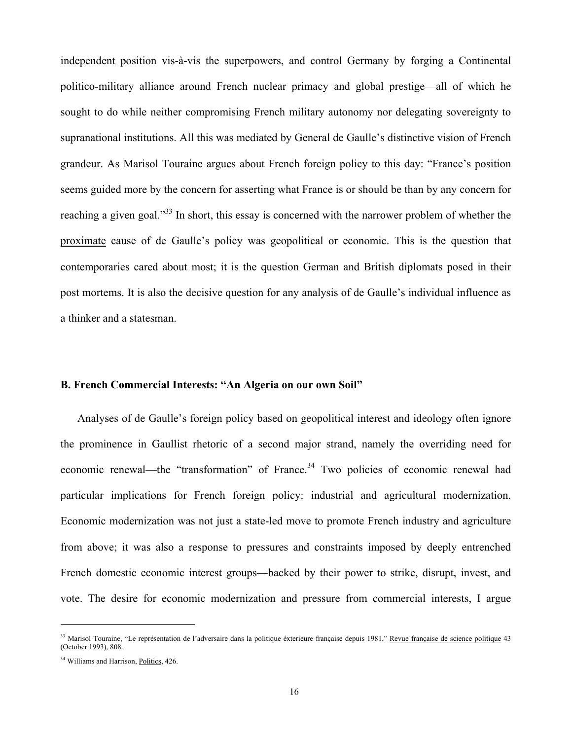independent position vis-à-vis the superpowers, and control Germany by forging a Continental politico-military alliance around French nuclear primacy and global prestige—all of which he sought to do while neither compromising French military autonomy nor delegating sovereignty to supranational institutions. All this was mediated by General de Gaulle's distinctive vision of French grandeur. As Marisol Touraine argues about French foreign policy to this day: "France's position seems guided more by the concern for asserting what France is or should be than by any concern for reaching a given goal."<sup>33</sup> In short, this essay is concerned with the narrower problem of whether the proximate cause of de Gaulle's policy was geopolitical or economic. This is the question that contemporaries cared about most; it is the question German and British diplomats posed in their post mortems. It is also the decisive question for any analysis of de Gaulle's individual influence as a thinker and a statesman.

#### **B. French Commercial Interests: "An Algeria on our own Soil"**

Analyses of de Gaulle's foreign policy based on geopolitical interest and ideology often ignore the prominence in Gaullist rhetoric of a second major strand, namely the overriding need for economic renewal—the "transformation" of France.<sup>34</sup> Two policies of economic renewal had particular implications for French foreign policy: industrial and agricultural modernization. Economic modernization was not just a state-led move to promote French industry and agriculture from above; it was also a response to pressures and constraints imposed by deeply entrenched French domestic economic interest groups—backed by their power to strike, disrupt, invest, and vote. The desire for economic modernization and pressure from commercial interests, I argue

<sup>&</sup>lt;sup>33</sup> Marisol Touraine, "Le représentation de l'adversaire dans la politique éxterieure française depuis 1981," Revue française de science politique 43 (October 1993), 808.

<sup>&</sup>lt;sup>34</sup> Williams and Harrison, Politics, 426.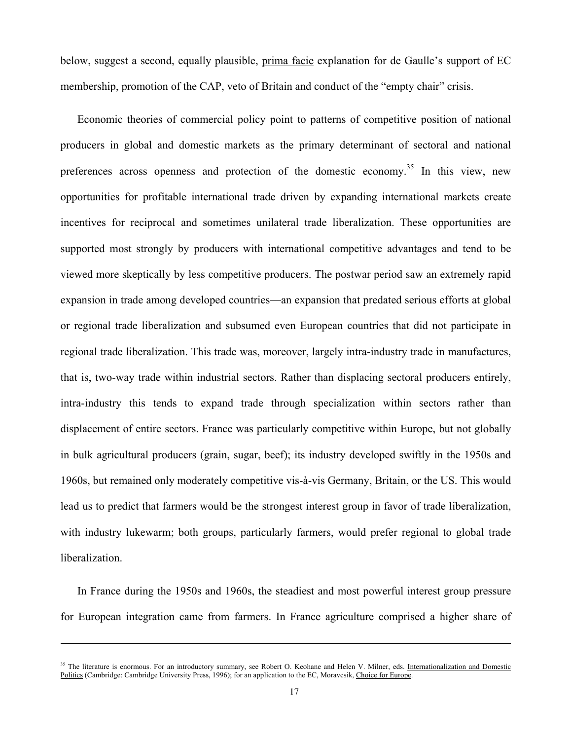below, suggest a second, equally plausible, prima facie explanation for de Gaulle's support of EC membership, promotion of the CAP, veto of Britain and conduct of the "empty chair" crisis.

Economic theories of commercial policy point to patterns of competitive position of national producers in global and domestic markets as the primary determinant of sectoral and national preferences across openness and protection of the domestic economy.<sup>35</sup> In this view, new opportunities for profitable international trade driven by expanding international markets create incentives for reciprocal and sometimes unilateral trade liberalization. These opportunities are supported most strongly by producers with international competitive advantages and tend to be viewed more skeptically by less competitive producers. The postwar period saw an extremely rapid expansion in trade among developed countries—an expansion that predated serious efforts at global or regional trade liberalization and subsumed even European countries that did not participate in regional trade liberalization. This trade was, moreover, largely intra-industry trade in manufactures, that is, two-way trade within industrial sectors. Rather than displacing sectoral producers entirely, intra-industry this tends to expand trade through specialization within sectors rather than displacement of entire sectors. France was particularly competitive within Europe, but not globally in bulk agricultural producers (grain, sugar, beef); its industry developed swiftly in the 1950s and 1960s, but remained only moderately competitive vis-à-vis Germany, Britain, or the US. This would lead us to predict that farmers would be the strongest interest group in favor of trade liberalization, with industry lukewarm; both groups, particularly farmers, would prefer regional to global trade liberalization.

In France during the 1950s and 1960s, the steadiest and most powerful interest group pressure for European integration came from farmers. In France agriculture comprised a higher share of

-

<sup>&</sup>lt;sup>35</sup> The literature is enormous. For an introductory summary, see Robert O. Keohane and Helen V. Milner, eds. Internationalization and Domestic Politics (Cambridge: Cambridge University Press, 1996); for an application to the EC, Moravcsik, Choice for Europe.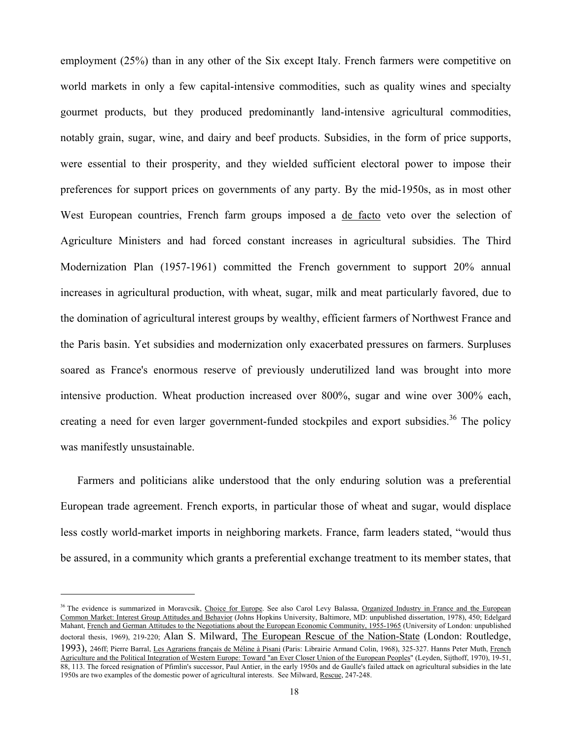employment (25%) than in any other of the Six except Italy. French farmers were competitive on world markets in only a few capital-intensive commodities, such as quality wines and specialty gourmet products, but they produced predominantly land-intensive agricultural commodities, notably grain, sugar, wine, and dairy and beef products. Subsidies, in the form of price supports, were essential to their prosperity, and they wielded sufficient electoral power to impose their preferences for support prices on governments of any party. By the mid-1950s, as in most other West European countries, French farm groups imposed a de facto veto over the selection of Agriculture Ministers and had forced constant increases in agricultural subsidies. The Third Modernization Plan (1957-1961) committed the French government to support 20% annual increases in agricultural production, with wheat, sugar, milk and meat particularly favored, due to the domination of agricultural interest groups by wealthy, efficient farmers of Northwest France and the Paris basin. Yet subsidies and modernization only exacerbated pressures on farmers. Surpluses soared as France's enormous reserve of previously underutilized land was brought into more intensive production. Wheat production increased over 800%, sugar and wine over 300% each, creating a need for even larger government-funded stockpiles and export subsidies.<sup>36</sup> The policy was manifestly unsustainable.

Farmers and politicians alike understood that the only enduring solution was a preferential European trade agreement. French exports, in particular those of wheat and sugar, would displace less costly world-market imports in neighboring markets. France, farm leaders stated, "would thus be assured, in a community which grants a preferential exchange treatment to its member states, that

<sup>&</sup>lt;sup>36</sup> The evidence is summarized in Moravcsik, Choice for Europe. See also Carol Levy Balassa, Organized Industry in France and the European Common Market: Interest Group Attitudes and Behavior (Johns Hopkins University, Baltimore, MD: unpublished dissertation, 1978), 450; Edelgard Mahant, French and German Attitudes to the Negotiations about the European Economic Community, 1955-1965 (University of London: unpublished doctoral thesis, 1969), 219-220; Alan S. Milward, The European Rescue of the Nation-State (London: Routledge, 1993), 246ff; Pierre Barral, Les Agrariens français de Méline à Pisani (Paris: Librairie Armand Colin, 1968), 325-327. Hanns Peter Muth, French Agriculture and the Political Integration of Western Europe: Toward "an Ever Closer Union of the European Peoples" (Leyden, Sijthoff, 1970), 19-51, 88, 113. The forced resignation of Pfimlin's successor, Paul Antier, in the early 1950s and de Gaulle's failed attack on agricultural subsidies in the late 1950s are two examples of the domestic power of agricultural interests. See Milward, Rescue, 247-248.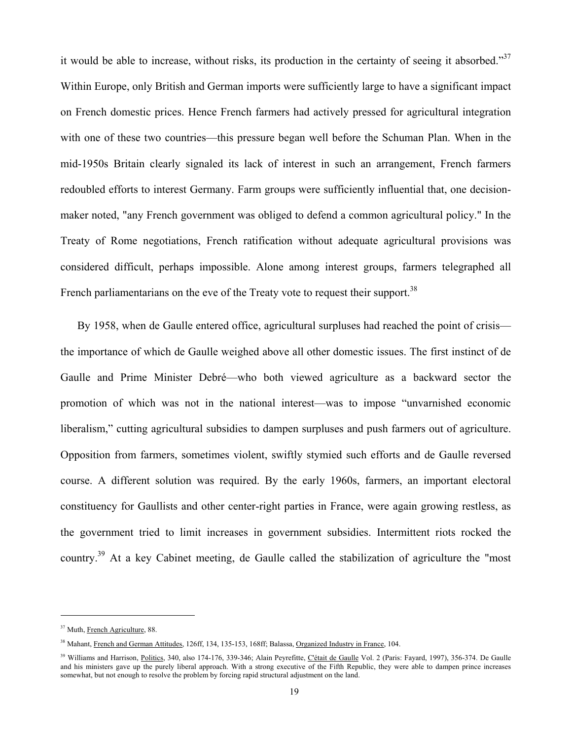it would be able to increase, without risks, its production in the certainty of seeing it absorbed."<sup>37</sup> Within Europe, only British and German imports were sufficiently large to have a significant impact on French domestic prices. Hence French farmers had actively pressed for agricultural integration with one of these two countries—this pressure began well before the Schuman Plan. When in the mid-1950s Britain clearly signaled its lack of interest in such an arrangement, French farmers redoubled efforts to interest Germany. Farm groups were sufficiently influential that, one decisionmaker noted, "any French government was obliged to defend a common agricultural policy." In the Treaty of Rome negotiations, French ratification without adequate agricultural provisions was considered difficult, perhaps impossible. Alone among interest groups, farmers telegraphed all French parliamentarians on the eve of the Treaty vote to request their support.<sup>38</sup>

By 1958, when de Gaulle entered office, agricultural surpluses had reached the point of crisis the importance of which de Gaulle weighed above all other domestic issues. The first instinct of de Gaulle and Prime Minister Debré—who both viewed agriculture as a backward sector the promotion of which was not in the national interest—was to impose "unvarnished economic liberalism," cutting agricultural subsidies to dampen surpluses and push farmers out of agriculture. Opposition from farmers, sometimes violent, swiftly stymied such efforts and de Gaulle reversed course. A different solution was required. By the early 1960s, farmers, an important electoral constituency for Gaullists and other center-right parties in France, were again growing restless, as the government tried to limit increases in government subsidies. Intermittent riots rocked the country.<sup>39</sup> At a key Cabinet meeting, de Gaulle called the stabilization of agriculture the "most"

<sup>37</sup> Muth, French Agriculture, 88.

<sup>&</sup>lt;sup>38</sup> Mahant, French and German Attitudes, 126ff, 134, 135-153, 168ff; Balassa, Organized Industry in France, 104.

<sup>&</sup>lt;sup>39</sup> Williams and Harrison, Politics, 340, also 174-176, 339-346; Alain Peyrefitte, *Cétait de Gaulle Vol. 2 (Paris: Fayard, 1997)*, 356-374. De Gaulle and his ministers gave up the purely liberal approach. With a strong executive of the Fifth Republic, they were able to dampen prince increases somewhat, but not enough to resolve the problem by forcing rapid structural adjustment on the land.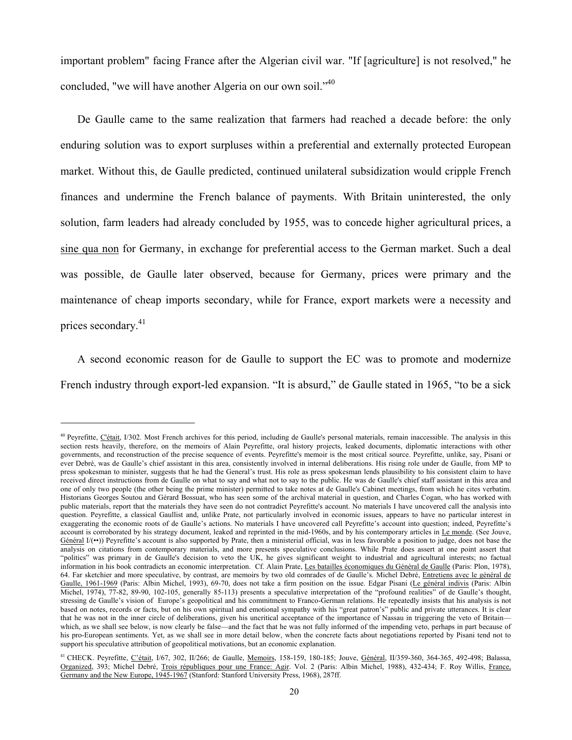important problem" facing France after the Algerian civil war. "If [agriculture] is not resolved," he concluded, "we will have another Algeria on our own soil."<sup>40</sup>

De Gaulle came to the same realization that farmers had reached a decade before: the only enduring solution was to export surpluses within a preferential and externally protected European market. Without this, de Gaulle predicted, continued unilateral subsidization would cripple French finances and undermine the French balance of payments. With Britain uninterested, the only solution, farm leaders had already concluded by 1955, was to concede higher agricultural prices, a sine qua non for Germany, in exchange for preferential access to the German market. Such a deal was possible, de Gaulle later observed, because for Germany, prices were primary and the maintenance of cheap imports secondary, while for France, export markets were a necessity and prices secondary.<sup>41</sup>

A second economic reason for de Gaulle to support the EC was to promote and modernize French industry through export-led expansion. "It is absurd," de Gaulle stated in 1965, "to be a sick

<sup>&</sup>lt;sup>40</sup> Peyrefitte, C'était, I/302. Most French archives for this period, including de Gaulle's personal materials, remain inaccessible. The analysis in this section rests heavily, therefore, on the memoirs of Alain Peyrefitte, oral history projects, leaked documents, diplomatic interactions with other governments, and reconstruction of the precise sequence of events. Peyrefitte's memoir is the most critical source. Peyrefitte, unlike, say, Pisani or ever Debré, was de Gaulle's chief assistant in this area, consistently involved in internal deliberations. His rising role under de Gaulle, from MP to press spokesman to minister, suggests that he had the General's trust. His role as press spokesman lends plausibility to his consistent claim to have received direct instructions from de Gaulle on what to say and what not to say to the public. He was de Gaulle's chief staff assistant in this area and one of only two people (the other being the prime minister) permitted to take notes at de Gaulle's Cabinet meetings, from which he cites verbatim. Historians Georges Soutou and Gérard Bossuat, who has seen some of the archival material in question, and Charles Cogan, who has worked with public materials, report that the materials they have seen do not contradict Peyrefitte's account. No materials I have uncovered call the analysis into question. Peyrefitte, a classical Gaullist and, unlike Prate, not particularly involved in economic issues, appears to have no particular interest in exaggerating the economic roots of de Gaulle's actions. No materials I have uncovered call Peyrefitte's account into question; indeed, Peyrefitte's account is corroborated by his strategy document, leaked and reprinted in the mid-1960s, and by his contemporary articles in Le monde. (See Jouve,  $G\acute{e}n\acute{e}ral$   $I'(\bullet\bullet)$ ) Peyrefitte's account is also supported by Prate, then a ministerial official, was in less favorable a position to judge, does not base the analysis on citations from contemporary materials, and more presents speculative conclusions. While Prate does assert at one point assert that "politics" was primary in de Gaulle's decision to veto the UK, he gives significant weight to industrial and agricultural interests; no factual information in his book contradicts an economic interpretation. Cf. Alain Prate, Les batailles économiques du Général de Gaulle (Paris: Plon, 1978), 64. Far sketchier and more speculative, by contrast, are memoirs by two old comrades of de Gaulle's. Michel Debré, Entretiens avec le général de Gaulle, 1961-1969 (Paris: Albin Michel, 1993), 69-70, does not take a firm position on the issue. Edgar Pisani (Le général indivis (Paris: Albin Michel, 1974), 77-82, 89-90, 102-105, generally 85-113) presents a speculative interpretation of the "profound realities" of de Gaulle's thought, stressing de Gaulle's vision of Europe's geopolitical and his commitment to Franco-German relations. He repeatedly insists that his analysis is not based on notes, records or facts, but on his own spiritual and emotional sympathy with his "great patron's" public and private utterances. It is clear that he was not in the inner circle of deliberations, given his uncritical acceptance of the importance of Nassau in triggering the veto of Britain which, as we shall see below, is now clearly be false—and the fact that he was not fully informed of the impending veto, perhaps in part because of his pro-European sentiments. Yet, as we shall see in more detail below, when the concrete facts about negotiations reported by Pisani tend not to support his speculative attribution of geopolitical motivations, but an economic explanation.

<sup>&</sup>lt;sup>41</sup> CHECK. Peyrefitte, *C'était*, I/67, 302, II/266; de Gaulle, *Memoirs*, 158-159, 180-185; Jouve, *Général*, II/359-360, 364-365, 492-498; Balassa, Organized, 393; Michel Debré, Trois républiques pour une France: Agir. Vol. 2 (Paris: Albin Michel, 1988), 432-434; F. Roy Willis, France, Germany and the New Europe, 1945-1967 (Stanford: Stanford University Press, 1968), 287ff.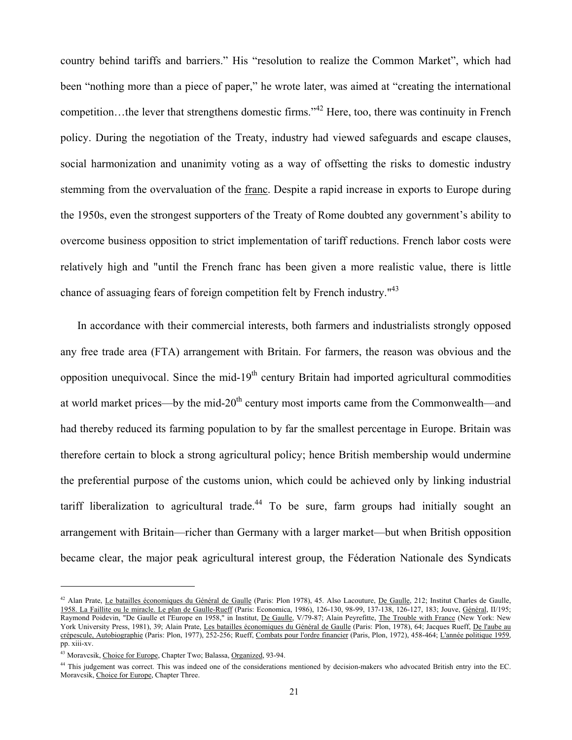country behind tariffs and barriers." His "resolution to realize the Common Market", which had been "nothing more than a piece of paper," he wrote later, was aimed at "creating the international competition…the lever that strengthens domestic firms."42 Here, too, there was continuity in French policy. During the negotiation of the Treaty, industry had viewed safeguards and escape clauses, social harmonization and unanimity voting as a way of offsetting the risks to domestic industry stemming from the overvaluation of the franc. Despite a rapid increase in exports to Europe during the 1950s, even the strongest supporters of the Treaty of Rome doubted any government's ability to overcome business opposition to strict implementation of tariff reductions. French labor costs were relatively high and "until the French franc has been given a more realistic value, there is little chance of assuaging fears of foreign competition felt by French industry."<sup>43</sup>

In accordance with their commercial interests, both farmers and industrialists strongly opposed any free trade area (FTA) arrangement with Britain. For farmers, the reason was obvious and the opposition unequivocal. Since the mid- $19<sup>th</sup>$  century Britain had imported agricultural commodities at world market prices—by the mid- $20<sup>th</sup>$  century most imports came from the Commonwealth—and had thereby reduced its farming population to by far the smallest percentage in Europe. Britain was therefore certain to block a strong agricultural policy; hence British membership would undermine the preferential purpose of the customs union, which could be achieved only by linking industrial tariff liberalization to agricultural trade.<sup>44</sup> To be sure, farm groups had initially sought an arrangement with Britain—richer than Germany with a larger market—but when British opposition became clear, the major peak agricultural interest group, the Féderation Nationale des Syndicats

<sup>&</sup>lt;sup>42</sup> Alan Prate, Le batailles économiques du Général de Gaulle (Paris: Plon 1978), 45. Also Lacouture, De Gaulle, 212; Institut Charles de Gaulle, 1958. La Faillite ou le miracle. Le plan de Gaulle-Rueff (Paris: Economica, 1986), 126-130, 98-99, 137-138, 126-127, 183; Jouve, Général, II/195; Raymond Poidevin, "De Gaulle et l'Europe en 1958," in Institut, De Gaulle, V/79-87; Alain Peyrefitte, The Trouble with France (New York: New York University Press, 1981), 39; Alain Prate, Les batailles économiques du Général de Gaulle (Paris: Plon, 1978), 64; Jacques Rueff, De l'aube au crépescule, Autobiographie (Paris: Plon, 1977), 252-256; Rueff, Combats pour l'ordre financier (Paris, Plon, 1972), 458-464; L'année politique 1959, pp. xiii-xv.

<sup>&</sup>lt;sup>43</sup> Moravcsik, Choice for Europe, Chapter Two; Balassa, Organized, 93-94.

<sup>44</sup> This judgement was correct. This was indeed one of the considerations mentioned by decision-makers who advocated British entry into the EC. Moravcsik, Choice for Europe, Chapter Three.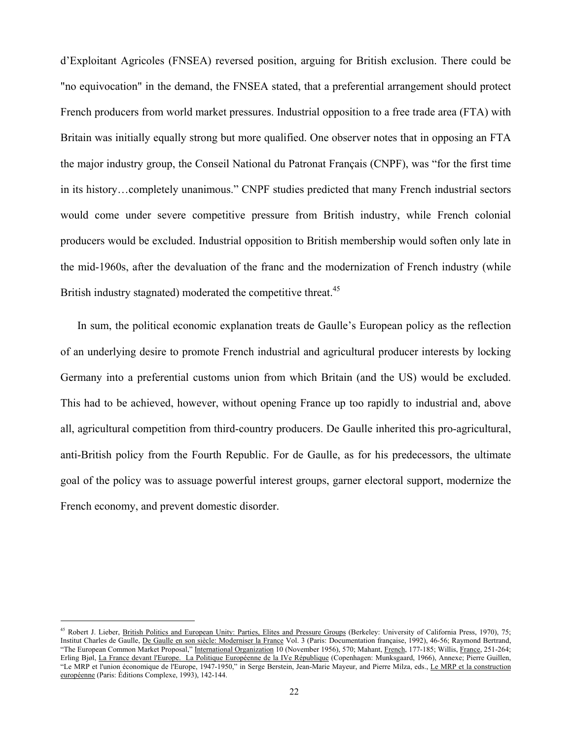d'Exploitant Agricoles (FNSEA) reversed position, arguing for British exclusion. There could be "no equivocation" in the demand, the FNSEA stated, that a preferential arrangement should protect French producers from world market pressures. Industrial opposition to a free trade area (FTA) with Britain was initially equally strong but more qualified. One observer notes that in opposing an FTA the major industry group, the Conseil National du Patronat Français (CNPF), was "for the first time in its history…completely unanimous." CNPF studies predicted that many French industrial sectors would come under severe competitive pressure from British industry, while French colonial producers would be excluded. Industrial opposition to British membership would soften only late in the mid-1960s, after the devaluation of the franc and the modernization of French industry (while British industry stagnated) moderated the competitive threat.<sup>45</sup>

In sum, the political economic explanation treats de Gaulle's European policy as the reflection of an underlying desire to promote French industrial and agricultural producer interests by locking Germany into a preferential customs union from which Britain (and the US) would be excluded. This had to be achieved, however, without opening France up too rapidly to industrial and, above all, agricultural competition from third-country producers. De Gaulle inherited this pro-agricultural, anti-British policy from the Fourth Republic. For de Gaulle, as for his predecessors, the ultimate goal of the policy was to assuage powerful interest groups, garner electoral support, modernize the French economy, and prevent domestic disorder.

<sup>45</sup> Robert J. Lieber, British Politics and European Unity: Parties, Elites and Pressure Groups (Berkeley: University of California Press, 1970), 75; Institut Charles de Gaulle, De Gaulle en son siècle: Moderniser la France Vol. 3 (Paris: Documentation française, 1992), 46-56; Raymond Bertrand, "The European Common Market Proposal," International Organization 10 (November 1956), 570; Mahant, French, 177-185; Willis, France, 251-264; Erling Bjøl, La France devant l'Europe. La Politique Européenne de la IVe République (Copenhagen: Munksgaard, 1966), Annexe; Pierre Guillen, "Le MRP et l'union économique de l'Europe, 1947-1950," in Serge Berstein, Jean-Marie Mayeur, and Pierre Milza, eds., Le MRP et la construction européenne (Paris: Éditions Complexe, 1993), 142-144.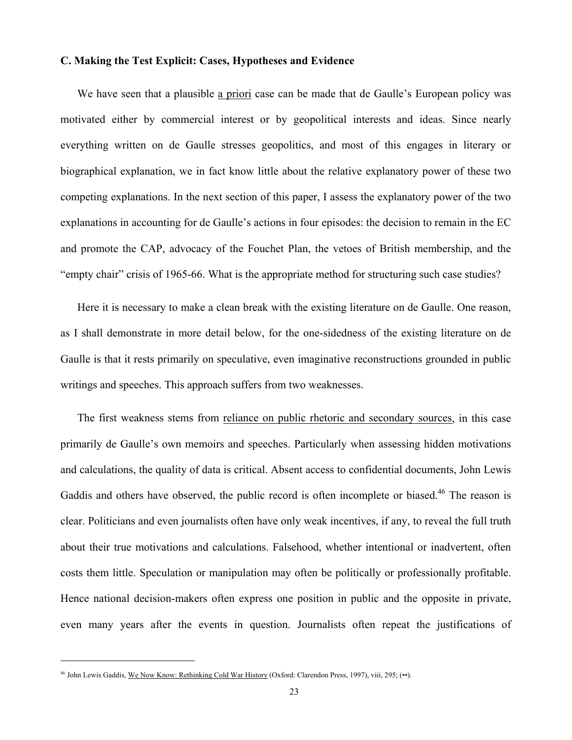#### **C. Making the Test Explicit: Cases, Hypotheses and Evidence**

We have seen that a plausible a priori case can be made that de Gaulle's European policy was motivated either by commercial interest or by geopolitical interests and ideas. Since nearly everything written on de Gaulle stresses geopolitics, and most of this engages in literary or biographical explanation, we in fact know little about the relative explanatory power of these two competing explanations. In the next section of this paper, I assess the explanatory power of the two explanations in accounting for de Gaulle's actions in four episodes: the decision to remain in the EC and promote the CAP, advocacy of the Fouchet Plan, the vetoes of British membership, and the "empty chair" crisis of 1965-66. What is the appropriate method for structuring such case studies?

Here it is necessary to make a clean break with the existing literature on de Gaulle. One reason, as I shall demonstrate in more detail below, for the one-sidedness of the existing literature on de Gaulle is that it rests primarily on speculative, even imaginative reconstructions grounded in public writings and speeches. This approach suffers from two weaknesses.

The first weakness stems from reliance on public rhetoric and secondary sources, in this case primarily de Gaulle's own memoirs and speeches. Particularly when assessing hidden motivations and calculations, the quality of data is critical. Absent access to confidential documents, John Lewis Gaddis and others have observed, the public record is often incomplete or biased.<sup>46</sup> The reason is clear. Politicians and even journalists often have only weak incentives, if any, to reveal the full truth about their true motivations and calculations. Falsehood, whether intentional or inadvertent, often costs them little. Speculation or manipulation may often be politically or professionally profitable. Hence national decision-makers often express one position in public and the opposite in private, even many years after the events in question. Journalists often repeat the justifications of

<sup>46</sup> John Lewis Gaddis, We Now Know: Rethinking Cold War History (Oxford: Clarendon Press, 1997), viii, 295; (••).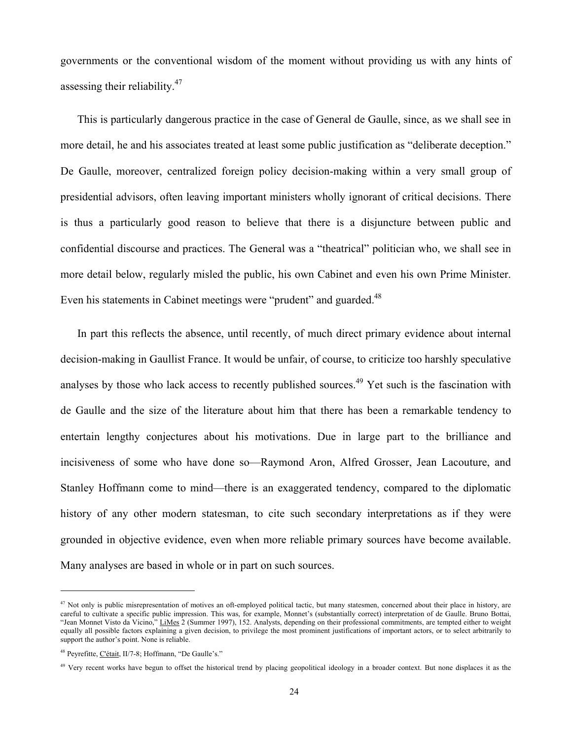governments or the conventional wisdom of the moment without providing us with any hints of assessing their reliability. $47$ 

This is particularly dangerous practice in the case of General de Gaulle, since, as we shall see in more detail, he and his associates treated at least some public justification as "deliberate deception." De Gaulle, moreover, centralized foreign policy decision-making within a very small group of presidential advisors, often leaving important ministers wholly ignorant of critical decisions. There is thus a particularly good reason to believe that there is a disjuncture between public and confidential discourse and practices. The General was a "theatrical" politician who, we shall see in more detail below, regularly misled the public, his own Cabinet and even his own Prime Minister. Even his statements in Cabinet meetings were "prudent" and guarded.<sup>48</sup>

In part this reflects the absence, until recently, of much direct primary evidence about internal decision-making in Gaullist France. It would be unfair, of course, to criticize too harshly speculative analyses by those who lack access to recently published sources.<sup>49</sup> Yet such is the fascination with de Gaulle and the size of the literature about him that there has been a remarkable tendency to entertain lengthy conjectures about his motivations. Due in large part to the brilliance and incisiveness of some who have done so—Raymond Aron, Alfred Grosser, Jean Lacouture, and Stanley Hoffmann come to mind—there is an exaggerated tendency, compared to the diplomatic history of any other modern statesman, to cite such secondary interpretations as if they were grounded in objective evidence, even when more reliable primary sources have become available. Many analyses are based in whole or in part on such sources.

 $47$  Not only is public misrepresentation of motives an oft-employed political tactic, but many statesmen, concerned about their place in history, are careful to cultivate a specific public impression. This was, for example, Monnet's (substantially correct) interpretation of de Gaulle. Bruno Bottai, "Jean Monnet Visto da Vicino," LiMes 2 (Summer 1997), 152. Analysts, depending on their professional commitments, are tempted either to weight equally all possible factors explaining a given decision, to privilege the most prominent justifications of important actors, or to select arbitrarily to support the author's point. None is reliable.

<sup>48</sup> Peyrefitte, C'était, II/7-8; Hoffmann, "De Gaulle's."

<sup>&</sup>lt;sup>49</sup> Very recent works have begun to offset the historical trend by placing geopolitical ideology in a broader context. But none displaces it as the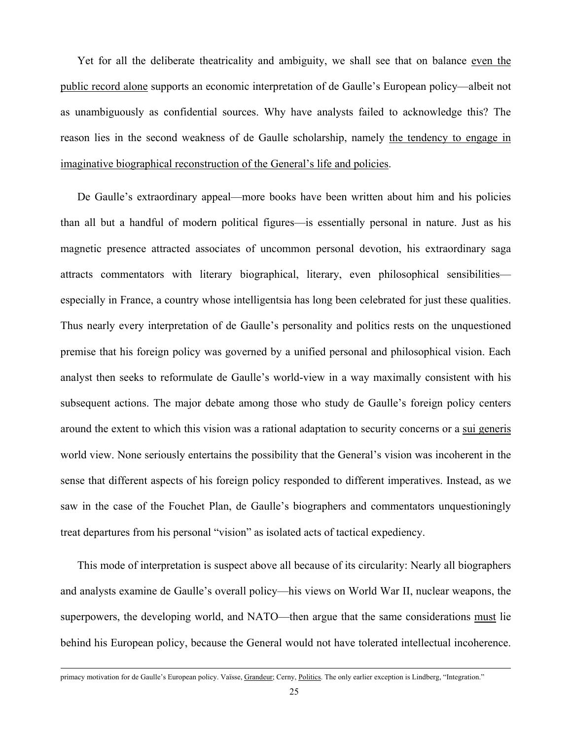Yet for all the deliberate theatricality and ambiguity, we shall see that on balance even the public record alone supports an economic interpretation of de Gaulle's European policy—albeit not as unambiguously as confidential sources. Why have analysts failed to acknowledge this? The reason lies in the second weakness of de Gaulle scholarship, namely the tendency to engage in imaginative biographical reconstruction of the General's life and policies.

De Gaulle's extraordinary appeal—more books have been written about him and his policies than all but a handful of modern political figures—is essentially personal in nature. Just as his magnetic presence attracted associates of uncommon personal devotion, his extraordinary saga attracts commentators with literary biographical, literary, even philosophical sensibilities especially in France, a country whose intelligentsia has long been celebrated for just these qualities. Thus nearly every interpretation of de Gaulle's personality and politics rests on the unquestioned premise that his foreign policy was governed by a unified personal and philosophical vision. Each analyst then seeks to reformulate de Gaulle's world-view in a way maximally consistent with his subsequent actions. The major debate among those who study de Gaulle's foreign policy centers around the extent to which this vision was a rational adaptation to security concerns or a sui generis world view. None seriously entertains the possibility that the General's vision was incoherent in the sense that different aspects of his foreign policy responded to different imperatives. Instead, as we saw in the case of the Fouchet Plan, de Gaulle's biographers and commentators unquestioningly treat departures from his personal "vision" as isolated acts of tactical expediency.

This mode of interpretation is suspect above all because of its circularity: Nearly all biographers and analysts examine de Gaulle's overall policy—his views on World War II, nuclear weapons, the superpowers, the developing world, and NATO—then argue that the same considerations must lie behind his European policy, because the General would not have tolerated intellectual incoherence.

primacy motivation for de Gaulle's European policy. Vaïsse, Grandeur; Cerny, Politics. The only earlier exception is Lindberg, "Integration."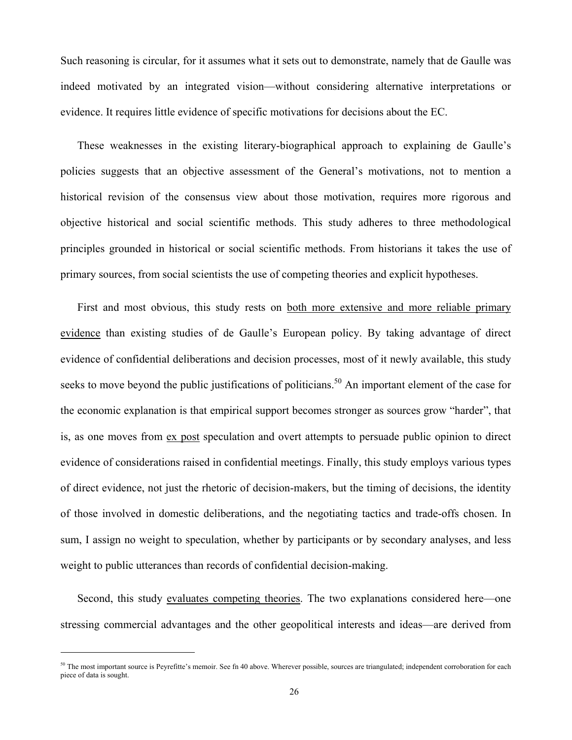Such reasoning is circular, for it assumes what it sets out to demonstrate, namely that de Gaulle was indeed motivated by an integrated vision—without considering alternative interpretations or evidence. It requires little evidence of specific motivations for decisions about the EC.

These weaknesses in the existing literary-biographical approach to explaining de Gaulle's policies suggests that an objective assessment of the General's motivations, not to mention a historical revision of the consensus view about those motivation, requires more rigorous and objective historical and social scientific methods. This study adheres to three methodological principles grounded in historical or social scientific methods. From historians it takes the use of primary sources, from social scientists the use of competing theories and explicit hypotheses.

First and most obvious, this study rests on <u>both more extensive and more reliable primary</u> evidence than existing studies of de Gaulle's European policy. By taking advantage of direct evidence of confidential deliberations and decision processes, most of it newly available, this study seeks to move beyond the public justifications of politicians.<sup>50</sup> An important element of the case for the economic explanation is that empirical support becomes stronger as sources grow "harder", that is, as one moves from ex post speculation and overt attempts to persuade public opinion to direct evidence of considerations raised in confidential meetings. Finally, this study employs various types of direct evidence, not just the rhetoric of decision-makers, but the timing of decisions, the identity of those involved in domestic deliberations, and the negotiating tactics and trade-offs chosen. In sum, I assign no weight to speculation, whether by participants or by secondary analyses, and less weight to public utterances than records of confidential decision-making.

Second, this study evaluates competing theories. The two explanations considered here—one stressing commercial advantages and the other geopolitical interests and ideas—are derived from

 $50$  The most important source is Peyrefitte's memoir. See fn 40 above. Wherever possible, sources are triangulated; independent corroboration for each piece of data is sought.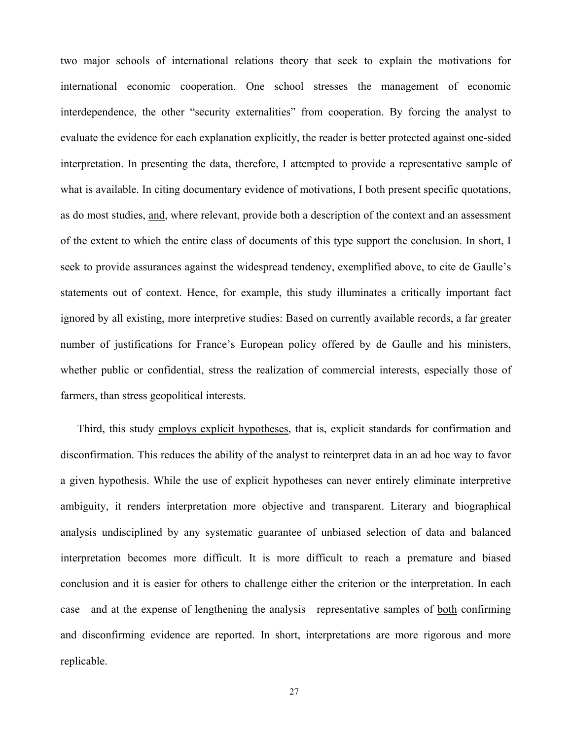two major schools of international relations theory that seek to explain the motivations for international economic cooperation. One school stresses the management of economic interdependence, the other "security externalities" from cooperation. By forcing the analyst to evaluate the evidence for each explanation explicitly, the reader is better protected against one-sided interpretation. In presenting the data, therefore, I attempted to provide a representative sample of what is available. In citing documentary evidence of motivations, I both present specific quotations, as do most studies, and, where relevant, provide both a description of the context and an assessment of the extent to which the entire class of documents of this type support the conclusion. In short, I seek to provide assurances against the widespread tendency, exemplified above, to cite de Gaulle's statements out of context. Hence, for example, this study illuminates a critically important fact ignored by all existing, more interpretive studies: Based on currently available records, a far greater number of justifications for France's European policy offered by de Gaulle and his ministers, whether public or confidential, stress the realization of commercial interests, especially those of farmers, than stress geopolitical interests.

Third, this study employs explicit hypotheses, that is, explicit standards for confirmation and disconfirmation. This reduces the ability of the analyst to reinterpret data in an ad hoc way to favor a given hypothesis. While the use of explicit hypotheses can never entirely eliminate interpretive ambiguity, it renders interpretation more objective and transparent. Literary and biographical analysis undisciplined by any systematic guarantee of unbiased selection of data and balanced interpretation becomes more difficult. It is more difficult to reach a premature and biased conclusion and it is easier for others to challenge either the criterion or the interpretation. In each case—and at the expense of lengthening the analysis—representative samples of both confirming and disconfirming evidence are reported. In short, interpretations are more rigorous and more replicable.

27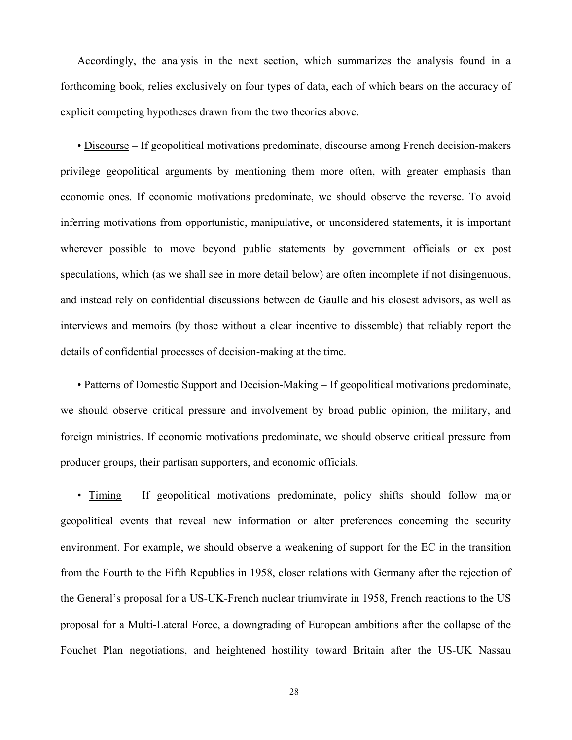Accordingly, the analysis in the next section, which summarizes the analysis found in a forthcoming book, relies exclusively on four types of data, each of which bears on the accuracy of explicit competing hypotheses drawn from the two theories above.

• Discourse – If geopolitical motivations predominate, discourse among French decision-makers privilege geopolitical arguments by mentioning them more often, with greater emphasis than economic ones. If economic motivations predominate, we should observe the reverse. To avoid inferring motivations from opportunistic, manipulative, or unconsidered statements, it is important wherever possible to move beyond public statements by government officials or ex post speculations, which (as we shall see in more detail below) are often incomplete if not disingenuous, and instead rely on confidential discussions between de Gaulle and his closest advisors, as well as interviews and memoirs (by those without a clear incentive to dissemble) that reliably report the details of confidential processes of decision-making at the time.

• Patterns of Domestic Support and Decision-Making – If geopolitical motivations predominate, we should observe critical pressure and involvement by broad public opinion, the military, and foreign ministries. If economic motivations predominate, we should observe critical pressure from producer groups, their partisan supporters, and economic officials.

• Timing – If geopolitical motivations predominate, policy shifts should follow major geopolitical events that reveal new information or alter preferences concerning the security environment. For example, we should observe a weakening of support for the EC in the transition from the Fourth to the Fifth Republics in 1958, closer relations with Germany after the rejection of the General's proposal for a US-UK-French nuclear triumvirate in 1958, French reactions to the US proposal for a Multi-Lateral Force, a downgrading of European ambitions after the collapse of the Fouchet Plan negotiations, and heightened hostility toward Britain after the US-UK Nassau

28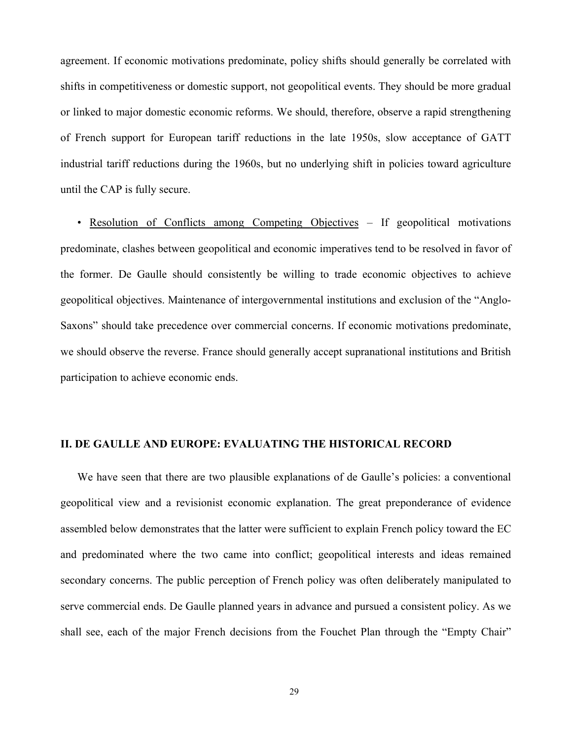agreement. If economic motivations predominate, policy shifts should generally be correlated with shifts in competitiveness or domestic support, not geopolitical events. They should be more gradual or linked to major domestic economic reforms. We should, therefore, observe a rapid strengthening of French support for European tariff reductions in the late 1950s, slow acceptance of GATT industrial tariff reductions during the 1960s, but no underlying shift in policies toward agriculture until the CAP is fully secure.

• Resolution of Conflicts among Competing Objectives – If geopolitical motivations predominate, clashes between geopolitical and economic imperatives tend to be resolved in favor of the former. De Gaulle should consistently be willing to trade economic objectives to achieve geopolitical objectives. Maintenance of intergovernmental institutions and exclusion of the "Anglo-Saxons" should take precedence over commercial concerns. If economic motivations predominate, we should observe the reverse. France should generally accept supranational institutions and British participation to achieve economic ends.

#### **II. DE GAULLE AND EUROPE: EVALUATING THE HISTORICAL RECORD**

We have seen that there are two plausible explanations of de Gaulle's policies: a conventional geopolitical view and a revisionist economic explanation. The great preponderance of evidence assembled below demonstrates that the latter were sufficient to explain French policy toward the EC and predominated where the two came into conflict; geopolitical interests and ideas remained secondary concerns. The public perception of French policy was often deliberately manipulated to serve commercial ends. De Gaulle planned years in advance and pursued a consistent policy. As we shall see, each of the major French decisions from the Fouchet Plan through the "Empty Chair"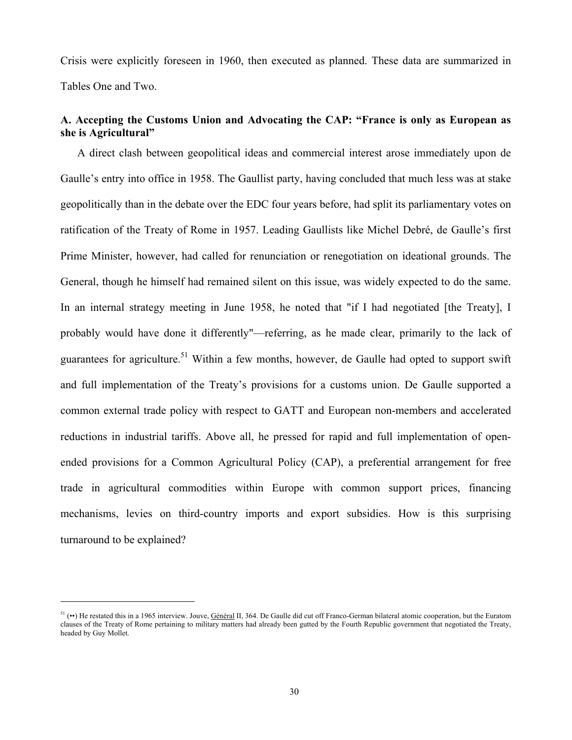Crisis were explicitly foreseen in 1960, then executed as planned. These data are summarized in Tables One and Two.

#### **A. Accepting the Customs Union and Advocating the CAP: "France is only as European as she is Agricultural"**

A direct clash between geopolitical ideas and commercial interest arose immediately upon de Gaulle's entry into office in 1958. The Gaullist party, having concluded that much less was at stake geopolitically than in the debate over the EDC four years before, had split its parliamentary votes on ratification of the Treaty of Rome in 1957. Leading Gaullists like Michel Debré, de Gaulle's first Prime Minister, however, had called for renunciation or renegotiation on ideational grounds. The General, though he himself had remained silent on this issue, was widely expected to do the same. In an internal strategy meeting in June 1958, he noted that "if I had negotiated [the Treaty], I probably would have done it differently"—referring, as he made clear, primarily to the lack of guarantees for agriculture.<sup>51</sup> Within a few months, however, de Gaulle had opted to support swift and full implementation of the Treaty's provisions for a customs union. De Gaulle supported a common external trade policy with respect to GATT and European non-members and accelerated reductions in industrial tariffs. Above all, he pressed for rapid and full implementation of openended provisions for a Common Agricultural Policy (CAP), a preferential arrangement for free trade in agricultural commodities within Europe with common support prices, financing mechanisms, levies on third-country imports and export subsidies. How is this surprising turnaround to be explained?

 $51$  (••) He restated this in a 1965 interview. Jouve, Général II, 364. De Gaulle did cut off Franco-German bilateral atomic cooperation, but the Euratom clauses of the Treaty of Rome pertaining to military matters had already been gutted by the Fourth Republic government that negotiated the Treaty, headed by Guy Mollet.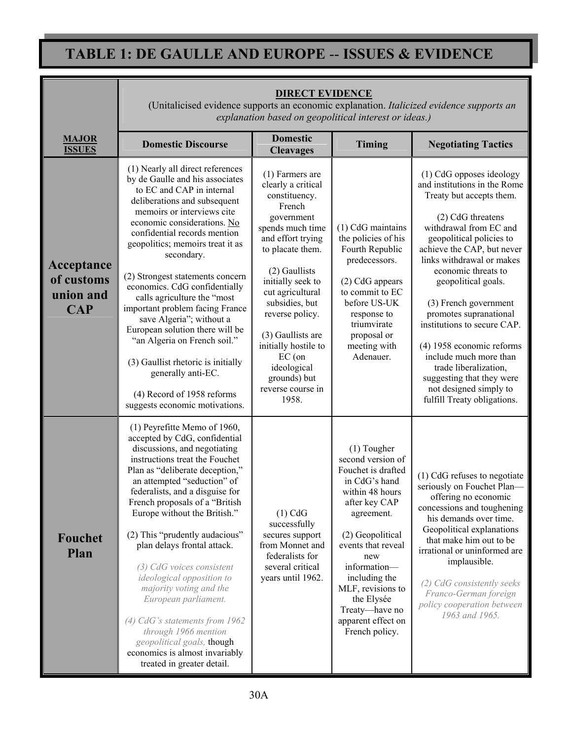## **TABLE 1: DE GAULLE AND EUROPE** -- **ISSUES & EVIDENCE**

|                                                     | <b>DIRECT EVIDENCE</b><br>(Unitalicised evidence supports an economic explanation. Italicized evidence supports an<br>explanation based on geopolitical interest or ideas.)                                                                                                                                                                                                                                                                                                                                                                                                                                                                       |                                                                                                                                                                                                                                                                                                                                                                    |                                                                                                                                                                                                                                                                                                            |                                                                                                                                                                                                                                                                                                                                                                                                                                                                                                                                  |  |  |
|-----------------------------------------------------|---------------------------------------------------------------------------------------------------------------------------------------------------------------------------------------------------------------------------------------------------------------------------------------------------------------------------------------------------------------------------------------------------------------------------------------------------------------------------------------------------------------------------------------------------------------------------------------------------------------------------------------------------|--------------------------------------------------------------------------------------------------------------------------------------------------------------------------------------------------------------------------------------------------------------------------------------------------------------------------------------------------------------------|------------------------------------------------------------------------------------------------------------------------------------------------------------------------------------------------------------------------------------------------------------------------------------------------------------|----------------------------------------------------------------------------------------------------------------------------------------------------------------------------------------------------------------------------------------------------------------------------------------------------------------------------------------------------------------------------------------------------------------------------------------------------------------------------------------------------------------------------------|--|--|
| <b>MAJOR</b><br><b>ISSUES</b>                       | <b>Domestic Discourse</b>                                                                                                                                                                                                                                                                                                                                                                                                                                                                                                                                                                                                                         | <b>Domestic</b><br><b>Cleavages</b>                                                                                                                                                                                                                                                                                                                                | Timing                                                                                                                                                                                                                                                                                                     | <b>Negotiating Tactics</b>                                                                                                                                                                                                                                                                                                                                                                                                                                                                                                       |  |  |
| Acceptance<br>of customs<br>union and<br><b>CAP</b> | (1) Nearly all direct references<br>by de Gaulle and his associates<br>to EC and CAP in internal<br>deliberations and subsequent<br>memoirs or interviews cite<br>economic considerations. No<br>confidential records mention<br>geopolitics; memoirs treat it as<br>secondary.<br>(2) Strongest statements concern<br>economics. CdG confidentially<br>calls agriculture the "most<br>important problem facing France<br>save Algeria"; without a<br>European solution there will be<br>"an Algeria on French soil."<br>(3) Gaullist rhetoric is initially<br>generally anti-EC.<br>(4) Record of 1958 reforms<br>suggests economic motivations. | $(1)$ Farmers are<br>clearly a critical<br>constituency.<br>French<br>government<br>spends much time<br>and effort trying<br>to placate them.<br>(2) Gaullists<br>initially seek to<br>cut agricultural<br>subsidies, but<br>reverse policy.<br>(3) Gaullists are<br>initially hostile to<br>$EC($ on<br>ideological<br>grounds) but<br>reverse course in<br>1958. | (1) CdG maintains<br>the policies of his<br>Fourth Republic<br>predecessors.<br>(2) CdG appears<br>to commit to EC<br>before US-UK<br>response to<br>triumvirate<br>proposal or<br>meeting with<br>Adenauer.                                                                                               | (1) CdG opposes ideology<br>and institutions in the Rome<br>Treaty but accepts them.<br>(2) CdG threatens<br>withdrawal from EC and<br>geopolitical policies to<br>achieve the CAP, but never<br>links withdrawal or makes<br>economic threats to<br>geopolitical goals.<br>(3) French government<br>promotes supranational<br>institutions to secure CAP.<br>(4) 1958 economic reforms<br>include much more than<br>trade liberalization,<br>suggesting that they were<br>not designed simply to<br>fulfill Treaty obligations. |  |  |
| <b>Fouchet</b><br>Plan                              | (1) Peyrefitte Memo of 1960,<br>accepted by CdG, confidential<br>discussions, and negotiating<br>instructions treat the Fouchet<br>Plan as "deliberate deception,"<br>an attempted "seduction" of<br>federalists, and a disguise for<br>French proposals of a "British"<br>Europe without the British."<br>(2) This "prudently audacious"<br>plan delays frontal attack.<br>(3) CdG voices consistent<br>ideological opposition to<br>majority voting and the<br>European parliament.<br>$(4)$ CdG's statements from 1962<br>through 1966 mention<br>geopolitical goals, though<br>economics is almost invariably<br>treated in greater detail.   | $(1)$ CdG<br>successfully<br>secures support<br>from Monnet and<br>federalists for<br>several critical<br>years until 1962.                                                                                                                                                                                                                                        | $(1)$ Tougher<br>second version of<br>Fouchet is drafted<br>in CdG's hand<br>within 48 hours<br>after key CAP<br>agreement.<br>(2) Geopolitical<br>events that reveal<br>new<br>information-<br>including the<br>MLF, revisions to<br>the Elysée<br>Treaty—have no<br>apparent effect on<br>French policy. | (1) CdG refuses to negotiate<br>seriously on Fouchet Plan-<br>offering no economic<br>concessions and toughening<br>his demands over time.<br>Geopolitical explanations<br>that make him out to be<br>irrational or uninformed are<br>implausible.<br>(2) CdG consistently seeks<br>Franco-German foreign<br>policy cooperation between<br>1963 and 1965.                                                                                                                                                                        |  |  |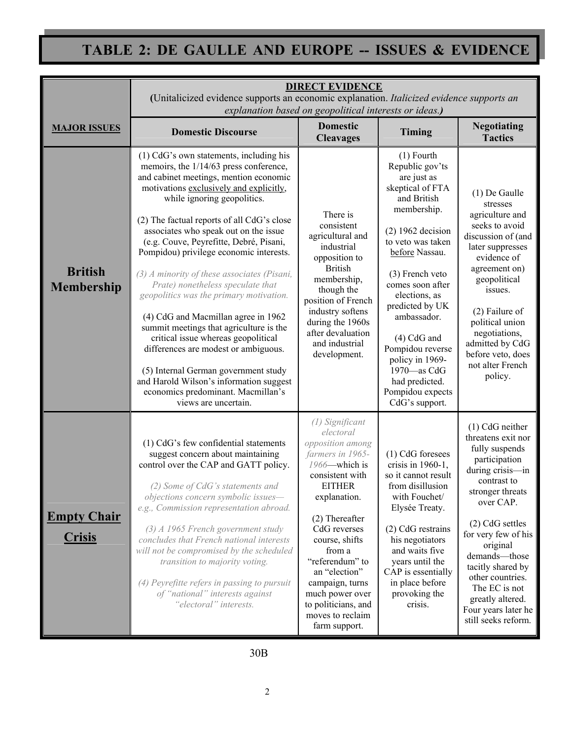# TABLE 2: DE GAULLE AND EUROPE -- ISSUES & EVIDENCE

|                                     | <b>DIRECT EVIDENCE</b><br>(Unitalicized evidence supports an economic explanation. Italicized evidence supports an<br>explanation based on geopolitical interests or ideas.)                                                                                                                                                                                                                                                                                                                                                                                                                                                                                                                                                                                                                                                          |                                                                                                                                                                                                                                                                                                                                               |                                                                                                                                                                                                                                                                                                                                                                                         |                                                                                                                                                                                                                                                                                                                                                   |  |  |  |
|-------------------------------------|---------------------------------------------------------------------------------------------------------------------------------------------------------------------------------------------------------------------------------------------------------------------------------------------------------------------------------------------------------------------------------------------------------------------------------------------------------------------------------------------------------------------------------------------------------------------------------------------------------------------------------------------------------------------------------------------------------------------------------------------------------------------------------------------------------------------------------------|-----------------------------------------------------------------------------------------------------------------------------------------------------------------------------------------------------------------------------------------------------------------------------------------------------------------------------------------------|-----------------------------------------------------------------------------------------------------------------------------------------------------------------------------------------------------------------------------------------------------------------------------------------------------------------------------------------------------------------------------------------|---------------------------------------------------------------------------------------------------------------------------------------------------------------------------------------------------------------------------------------------------------------------------------------------------------------------------------------------------|--|--|--|
| <b>MAJOR ISSUES</b>                 | <b>Domestic Discourse</b>                                                                                                                                                                                                                                                                                                                                                                                                                                                                                                                                                                                                                                                                                                                                                                                                             | <b>Domestic</b><br><b>Cleavages</b>                                                                                                                                                                                                                                                                                                           | <b>Timing</b>                                                                                                                                                                                                                                                                                                                                                                           | <b>Negotiating</b><br><b>Tactics</b>                                                                                                                                                                                                                                                                                                              |  |  |  |
| <b>British</b><br><b>Membership</b> | (1) CdG's own statements, including his<br>memoirs, the 1/14/63 press conference,<br>and cabinet meetings, mention economic<br>motivations exclusively and explicitly,<br>while ignoring geopolitics.<br>(2) The factual reports of all CdG's close<br>associates who speak out on the issue<br>(e.g. Couve, Peyrefitte, Debré, Pisani,<br>Pompidou) privilege economic interests.<br>$(3)$ A minority of these associates (Pisani,<br>Prate) nonetheless speculate that<br>geopolitics was the primary motivation.<br>(4) CdG and Macmillan agree in 1962<br>summit meetings that agriculture is the<br>critical issue whereas geopolitical<br>differences are modest or ambiguous.<br>(5) Internal German government study<br>and Harold Wilson's information suggest<br>economics predominant. Macmillan's<br>views are uncertain. | There is<br>consistent<br>agricultural and<br>industrial<br>opposition to<br><b>British</b><br>membership,<br>though the<br>position of French<br>industry softens<br>during the 1960s<br>after devaluation<br>and industrial<br>development.                                                                                                 | $(1)$ Fourth<br>Republic gov'ts<br>are just as<br>skeptical of FTA<br>and British<br>membership.<br>$(2)$ 1962 decision<br>to veto was taken<br>before Nassau.<br>(3) French veto<br>comes soon after<br>elections, as<br>predicted by UK<br>ambassador.<br>$(4)$ CdG and<br>Pompidou reverse<br>policy in 1969-<br>1970-as CdG<br>had predicted.<br>Pompidou expects<br>CdG's support. | $(1)$ De Gaulle<br>stresses<br>agriculture and<br>seeks to avoid<br>discussion of (and<br>later suppresses<br>evidence of<br>agreement on)<br>geopolitical<br>issues.<br>$(2)$ Failure of<br>political union<br>negotiations,<br>admitted by CdG<br>before veto, does<br>not alter French<br>policy.                                              |  |  |  |
| <b>Empty Chair</b><br><b>Crisis</b> | (1) CdG's few confidential statements<br>suggest concern about maintaining<br>control over the CAP and GATT policy.<br>(2) Some of CdG's statements and<br>objections concern symbolic issues-<br>e.g., Commission representation abroad.<br>$(3)$ A 1965 French government study<br>concludes that French national interests<br>will not be compromised by the scheduled<br>transition to majority voting.<br>(4) Peyrefitte refers in passing to pursuit<br>of "national" interests against<br>"electoral" interests.                                                                                                                                                                                                                                                                                                               | (1) Significant<br>electoral<br>opposition among<br>farmers in 1965-<br>1966-which is<br>consistent with<br><b>EITHER</b><br>explanation.<br>(2) Thereafter<br>CdG reverses<br>course, shifts<br>from a<br>"referendum" to<br>an "election"<br>campaign, turns<br>much power over<br>to politicians, and<br>moves to reclaim<br>farm support. | (1) CdG foresees<br>crisis in $1960-1$ ,<br>so it cannot result<br>from disillusion<br>with Fouchet/<br>Elysée Treaty.<br>(2) CdG restrains<br>his negotiators<br>and waits five<br>years until the<br>CAP is essentially<br>in place before<br>provoking the<br>crisis.                                                                                                                | $(1)$ CdG neither<br>threatens exit nor<br>fully suspends<br>participation<br>during crisis-in<br>contrast to<br>stronger threats<br>over CAP.<br>(2) CdG settles<br>for very few of his<br>original<br>demands-those<br>tacitly shared by<br>other countries.<br>The EC is not<br>greatly altered.<br>Four years later he<br>still seeks reform. |  |  |  |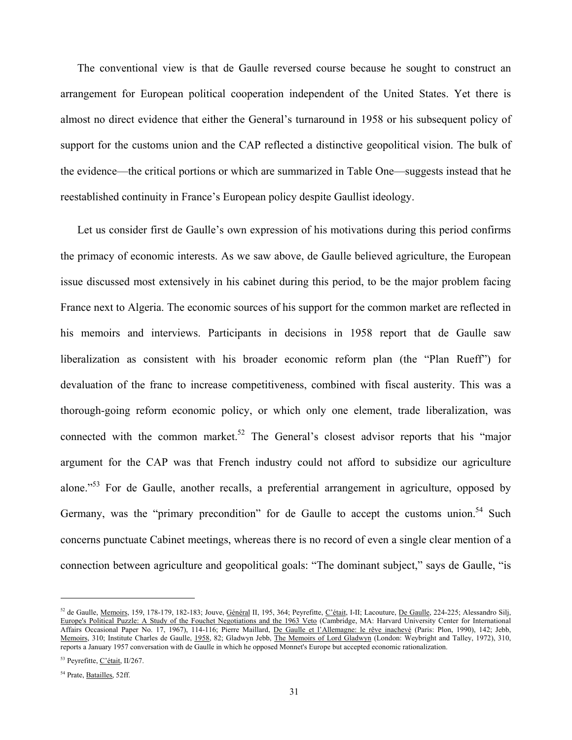The conventional view is that de Gaulle reversed course because he sought to construct an arrangement for European political cooperation independent of the United States. Yet there is almost no direct evidence that either the General's turnaround in 1958 or his subsequent policy of support for the customs union and the CAP reflected a distinctive geopolitical vision. The bulk of the evidence—the critical portions or which are summarized in Table One—suggests instead that he reestablished continuity in France's European policy despite Gaullist ideology.

Let us consider first de Gaulle's own expression of his motivations during this period confirms the primacy of economic interests. As we saw above, de Gaulle believed agriculture, the European issue discussed most extensively in his cabinet during this period, to be the major problem facing France next to Algeria. The economic sources of his support for the common market are reflected in his memoirs and interviews. Participants in decisions in 1958 report that de Gaulle saw liberalization as consistent with his broader economic reform plan (the "Plan Rueff") for devaluation of the franc to increase competitiveness, combined with fiscal austerity. This was a thorough-going reform economic policy, or which only one element, trade liberalization, was connected with the common market.<sup>52</sup> The General's closest advisor reports that his "major argument for the CAP was that French industry could not afford to subsidize our agriculture alone."<sup>53</sup> For de Gaulle, another recalls, a preferential arrangement in agriculture, opposed by Germany, was the "primary precondition" for de Gaulle to accept the customs union.<sup>54</sup> Such concerns punctuate Cabinet meetings, whereas there is no record of even a single clear mention of a connection between agriculture and geopolitical goals: "The dominant subject," says de Gaulle, "is

<sup>&</sup>lt;sup>52</sup> de Gaulle, <u>Memoirs</u>, 159, 178-179, 182-183; Jouve, Général II, 195, 364; Peyrefitte, C'était, I-II; Lacouture, De Gaulle, 224-225; Alessandro Silj, Europe's Political Puzzle: A Study of the Fouchet Negotiations and the 1963 Veto (Cambridge, MA: Harvard University Center for International Affairs Occasional Paper No. 17, 1967), 114-116; Pierre Maillard, De Gaulle et l'Allemagne: le rêve inachevé (Paris: Plon, 1990), 142; Jebb, Memoirs, 310; Institute Charles de Gaulle, 1958, 82; Gladwyn Jebb, The Memoirs of Lord Gladwyn (London: Weybright and Talley, 1972), 310, reports a January 1957 conversation with de Gaulle in which he opposed Monnet's Europe but accepted economic rationalization.

<sup>&</sup>lt;sup>53</sup> Peyrefitte, C'était, II/267.

<sup>&</sup>lt;sup>54</sup> Prate, Batailles, 52ff.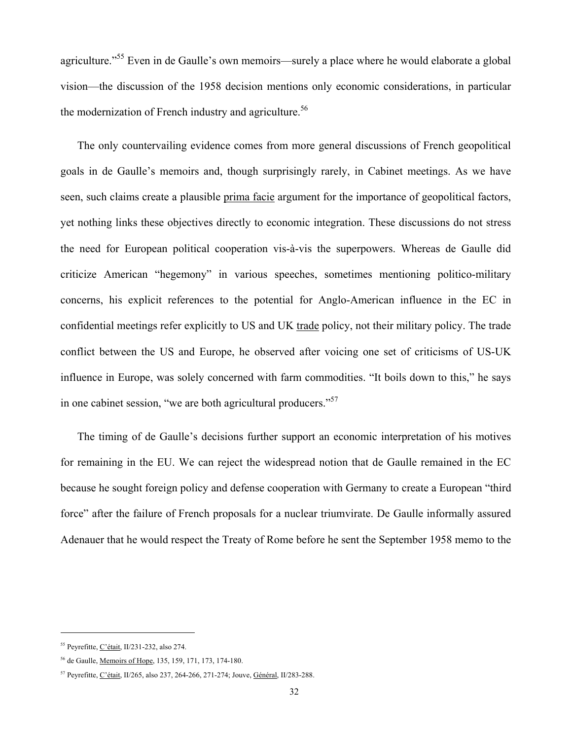agriculture."<sup>55</sup> Even in de Gaulle's own memoirs—surely a place where he would elaborate a global vision—the discussion of the 1958 decision mentions only economic considerations, in particular the modernization of French industry and agriculture.<sup>56</sup>

The only countervailing evidence comes from more general discussions of French geopolitical goals in de Gaulle's memoirs and, though surprisingly rarely, in Cabinet meetings. As we have seen, such claims create a plausible prima facie argument for the importance of geopolitical factors, yet nothing links these objectives directly to economic integration. These discussions do not stress the need for European political cooperation vis-à-vis the superpowers. Whereas de Gaulle did criticize American "hegemony" in various speeches, sometimes mentioning politico-military concerns, his explicit references to the potential for Anglo-American influence in the EC in confidential meetings refer explicitly to US and UK trade policy, not their military policy. The trade conflict between the US and Europe, he observed after voicing one set of criticisms of US-UK influence in Europe, was solely concerned with farm commodities. "It boils down to this," he says in one cabinet session, "we are both agricultural producers."<sup>57</sup>

The timing of de Gaulle's decisions further support an economic interpretation of his motives for remaining in the EU. We can reject the widespread notion that de Gaulle remained in the EC because he sought foreign policy and defense cooperation with Germany to create a European "third force" after the failure of French proposals for a nuclear triumvirate. De Gaulle informally assured Adenauer that he would respect the Treaty of Rome before he sent the September 1958 memo to the

<sup>55</sup> Peyrefitte, C'était, II/231-232, also 274.

<sup>56</sup> de Gaulle, Memoirs of Hope, 135, 159, 171, 173, 174-180.

<sup>57</sup> Peyrefitte, C'était, II/265, also 237, 264-266, 271-274; Jouve, Général, II/283-288.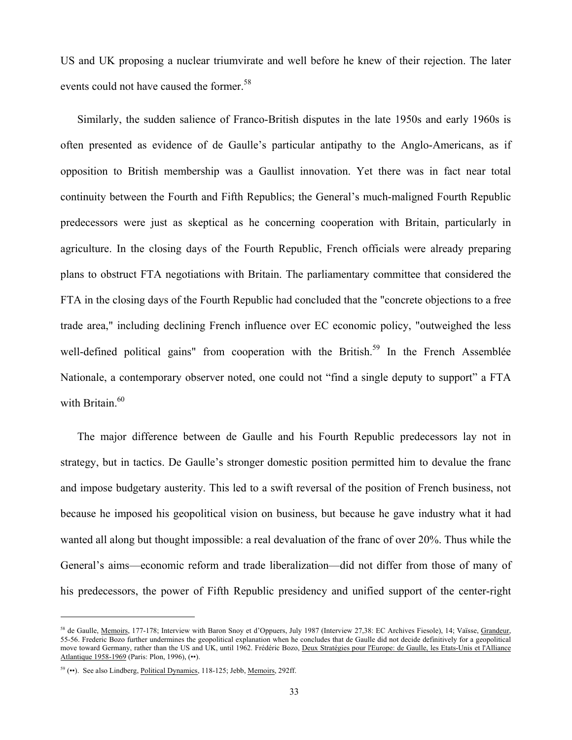US and UK proposing a nuclear triumvirate and well before he knew of their rejection. The later events could not have caused the former.<sup>58</sup>

Similarly, the sudden salience of Franco-British disputes in the late 1950s and early 1960s is often presented as evidence of de Gaulle's particular antipathy to the Anglo-Americans, as if opposition to British membership was a Gaullist innovation. Yet there was in fact near total continuity between the Fourth and Fifth Republics; the General's much-maligned Fourth Republic predecessors were just as skeptical as he concerning cooperation with Britain, particularly in agriculture. In the closing days of the Fourth Republic, French officials were already preparing plans to obstruct FTA negotiations with Britain. The parliamentary committee that considered the FTA in the closing days of the Fourth Republic had concluded that the "concrete objections to a free trade area," including declining French influence over EC economic policy, "outweighed the less well-defined political gains" from cooperation with the British.<sup>59</sup> In the French Assemblée Nationale, a contemporary observer noted, one could not "find a single deputy to support" a FTA with Britain. $60$ 

The major difference between de Gaulle and his Fourth Republic predecessors lay not in strategy, but in tactics. De Gaulle's stronger domestic position permitted him to devalue the franc and impose budgetary austerity. This led to a swift reversal of the position of French business, not because he imposed his geopolitical vision on business, but because he gave industry what it had wanted all along but thought impossible: a real devaluation of the franc of over 20%. Thus while the General's aims—economic reform and trade liberalization—did not differ from those of many of his predecessors, the power of Fifth Republic presidency and unified support of the center-right

<sup>58</sup> de Gaulle, Memoirs, 177-178; Interview with Baron Snoy et d'Oppuers, July 1987 (Interview 27,38: EC Archives Fiesole), 14; Vaïsse, Grandeur, 55-56. Frederic Bozo further undermines the geopolitical explanation when he concludes that de Gaulle did not decide definitively for a geopolitical move toward Germany, rather than the US and UK, until 1962. Frédéric Bozo, Deux Stratégies pour l'Europe: de Gaulle, les Etats-Unis et l'Alliance Atlantique 1958-1969 (Paris: Plon, 1996), (••).

<sup>59 (••).</sup> See also Lindberg, Political Dynamics, 118-125; Jebb, Memoirs, 292ff.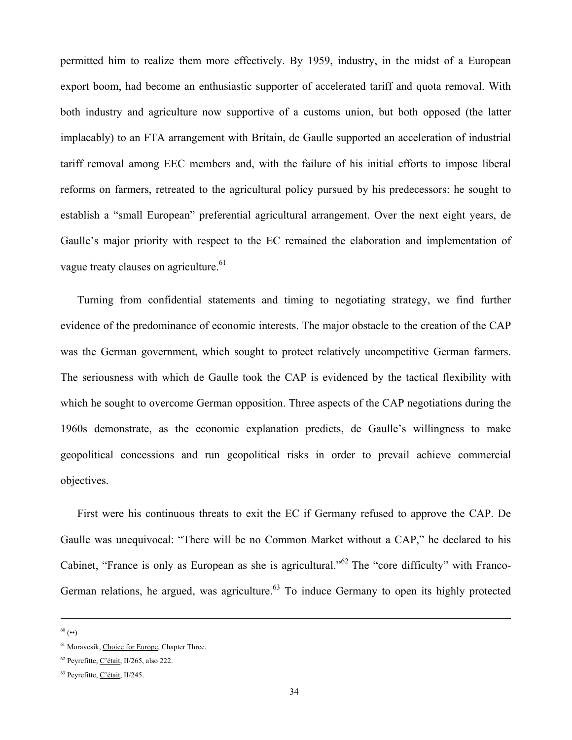permitted him to realize them more effectively. By 1959, industry, in the midst of a European export boom, had become an enthusiastic supporter of accelerated tariff and quota removal. With both industry and agriculture now supportive of a customs union, but both opposed (the latter implacably) to an FTA arrangement with Britain, de Gaulle supported an acceleration of industrial tariff removal among EEC members and, with the failure of his initial efforts to impose liberal reforms on farmers, retreated to the agricultural policy pursued by his predecessors: he sought to establish a "small European" preferential agricultural arrangement. Over the next eight years, de Gaulle's major priority with respect to the EC remained the elaboration and implementation of vague treaty clauses on agriculture.<sup>61</sup>

Turning from confidential statements and timing to negotiating strategy, we find further evidence of the predominance of economic interests. The major obstacle to the creation of the CAP was the German government, which sought to protect relatively uncompetitive German farmers. The seriousness with which de Gaulle took the CAP is evidenced by the tactical flexibility with which he sought to overcome German opposition. Three aspects of the CAP negotiations during the 1960s demonstrate, as the economic explanation predicts, de Gaulle's willingness to make geopolitical concessions and run geopolitical risks in order to prevail achieve commercial objectives.

First were his continuous threats to exit the EC if Germany refused to approve the CAP. De Gaulle was unequivocal: "There will be no Common Market without a CAP," he declared to his Cabinet, "France is only as European as she is agricultural."<sup>62</sup> The "core difficulty" with Franco-German relations, he argued, was agriculture.<sup>63</sup> To induce Germany to open its highly protected

-

 $60$  ( $\bullet\bullet$ )

<sup>&</sup>lt;sup>61</sup> Moravcsik, Choice for Europe, Chapter Three.

<sup>62</sup> Peyrefitte, C'était, II/265, also 222.

<sup>63</sup> Peyrefitte, C'était, II/245.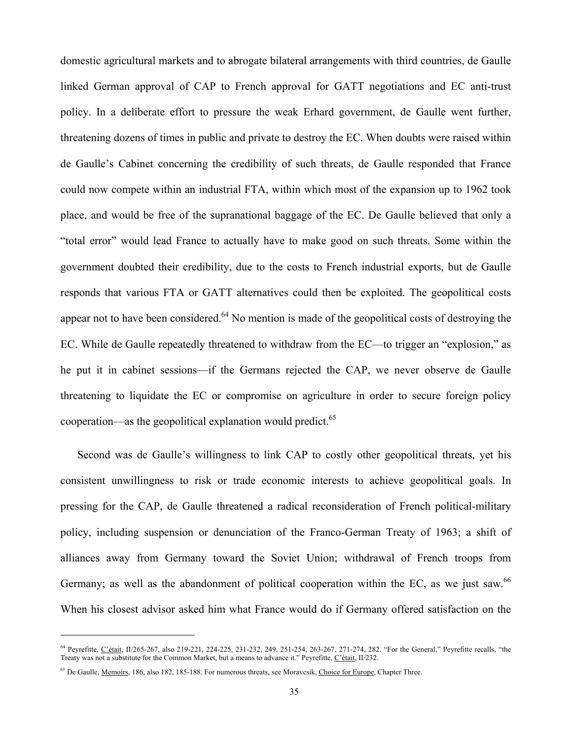domestic agricultural markets and to abrogate bilateral arrangements with third countries, de Gaulle linked German approval of CAP to French approval for GATT negotiations and EC anti-trust policy. In a deliberate effort to pressure the weak Erhard government, de Gaulle went further, threatening dozens of times in public and private to destroy the EC. When doubts were raised within de Gaulle's Cabinet concerning the credibility of such threats, de Gaulle responded that France could now compete within an industrial FTA, within which most of the expansion up to 1962 took place, and would be free of the supranational baggage of the EC. De Gaulle believed that only a "total error" would lead France to actually have to make good on such threats. Some within the government doubted their credibility, due to the costs to French industrial exports, but de Gaulle responds that various FTA or GATT alternatives could then be exploited. The geopolitical costs appear not to have been considered.<sup>64</sup> No mention is made of the geopolitical costs of destroying the EC. While de Gaulle repeatedly threatened to withdraw from the EC—to trigger an "explosion," as he put it in cabinet sessions—if the Germans rejected the CAP, we never observe de Gaulle threatening to liquidate the EC or compromise on agriculture in order to secure foreign policy cooperation—as the geopolitical explanation would predict. $65$ 

Second was de Gaulle's willingness to link CAP to costly other geopolitical threats, yet his consistent unwillingness to risk or trade economic interests to achieve geopolitical goals. In pressing for the CAP, de Gaulle threatened a radical reconsideration of French political-military policy, including suspension or denunciation of the Franco-German Treaty of 1963; a shift of alliances away from Germany toward the Soviet Union; withdrawal of French troops from Germany; as well as the abandonment of political cooperation within the EC, as we just saw.<sup>66</sup> When his closest advisor asked him what France would do if Germany offered satisfaction on the

<sup>64</sup> Peyrefitte, C'était, II/265-267, also 219-221, 224-225, 231-232, 249, 251-254, 263-267, 271-274, 282. "For the General," Peyrefitte recalls, "the Treaty was not a substitute for the Common Market, but a means to advance it." Peyrefitte, C'était, II/232.

<sup>&</sup>lt;sup>65</sup> De Gaulle, <u>Memoirs</u>, 186, also 182, 185-188. For numerous threats, see Moravcsik, Choice for Europe, Chapter Three.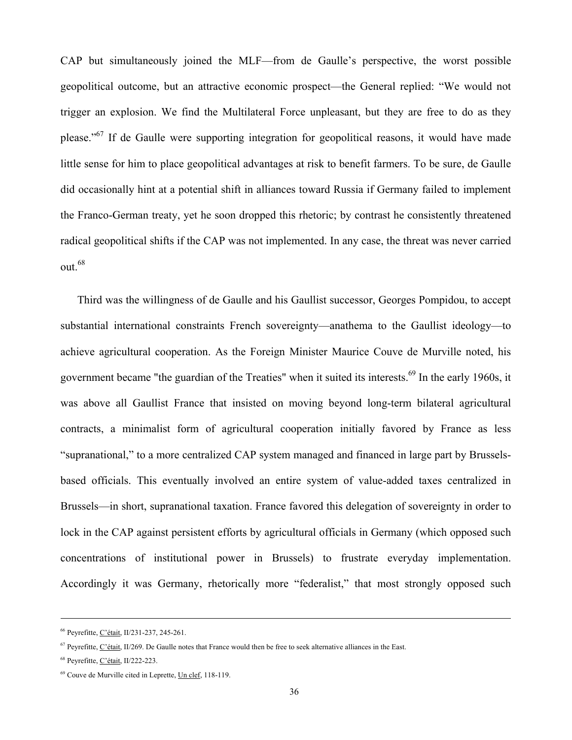CAP but simultaneously joined the MLF—from de Gaulle's perspective, the worst possible geopolitical outcome, but an attractive economic prospect—the General replied: "We would not trigger an explosion. We find the Multilateral Force unpleasant, but they are free to do as they please."<sup>67</sup> If de Gaulle were supporting integration for geopolitical reasons, it would have made little sense for him to place geopolitical advantages at risk to benefit farmers. To be sure, de Gaulle did occasionally hint at a potential shift in alliances toward Russia if Germany failed to implement the Franco-German treaty, yet he soon dropped this rhetoric; by contrast he consistently threatened radical geopolitical shifts if the CAP was not implemented. In any case, the threat was never carried out.<sup>68</sup>

Third was the willingness of de Gaulle and his Gaullist successor, Georges Pompidou, to accept substantial international constraints French sovereignty—anathema to the Gaullist ideology—to achieve agricultural cooperation. As the Foreign Minister Maurice Couve de Murville noted, his government became "the guardian of the Treaties" when it suited its interests.<sup>69</sup> In the early 1960s, it was above all Gaullist France that insisted on moving beyond long-term bilateral agricultural contracts, a minimalist form of agricultural cooperation initially favored by France as less "supranational," to a more centralized CAP system managed and financed in large part by Brusselsbased officials. This eventually involved an entire system of value-added taxes centralized in Brussels—in short, supranational taxation. France favored this delegation of sovereignty in order to lock in the CAP against persistent efforts by agricultural officials in Germany (which opposed such concentrations of institutional power in Brussels) to frustrate everyday implementation. Accordingly it was Germany, rhetorically more "federalist," that most strongly opposed such

-

<sup>66</sup> Peyrefitte, C'était, II/231-237, 245-261.

 $67$  Peyrefitte, C'était, II/269. De Gaulle notes that France would then be free to seek alternative alliances in the East.

<sup>68</sup> Peyrefitte, C'était, II/222-223.

<sup>69</sup> Couve de Murville cited in Leprette, Un clef, 118-119.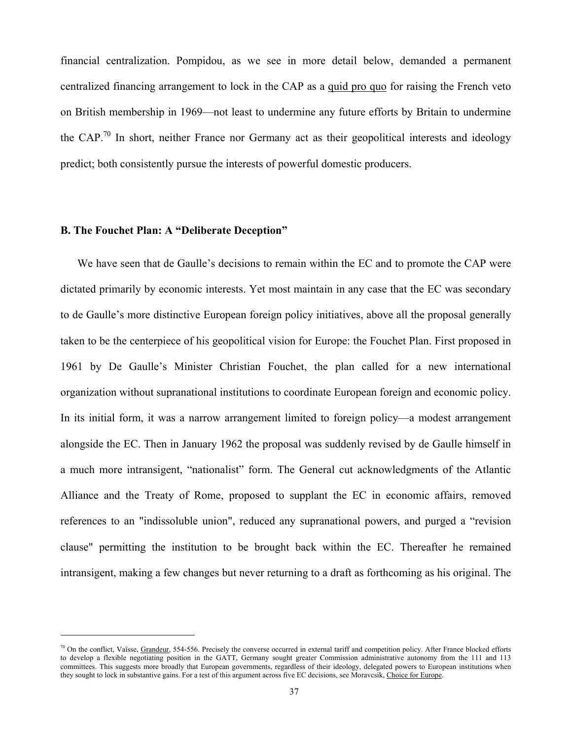financial centralization. Pompidou, as we see in more detail below, demanded a permanent centralized financing arrangement to lock in the CAP as a quid pro quo for raising the French veto on British membership in 1969—not least to undermine any future efforts by Britain to undermine the CAP.<sup>70</sup> In short, neither France nor Germany act as their geopolitical interests and ideology predict; both consistently pursue the interests of powerful domestic producers.

## **B. The Fouchet Plan: A "Deliberate Deception"**

l

We have seen that de Gaulle's decisions to remain within the EC and to promote the CAP were dictated primarily by economic interests. Yet most maintain in any case that the EC was secondary to de Gaulle's more distinctive European foreign policy initiatives, above all the proposal generally taken to be the centerpiece of his geopolitical vision for Europe: the Fouchet Plan. First proposed in 1961 by De Gaulle's Minister Christian Fouchet, the plan called for a new international organization without supranational institutions to coordinate European foreign and economic policy. In its initial form, it was a narrow arrangement limited to foreign policy—a modest arrangement alongside the EC. Then in January 1962 the proposal was suddenly revised by de Gaulle himself in a much more intransigent, "nationalist" form. The General cut acknowledgments of the Atlantic Alliance and the Treaty of Rome, proposed to supplant the EC in economic affairs, removed references to an "indissoluble union", reduced any supranational powers, and purged a "revision clause" permitting the institution to be brought back within the EC. Thereafter he remained intransigent, making a few changes but never returning to a draft as forthcoming as his original. The

 $70$  On the conflict, Vaïsse, Grandeur, 554-556. Precisely the converse occurred in external tariff and competition policy. After France blocked efforts to develop a flexible negotiating position in the GATT, Germany sought greater Commission administrative autonomy from the 111 and 113 committees. This suggests more broadly that European governments, regardless of their ideology, delegated powers to European institutions when they sought to lock in substantive gains. For a test of this argument across five EC decisions, see Moravcsik, Choice for Europe.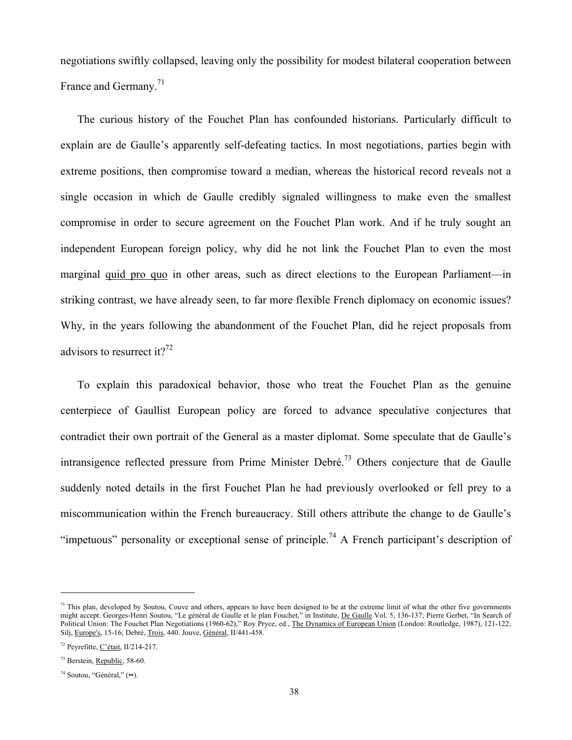negotiations swiftly collapsed, leaving only the possibility for modest bilateral cooperation between France and Germany.<sup>71</sup>

The curious history of the Fouchet Plan has confounded historians. Particularly difficult to explain are de Gaulle's apparently self-defeating tactics. In most negotiations, parties begin with extreme positions, then compromise toward a median, whereas the historical record reveals not a single occasion in which de Gaulle credibly signaled willingness to make even the smallest compromise in order to secure agreement on the Fouchet Plan work. And if he truly sought an independent European foreign policy, why did he not link the Fouchet Plan to even the most marginal quid pro quo in other areas, such as direct elections to the European Parliament—in striking contrast, we have already seen, to far more flexible French diplomacy on economic issues? Why, in the years following the abandonment of the Fouchet Plan, did he reject proposals from advisors to resurrect it?<sup>72</sup>

To explain this paradoxical behavior, those who treat the Fouchet Plan as the genuine centerpiece of Gaullist European policy are forced to advance speculative conjectures that contradict their own portrait of the General as a master diplomat. Some speculate that de Gaulle's intransigence reflected pressure from Prime Minister Debré.<sup>73</sup> Others conjecture that de Gaulle suddenly noted details in the first Fouchet Plan he had previously overlooked or fell prey to a miscommunication within the French bureaucracy. Still others attribute the change to de Gaulle's "impetuous" personality or exceptional sense of principle.<sup>74</sup> A French participant's description of

 $<sup>71</sup>$  This plan, developed by Soutou, Couve and others, appears to have been designed to be at the extreme limit of what the other five governments</sup> might accept. Georges-Henri Soutou, "Le général de Gaulle et le plan Fouchet," in Institute, De Gaulle Vol. 5, 136-137; Pierre Gerbet, "In Search of Political Union: The Fouchet Plan Negotiations (1960-62)," Roy Pryce, ed., The Dynamics of European Union (London: Routledge, 1987), 121-122; Silj, Europe's, 15-16; Debré, Trois, 440. Jouve, Général, II/441-458.

<sup>72</sup> Peyrefitte, C'était, II/214-217.

<sup>73</sup> Berstein, Republic, 58-60.

<sup>74</sup> Soutou, "Général," (••).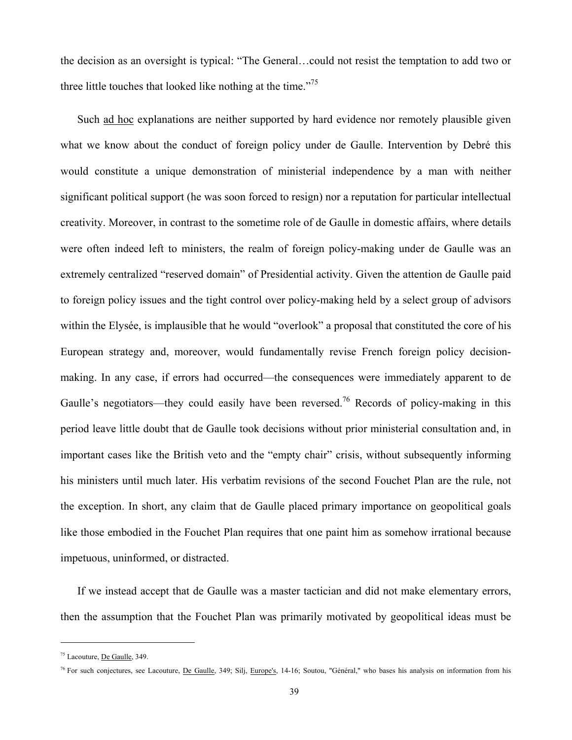the decision as an oversight is typical: "The General…could not resist the temptation to add two or three little touches that looked like nothing at the time."<sup>75</sup>

Such ad hoc explanations are neither supported by hard evidence nor remotely plausible given what we know about the conduct of foreign policy under de Gaulle. Intervention by Debré this would constitute a unique demonstration of ministerial independence by a man with neither significant political support (he was soon forced to resign) nor a reputation for particular intellectual creativity. Moreover, in contrast to the sometime role of de Gaulle in domestic affairs, where details were often indeed left to ministers, the realm of foreign policy-making under de Gaulle was an extremely centralized "reserved domain" of Presidential activity. Given the attention de Gaulle paid to foreign policy issues and the tight control over policy-making held by a select group of advisors within the Elysée, is implausible that he would "overlook" a proposal that constituted the core of his European strategy and, moreover, would fundamentally revise French foreign policy decisionmaking. In any case, if errors had occurred—the consequences were immediately apparent to de Gaulle's negotiators—they could easily have been reversed.<sup>76</sup> Records of policy-making in this period leave little doubt that de Gaulle took decisions without prior ministerial consultation and, in important cases like the British veto and the "empty chair" crisis, without subsequently informing his ministers until much later. His verbatim revisions of the second Fouchet Plan are the rule, not the exception. In short, any claim that de Gaulle placed primary importance on geopolitical goals like those embodied in the Fouchet Plan requires that one paint him as somehow irrational because impetuous, uninformed, or distracted.

If we instead accept that de Gaulle was a master tactician and did not make elementary errors, then the assumption that the Fouchet Plan was primarily motivated by geopolitical ideas must be

<sup>&</sup>lt;sup>75</sup> Lacouture, De Gaulle, 349.

<sup>&</sup>lt;sup>76</sup> For such conjectures, see Lacouture, De Gaulle, 349; Silj, Europe's, 14-16; Soutou, "Général," who bases his analysis on information from his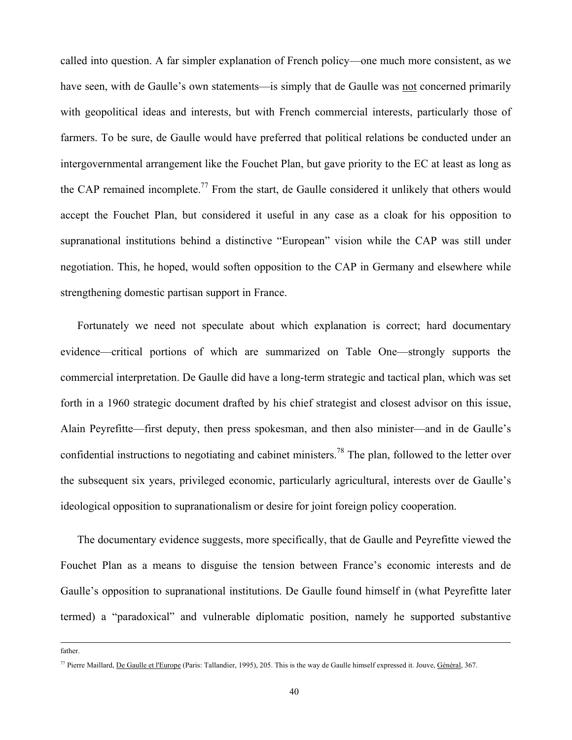called into question. A far simpler explanation of French policy—one much more consistent, as we have seen, with de Gaulle's own statements—is simply that de Gaulle was not concerned primarily with geopolitical ideas and interests, but with French commercial interests, particularly those of farmers. To be sure, de Gaulle would have preferred that political relations be conducted under an intergovernmental arrangement like the Fouchet Plan, but gave priority to the EC at least as long as the CAP remained incomplete.<sup>77</sup> From the start, de Gaulle considered it unlikely that others would accept the Fouchet Plan, but considered it useful in any case as a cloak for his opposition to supranational institutions behind a distinctive "European" vision while the CAP was still under negotiation. This, he hoped, would soften opposition to the CAP in Germany and elsewhere while strengthening domestic partisan support in France.

Fortunately we need not speculate about which explanation is correct; hard documentary evidence—critical portions of which are summarized on Table One—strongly supports the commercial interpretation. De Gaulle did have a long-term strategic and tactical plan, which was set forth in a 1960 strategic document drafted by his chief strategist and closest advisor on this issue, Alain Peyrefitte—first deputy, then press spokesman, and then also minister—and in de Gaulle's confidential instructions to negotiating and cabinet ministers.<sup>78</sup> The plan, followed to the letter over the subsequent six years, privileged economic, particularly agricultural, interests over de Gaulle's ideological opposition to supranationalism or desire for joint foreign policy cooperation.

The documentary evidence suggests, more specifically, that de Gaulle and Peyrefitte viewed the Fouchet Plan as a means to disguise the tension between France's economic interests and de Gaulle's opposition to supranational institutions. De Gaulle found himself in (what Peyrefitte later termed) a "paradoxical" and vulnerable diplomatic position, namely he supported substantive

father.

<sup>77</sup> Pierre Maillard, De Gaulle et l'Europe (Paris: Tallandier, 1995), 205. This is the way de Gaulle himself expressed it. Jouve, Général, 367.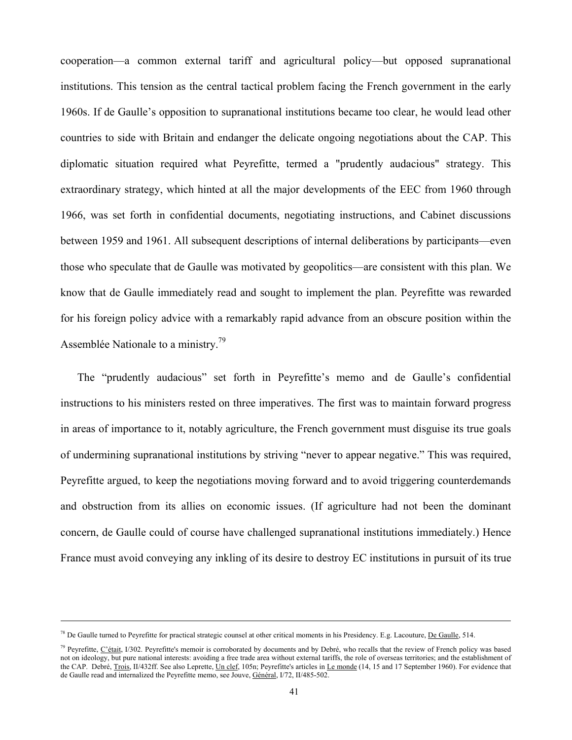cooperation—a common external tariff and agricultural policy—but opposed supranational institutions. This tension as the central tactical problem facing the French government in the early 1960s. If de Gaulle's opposition to supranational institutions became too clear, he would lead other countries to side with Britain and endanger the delicate ongoing negotiations about the CAP. This diplomatic situation required what Peyrefitte, termed a "prudently audacious" strategy. This extraordinary strategy, which hinted at all the major developments of the EEC from 1960 through 1966, was set forth in confidential documents, negotiating instructions, and Cabinet discussions between 1959 and 1961. All subsequent descriptions of internal deliberations by participants—even those who speculate that de Gaulle was motivated by geopolitics—are consistent with this plan. We know that de Gaulle immediately read and sought to implement the plan. Peyrefitte was rewarded for his foreign policy advice with a remarkably rapid advance from an obscure position within the Assemblée Nationale to a ministry.<sup>79</sup>

The "prudently audacious" set forth in Peyrefitte's memo and de Gaulle's confidential instructions to his ministers rested on three imperatives. The first was to maintain forward progress in areas of importance to it, notably agriculture, the French government must disguise its true goals of undermining supranational institutions by striving "never to appear negative." This was required, Peyrefitte argued, to keep the negotiations moving forward and to avoid triggering counterdemands and obstruction from its allies on economic issues. (If agriculture had not been the dominant concern, de Gaulle could of course have challenged supranational institutions immediately.) Hence France must avoid conveying any inkling of its desire to destroy EC institutions in pursuit of its true

-

<sup>&</sup>lt;sup>78</sup> De Gaulle turned to Peyrefitte for practical strategic counsel at other critical moments in his Presidency. E.g. Lacouture, De Gaulle, 514.

 $79$  Peyrefitte, C'était, I/302. Peyrefitte's memoir is corroborated by documents and by Debré, who recalls that the review of French policy was based not on ideology, but pure national interests: avoiding a free trade area without external tariffs, the role of overseas territories; and the establishment of the CAP. Debré, Trois, II/432ff. See also Leprette, Un clef, 105n; Peyrefitte's articles in Le monde (14, 15 and 17 September 1960). For evidence that de Gaulle read and internalized the Peyrefitte memo, see Jouve, Général, I/72, II/485-502.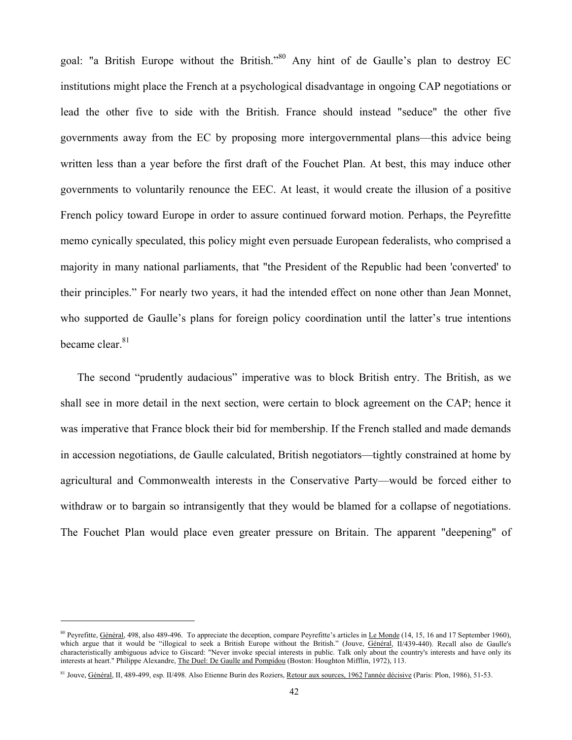goal: "a British Europe without the British."<sup>80</sup> Any hint of de Gaulle's plan to destroy EC institutions might place the French at a psychological disadvantage in ongoing CAP negotiations or lead the other five to side with the British. France should instead "seduce" the other five governments away from the EC by proposing more intergovernmental plans—this advice being written less than a year before the first draft of the Fouchet Plan. At best, this may induce other governments to voluntarily renounce the EEC. At least, it would create the illusion of a positive French policy toward Europe in order to assure continued forward motion. Perhaps, the Peyrefitte memo cynically speculated, this policy might even persuade European federalists, who comprised a majority in many national parliaments, that "the President of the Republic had been 'converted' to their principles." For nearly two years, it had the intended effect on none other than Jean Monnet, who supported de Gaulle's plans for foreign policy coordination until the latter's true intentions became clear.<sup>81</sup>

The second "prudently audacious" imperative was to block British entry. The British, as we shall see in more detail in the next section, were certain to block agreement on the CAP; hence it was imperative that France block their bid for membership. If the French stalled and made demands in accession negotiations, de Gaulle calculated, British negotiators—tightly constrained at home by agricultural and Commonwealth interests in the Conservative Party—would be forced either to withdraw or to bargain so intransigently that they would be blamed for a collapse of negotiations. The Fouchet Plan would place even greater pressure on Britain. The apparent "deepening" of

<sup>&</sup>lt;sup>80</sup> Peyrefitte, Général, 498, also 489-496. To appreciate the deception, compare Peyrefitte's articles in Le Monde (14, 15, 16 and 17 September 1960), which argue that it would be "illogical to seek a British Europe without the British." (Jouve, Général, II/439-440). Recall also de Gaulle's characteristically ambiguous advice to Giscard: "Never invoke special interests in public. Talk only about the country's interests and have only its interests at heart." Philippe Alexandre, The Duel: De Gaulle and Pompidou (Boston: Houghton Mifflin, 1972), 113.

<sup>&</sup>lt;sup>81</sup> Jouve, Général, II, 489-499, esp. II/498. Also Etienne Burin des Roziers, Retour aux sources, 1962 l'année décisive (Paris: Plon, 1986), 51-53.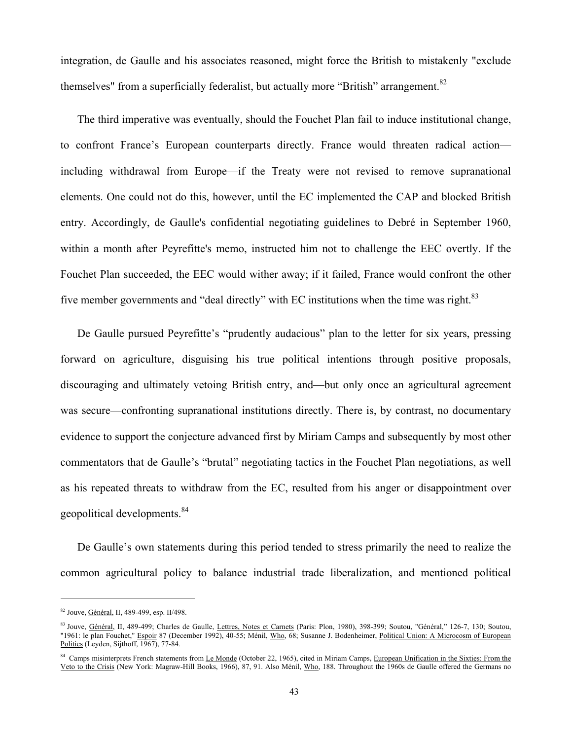integration, de Gaulle and his associates reasoned, might force the British to mistakenly "exclude themselves" from a superficially federalist, but actually more "British" arrangement.  $82$ 

The third imperative was eventually, should the Fouchet Plan fail to induce institutional change, to confront France's European counterparts directly. France would threaten radical action including withdrawal from Europe—if the Treaty were not revised to remove supranational elements. One could not do this, however, until the EC implemented the CAP and blocked British entry. Accordingly, de Gaulle's confidential negotiating guidelines to Debré in September 1960, within a month after Peyrefitte's memo, instructed him not to challenge the EEC overtly. If the Fouchet Plan succeeded, the EEC would wither away; if it failed, France would confront the other five member governments and "deal directly" with EC institutions when the time was right. $83$ 

De Gaulle pursued Peyrefitte's "prudently audacious" plan to the letter for six years, pressing forward on agriculture, disguising his true political intentions through positive proposals, discouraging and ultimately vetoing British entry, and—but only once an agricultural agreement was secure—confronting supranational institutions directly. There is, by contrast, no documentary evidence to support the conjecture advanced first by Miriam Camps and subsequently by most other commentators that de Gaulle's "brutal" negotiating tactics in the Fouchet Plan negotiations, as well as his repeated threats to withdraw from the EC, resulted from his anger or disappointment over geopolitical developments.<sup>84</sup>

De Gaulle's own statements during this period tended to stress primarily the need to realize the common agricultural policy to balance industrial trade liberalization, and mentioned political

<sup>82</sup> Jouve, Général, II, 489-499, esp. II/498.

<sup>83</sup> Jouve, Général, II, 489-499; Charles de Gaulle, Lettres, Notes et Carnets (Paris: Plon, 1980), 398-399; Soutou, "Général," 126-7, 130; Soutou, "1961: le plan Fouchet," Espoir 87 (December 1992), 40-55; Ménil, Who, 68; Susanne J. Bodenheimer, Political Union: A Microcosm of European Politics (Leyden, Sijthoff, 1967), 77-84.

<sup>&</sup>lt;sup>84</sup> Camps misinterprets French statements from Le Monde (October 22, 1965), cited in Miriam Camps, European Unification in the Sixties: From the Veto to the Crisis (New York: Magraw-Hill Books, 1966), 87, 91. Also Ménil, Who, 188. Throughout the 1960s de Gaulle offered the Germans no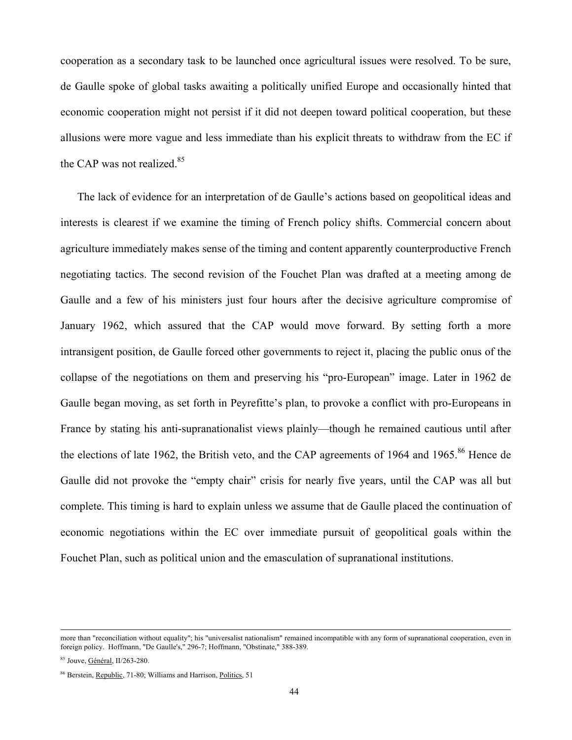cooperation as a secondary task to be launched once agricultural issues were resolved. To be sure, de Gaulle spoke of global tasks awaiting a politically unified Europe and occasionally hinted that economic cooperation might not persist if it did not deepen toward political cooperation, but these allusions were more vague and less immediate than his explicit threats to withdraw from the EC if the CAP was not realized.<sup>85</sup>

The lack of evidence for an interpretation of de Gaulle's actions based on geopolitical ideas and interests is clearest if we examine the timing of French policy shifts. Commercial concern about agriculture immediately makes sense of the timing and content apparently counterproductive French negotiating tactics. The second revision of the Fouchet Plan was drafted at a meeting among de Gaulle and a few of his ministers just four hours after the decisive agriculture compromise of January 1962, which assured that the CAP would move forward. By setting forth a more intransigent position, de Gaulle forced other governments to reject it, placing the public onus of the collapse of the negotiations on them and preserving his "pro-European" image. Later in 1962 de Gaulle began moving, as set forth in Peyrefitte's plan, to provoke a conflict with pro-Europeans in France by stating his anti-supranationalist views plainly—though he remained cautious until after the elections of late 1962, the British veto, and the CAP agreements of 1964 and 1965.<sup>86</sup> Hence de Gaulle did not provoke the "empty chair" crisis for nearly five years, until the CAP was all but complete. This timing is hard to explain unless we assume that de Gaulle placed the continuation of economic negotiations within the EC over immediate pursuit of geopolitical goals within the Fouchet Plan, such as political union and the emasculation of supranational institutions.

more than "reconciliation without equality"; his "universalist nationalism" remained incompatible with any form of supranational cooperation, even in foreign policy. Hoffmann, "De Gaulle's," 296-7; Hoffmann, "Obstinate," 388-389.

<sup>85</sup> Jouve, Général, II/263-280.

<sup>86</sup> Berstein, Republic, 71-80; Williams and Harrison, Politics, 51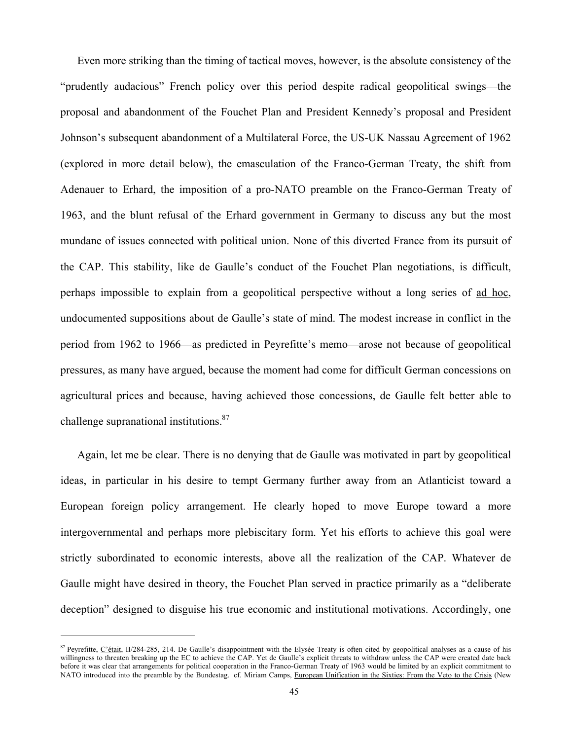Even more striking than the timing of tactical moves, however, is the absolute consistency of the "prudently audacious" French policy over this period despite radical geopolitical swings—the proposal and abandonment of the Fouchet Plan and President Kennedy's proposal and President Johnson's subsequent abandonment of a Multilateral Force, the US-UK Nassau Agreement of 1962 (explored in more detail below), the emasculation of the Franco-German Treaty, the shift from Adenauer to Erhard, the imposition of a pro-NATO preamble on the Franco-German Treaty of 1963, and the blunt refusal of the Erhard government in Germany to discuss any but the most mundane of issues connected with political union. None of this diverted France from its pursuit of the CAP. This stability, like de Gaulle's conduct of the Fouchet Plan negotiations, is difficult, perhaps impossible to explain from a geopolitical perspective without a long series of ad hoc, undocumented suppositions about de Gaulle's state of mind. The modest increase in conflict in the period from 1962 to 1966—as predicted in Peyrefitte's memo—arose not because of geopolitical pressures, as many have argued, because the moment had come for difficult German concessions on agricultural prices and because, having achieved those concessions, de Gaulle felt better able to challenge supranational institutions.<sup>87</sup>

Again, let me be clear. There is no denying that de Gaulle was motivated in part by geopolitical ideas, in particular in his desire to tempt Germany further away from an Atlanticist toward a European foreign policy arrangement. He clearly hoped to move Europe toward a more intergovernmental and perhaps more plebiscitary form. Yet his efforts to achieve this goal were strictly subordinated to economic interests, above all the realization of the CAP. Whatever de Gaulle might have desired in theory, the Fouchet Plan served in practice primarily as a "deliberate deception" designed to disguise his true economic and institutional motivations. Accordingly, one

 $87$  Peyrefitte, C'était, II/284-285, 214. De Gaulle's disappointment with the Elysée Treaty is often cited by geopolitical analyses as a cause of his willingness to threaten breaking up the EC to achieve the CAP. Yet de Gaulle's explicit threats to withdraw unless the CAP were created date back before it was clear that arrangements for political cooperation in the Franco-German Treaty of 1963 would be limited by an explicit commitment to NATO introduced into the preamble by the Bundestag. cf. Miriam Camps, European Unification in the Sixties: From the Veto to the Crisis (New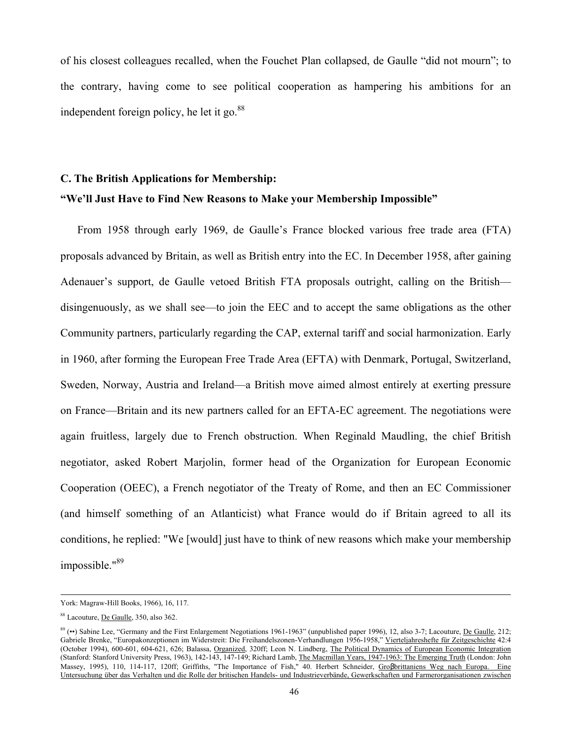of his closest colleagues recalled, when the Fouchet Plan collapsed, de Gaulle "did not mourn"; to the contrary, having come to see political cooperation as hampering his ambitions for an independent foreign policy, he let it go.  $88$ 

## **C. The British Applications for Membership: "We'll Just Have to Find New Reasons to Make your Membership Impossible"**

From 1958 through early 1969, de Gaulle's France blocked various free trade area (FTA) proposals advanced by Britain, as well as British entry into the EC. In December 1958, after gaining Adenauer's support, de Gaulle vetoed British FTA proposals outright, calling on the British disingenuously, as we shall see—to join the EEC and to accept the same obligations as the other Community partners, particularly regarding the CAP, external tariff and social harmonization. Early in 1960, after forming the European Free Trade Area (EFTA) with Denmark, Portugal, Switzerland, Sweden, Norway, Austria and Ireland—a British move aimed almost entirely at exerting pressure on France—Britain and its new partners called for an EFTA-EC agreement. The negotiations were again fruitless, largely due to French obstruction. When Reginald Maudling, the chief British negotiator, asked Robert Marjolin, former head of the Organization for European Economic Cooperation (OEEC), a French negotiator of the Treaty of Rome, and then an EC Commissioner (and himself something of an Atlanticist) what France would do if Britain agreed to all its conditions, he replied: "We [would] just have to think of new reasons which make your membership impossible."89

York: Magraw-Hill Books, 1966), 16, 117.

<sup>&</sup>lt;sup>88</sup> Lacouture, De Gaulle, 350, also 362.

 $89$  (••) Sabine Lee, "Germany and the First Enlargement Negotiations 1961-1963" (unpublished paper 1996), 12, also 3-7; Lacouture, De Gaulle, 212; Gabriele Brenke, "Europakonzeptionen im Widerstreit: Die Freihandelszonen-Verhandlungen 1956-1958," Vierteljahreshefte für Zeitgeschichte 42:4 (October 1994), 600-601, 604-621, 626; Balassa, Organized, 320ff; Leon N. Lindberg, The Political Dynamics of European Economic Integration (Stanford: Stanford University Press, 1963), 142-143, 147-149; Richard Lamb, The Macmillan Years, 1947-1963: The Emerging Truth (London: John Massey, 1995), 110, 114-117, 120ff; Griffiths, "The Importance of Fish," 40. Herbert Schneider, Großbrittaniens Weg nach Europa. Eine Untersuchung über das Verhalten und die Rolle der britischen Handels- und Industrieverbände, Gewerkschaften und Farmerorganisationen zwischen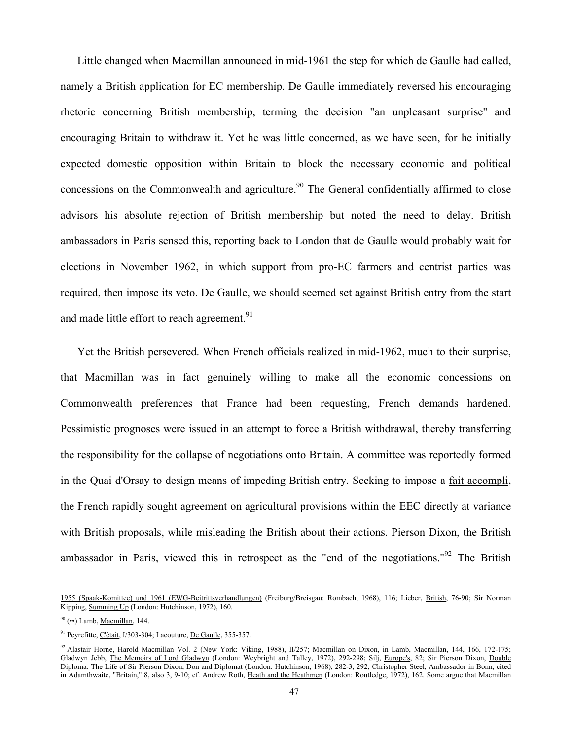Little changed when Macmillan announced in mid-1961 the step for which de Gaulle had called, namely a British application for EC membership. De Gaulle immediately reversed his encouraging rhetoric concerning British membership, terming the decision "an unpleasant surprise" and encouraging Britain to withdraw it. Yet he was little concerned, as we have seen, for he initially expected domestic opposition within Britain to block the necessary economic and political concessions on the Commonwealth and agriculture.<sup>90</sup> The General confidentially affirmed to close advisors his absolute rejection of British membership but noted the need to delay. British ambassadors in Paris sensed this, reporting back to London that de Gaulle would probably wait for elections in November 1962, in which support from pro-EC farmers and centrist parties was required, then impose its veto. De Gaulle, we should seemed set against British entry from the start and made little effort to reach agreement.<sup>91</sup>

Yet the British persevered. When French officials realized in mid-1962, much to their surprise, that Macmillan was in fact genuinely willing to make all the economic concessions on Commonwealth preferences that France had been requesting, French demands hardened. Pessimistic prognoses were issued in an attempt to force a British withdrawal, thereby transferring the responsibility for the collapse of negotiations onto Britain. A committee was reportedly formed in the Quai d'Orsay to design means of impeding British entry. Seeking to impose a fait accompli, the French rapidly sought agreement on agricultural provisions within the EEC directly at variance with British proposals, while misleading the British about their actions. Pierson Dixon, the British ambassador in Paris, viewed this in retrospect as the "end of the negotiations."<sup>92</sup> The British

 <sup>1955 (</sup>Spaak-Komittee) und 1961 (EWG-Beitrittsverhandlungen) (Freiburg/Breisgau: Rombach, 1968), 116; Lieber, British, 76-90; Sir Norman Kipping, Summing Up (London: Hutchinson, 1972), 160.

 $90$  ( $\leftrightarrow$ ) Lamb, Macmillan, 144.

<sup>91</sup> Peyrefitte, C'était, I/303-304; Lacouture, De Gaulle, 355-357.

<sup>92</sup> Alastair Horne, Harold Macmillan Vol. 2 (New York: Viking, 1988), II/257; Macmillan on Dixon, in Lamb, Macmillan, 144, 166, 172-175; Gladwyn Jebb, The Memoirs of Lord Gladwyn (London: Weybright and Talley, 1972), 292-298; Silj, Europe's, 82; Sir Pierson Dixon, Double Diploma: The Life of Sir Pierson Dixon, Don and Diplomat (London: Hutchinson, 1968), 282-3, 292; Christopher Steel, Ambassador in Bonn, cited in Adamthwaite, "Britain," 8, also 3, 9-10; cf. Andrew Roth, Heath and the Heathmen (London: Routledge, 1972), 162. Some argue that Macmillan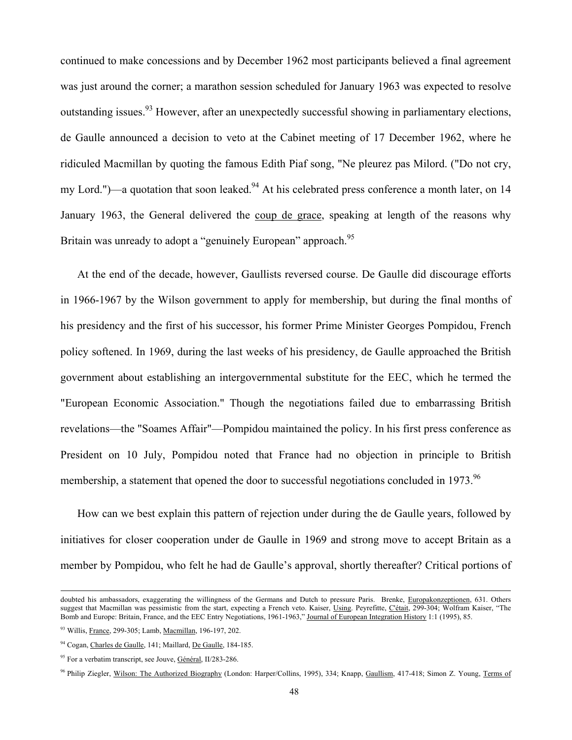continued to make concessions and by December 1962 most participants believed a final agreement was just around the corner; a marathon session scheduled for January 1963 was expected to resolve outstanding issues.<sup>93</sup> However, after an unexpectedly successful showing in parliamentary elections, de Gaulle announced a decision to veto at the Cabinet meeting of 17 December 1962, where he ridiculed Macmillan by quoting the famous Edith Piaf song, "Ne pleurez pas Milord. ("Do not cry, my Lord.")—a quotation that soon leaked. $94$  At his celebrated press conference a month later, on 14 January 1963, the General delivered the coup de grace, speaking at length of the reasons why Britain was unready to adopt a "genuinely European" approach.<sup>95</sup>

At the end of the decade, however, Gaullists reversed course. De Gaulle did discourage efforts in 1966-1967 by the Wilson government to apply for membership, but during the final months of his presidency and the first of his successor, his former Prime Minister Georges Pompidou, French policy softened. In 1969, during the last weeks of his presidency, de Gaulle approached the British government about establishing an intergovernmental substitute for the EEC, which he termed the "European Economic Association." Though the negotiations failed due to embarrassing British revelations—the "Soames Affair"—Pompidou maintained the policy. In his first press conference as President on 10 July, Pompidou noted that France had no objection in principle to British membership, a statement that opened the door to successful negotiations concluded in 1973.<sup>96</sup>

How can we best explain this pattern of rejection under during the de Gaulle years, followed by initiatives for closer cooperation under de Gaulle in 1969 and strong move to accept Britain as a member by Pompidou, who felt he had de Gaulle's approval, shortly thereafter? Critical portions of

doubted his ambassadors, exaggerating the willingness of the Germans and Dutch to pressure Paris. Brenke, Europakonzeptionen, 631. Others suggest that Macmillan was pessimistic from the start, expecting a French veto. Kaiser, Using. Peyrefitte, C'était, 299-304; Wolfram Kaiser, "The Bomb and Europe: Britain, France, and the EEC Entry Negotiations, 1961-1963," Journal of European Integration History 1:1 (1995), 85.

<sup>93</sup> Willis, France, 299-305; Lamb, Macmillan, 196-197, 202.

<sup>94</sup> Cogan, Charles de Gaulle, 141; Maillard, De Gaulle, 184-185.

<sup>&</sup>lt;sup>95</sup> For a verbatim transcript, see Jouve, Général, II/283-286.

<sup>96</sup> Philip Ziegler, Wilson: The Authorized Biography (London: Harper/Collins, 1995), 334; Knapp, Gaullism, 417-418; Simon Z. Young, Terms of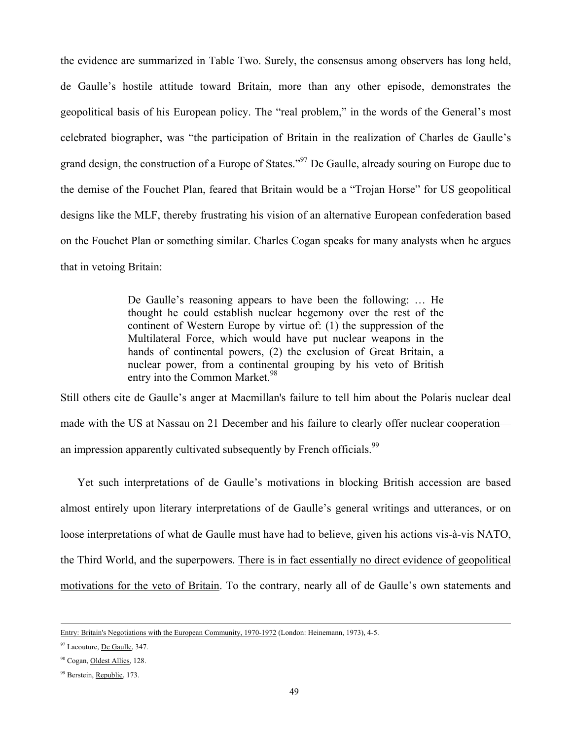the evidence are summarized in Table Two. Surely, the consensus among observers has long held, de Gaulle's hostile attitude toward Britain, more than any other episode, demonstrates the geopolitical basis of his European policy. The "real problem," in the words of the General's most celebrated biographer, was "the participation of Britain in the realization of Charles de Gaulle's grand design, the construction of a Europe of States."<sup>97</sup> De Gaulle, already souring on Europe due to the demise of the Fouchet Plan, feared that Britain would be a "Trojan Horse" for US geopolitical designs like the MLF, thereby frustrating his vision of an alternative European confederation based on the Fouchet Plan or something similar. Charles Cogan speaks for many analysts when he argues that in vetoing Britain:

> De Gaulle's reasoning appears to have been the following: … He thought he could establish nuclear hegemony over the rest of the continent of Western Europe by virtue of: (1) the suppression of the Multilateral Force, which would have put nuclear weapons in the hands of continental powers, (2) the exclusion of Great Britain, a nuclear power, from a continental grouping by his veto of British entry into the Common Market.<sup>98</sup>

Still others cite de Gaulle's anger at Macmillan's failure to tell him about the Polaris nuclear deal made with the US at Nassau on 21 December and his failure to clearly offer nuclear cooperation an impression apparently cultivated subsequently by French officials.<sup>99</sup>

Yet such interpretations of de Gaulle's motivations in blocking British accession are based almost entirely upon literary interpretations of de Gaulle's general writings and utterances, or on loose interpretations of what de Gaulle must have had to believe, given his actions vis-à-vis NATO, the Third World, and the superpowers. There is in fact essentially no direct evidence of geopolitical motivations for the veto of Britain. To the contrary, nearly all of de Gaulle's own statements and

Entry: Britain's Negotiations with the European Community, 1970-1972 (London: Heinemann, 1973), 4-5.

<sup>97</sup> Lacouture, De Gaulle, 347.

<sup>98</sup> Cogan, Oldest Allies, 128.

<sup>&</sup>lt;sup>99</sup> Berstein, Republic, 173.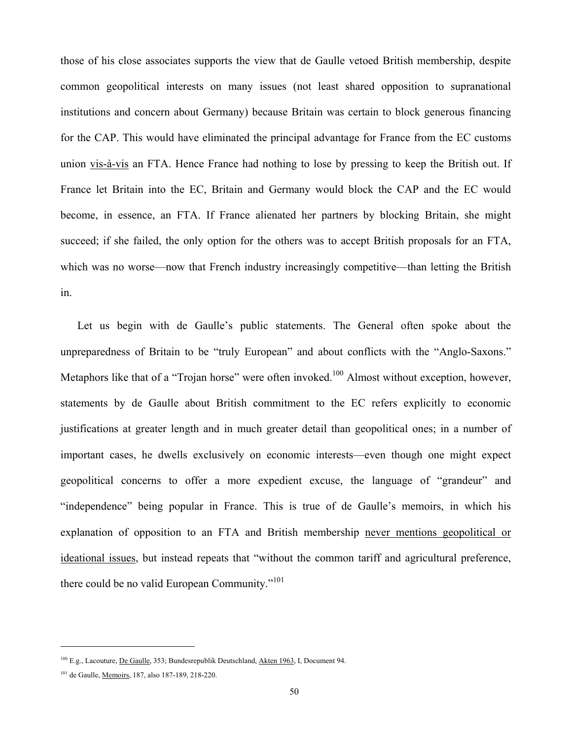those of his close associates supports the view that de Gaulle vetoed British membership, despite common geopolitical interests on many issues (not least shared opposition to supranational institutions and concern about Germany) because Britain was certain to block generous financing for the CAP. This would have eliminated the principal advantage for France from the EC customs union vis-à-vis an FTA. Hence France had nothing to lose by pressing to keep the British out. If France let Britain into the EC, Britain and Germany would block the CAP and the EC would become, in essence, an FTA. If France alienated her partners by blocking Britain, she might succeed; if she failed, the only option for the others was to accept British proposals for an FTA, which was no worse—now that French industry increasingly competitive—than letting the British in.

Let us begin with de Gaulle's public statements. The General often spoke about the unpreparedness of Britain to be "truly European" and about conflicts with the "Anglo-Saxons." Metaphors like that of a "Trojan horse" were often invoked.<sup>100</sup> Almost without exception, however, statements by de Gaulle about British commitment to the EC refers explicitly to economic justifications at greater length and in much greater detail than geopolitical ones; in a number of important cases, he dwells exclusively on economic interests—even though one might expect geopolitical concerns to offer a more expedient excuse, the language of "grandeur" and "independence" being popular in France. This is true of de Gaulle's memoirs, in which his explanation of opposition to an FTA and British membership never mentions geopolitical or ideational issues, but instead repeats that "without the common tariff and agricultural preference, there could be no valid European Community."<sup>101</sup>

<sup>&</sup>lt;sup>100</sup> E.g., Lacouture, De Gaulle, 353; Bundesrepublik Deutschland, Akten 1963, I, Document 94.

<sup>101</sup> de Gaulle, Memoirs, 187, also 187-189, 218-220.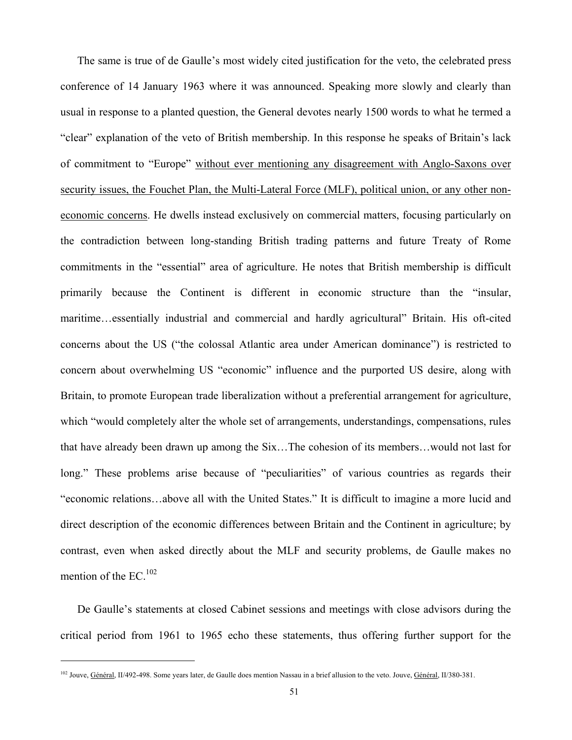The same is true of de Gaulle's most widely cited justification for the veto, the celebrated press conference of 14 January 1963 where it was announced. Speaking more slowly and clearly than usual in response to a planted question, the General devotes nearly 1500 words to what he termed a "clear" explanation of the veto of British membership. In this response he speaks of Britain's lack of commitment to "Europe" without ever mentioning any disagreement with Anglo-Saxons over security issues, the Fouchet Plan, the Multi-Lateral Force (MLF), political union, or any other noneconomic concerns. He dwells instead exclusively on commercial matters, focusing particularly on the contradiction between long-standing British trading patterns and future Treaty of Rome commitments in the "essential" area of agriculture. He notes that British membership is difficult primarily because the Continent is different in economic structure than the "insular, maritime…essentially industrial and commercial and hardly agricultural" Britain. His oft-cited concerns about the US ("the colossal Atlantic area under American dominance") is restricted to concern about overwhelming US "economic" influence and the purported US desire, along with Britain, to promote European trade liberalization without a preferential arrangement for agriculture, which "would completely alter the whole set of arrangements, understandings, compensations, rules that have already been drawn up among the Six…The cohesion of its members…would not last for long." These problems arise because of "peculiarities" of various countries as regards their "economic relations…above all with the United States." It is difficult to imagine a more lucid and direct description of the economic differences between Britain and the Continent in agriculture; by contrast, even when asked directly about the MLF and security problems, de Gaulle makes no mention of the  $EC^{102}$ 

De Gaulle's statements at closed Cabinet sessions and meetings with close advisors during the critical period from 1961 to 1965 echo these statements, thus offering further support for the

<sup>&</sup>lt;sup>102</sup> Jouve, Général, II/492-498. Some years later, de Gaulle does mention Nassau in a brief allusion to the veto. Jouve, Général, II/380-381.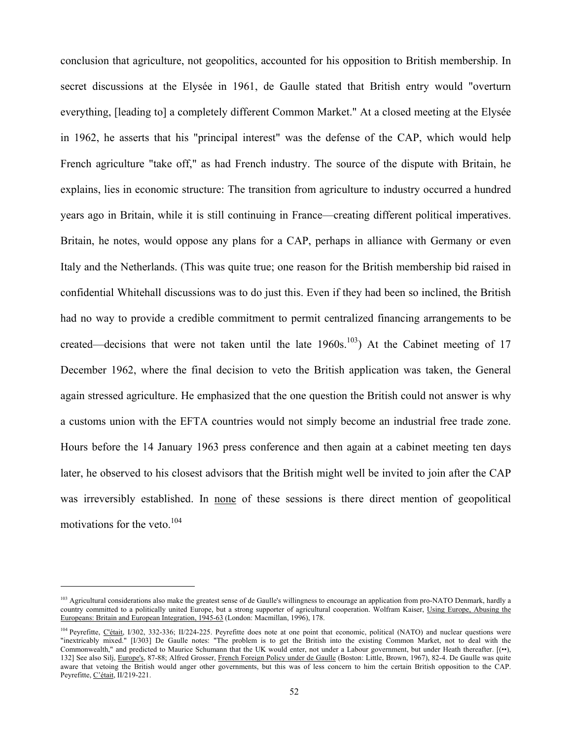conclusion that agriculture, not geopolitics, accounted for his opposition to British membership. In secret discussions at the Elysée in 1961, de Gaulle stated that British entry would "overturn everything, [leading to] a completely different Common Market." At a closed meeting at the Elysée in 1962, he asserts that his "principal interest" was the defense of the CAP, which would help French agriculture "take off," as had French industry. The source of the dispute with Britain, he explains, lies in economic structure: The transition from agriculture to industry occurred a hundred years ago in Britain, while it is still continuing in France—creating different political imperatives. Britain, he notes, would oppose any plans for a CAP, perhaps in alliance with Germany or even Italy and the Netherlands. (This was quite true; one reason for the British membership bid raised in confidential Whitehall discussions was to do just this. Even if they had been so inclined, the British had no way to provide a credible commitment to permit centralized financing arrangements to be created—decisions that were not taken until the late  $1960s$ .<sup>103</sup>) At the Cabinet meeting of 17 December 1962, where the final decision to veto the British application was taken, the General again stressed agriculture. He emphasized that the one question the British could not answer is why a customs union with the EFTA countries would not simply become an industrial free trade zone. Hours before the 14 January 1963 press conference and then again at a cabinet meeting ten days later, he observed to his closest advisors that the British might well be invited to join after the CAP was irreversibly established. In none of these sessions is there direct mention of geopolitical motivations for the veto.<sup>104</sup>

<sup>&</sup>lt;sup>103</sup> Agricultural considerations also make the greatest sense of de Gaulle's willingness to encourage an application from pro-NATO Denmark, hardly a country committed to a politically united Europe, but a strong supporter of agricultural cooperation. Wolfram Kaiser, Using Europe, Abusing the Europeans: Britain and European Integration, 1945-63 (London: Macmillan, 1996), 178.

<sup>&</sup>lt;sup>104</sup> Peyrefitte, C'était, I/302, 332-336; II/224-225. Peyrefitte does note at one point that economic, political (NATO) and nuclear questions were "inextricably mixed." [I/303] De Gaulle notes: "The problem is to get the British into the existing Common Market, not to deal with the Commonwealth," and predicted to Maurice Schumann that the UK would enter, not under a Labour government, but under Heath thereafter. [(••), 132] See also Silj, Europe's, 87-88; Alfred Grosser, French Foreign Policy under de Gaulle (Boston: Little, Brown, 1967), 82-4. De Gaulle was quite aware that vetoing the British would anger other governments, but this was of less concern to him the certain British opposition to the CAP. Peyrefitte, C'était, II/219-221.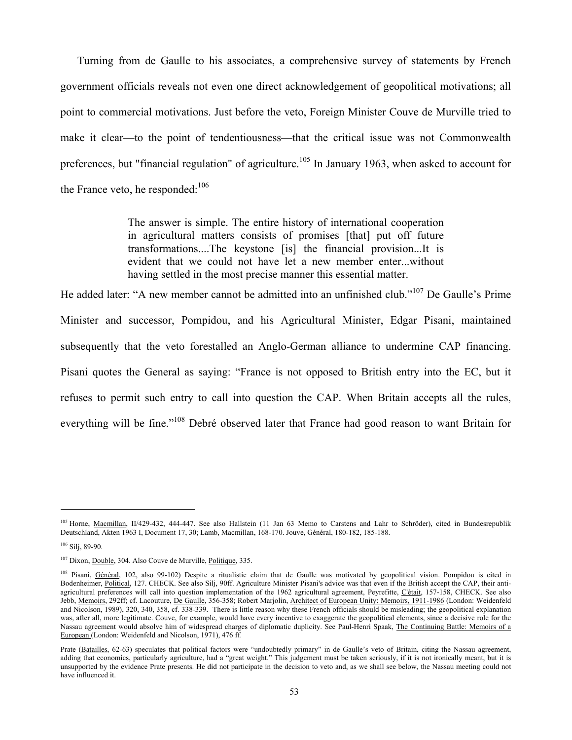Turning from de Gaulle to his associates, a comprehensive survey of statements by French government officials reveals not even one direct acknowledgement of geopolitical motivations; all point to commercial motivations. Just before the veto, Foreign Minister Couve de Murville tried to make it clear—to the point of tendentiousness—that the critical issue was not Commonwealth preferences, but "financial regulation" of agriculture.<sup>105</sup> In January 1963, when asked to account for the France veto, he responded: $106$ 

> The answer is simple. The entire history of international cooperation in agricultural matters consists of promises [that] put off future transformations....The keystone [is] the financial provision...It is evident that we could not have let a new member enter...without having settled in the most precise manner this essential matter.

He added later: "A new member cannot be admitted into an unfinished club."107 De Gaulle's Prime Minister and successor, Pompidou, and his Agricultural Minister, Edgar Pisani, maintained subsequently that the veto forestalled an Anglo-German alliance to undermine CAP financing. Pisani quotes the General as saying: "France is not opposed to British entry into the EC, but it refuses to permit such entry to call into question the CAP. When Britain accepts all the rules, everything will be fine."<sup>108</sup> Debré observed later that France had good reason to want Britain for

<sup>&</sup>lt;sup>105</sup> Horne, Macmillan, II/429-432, 444-447. See also Hallstein (11 Jan 63 Memo to Carstens and Lahr to Schröder), cited in Bundesrepublik Deutschland, Akten 1963 I, Document 17, 30; Lamb, Macmillan, 168-170. Jouve, Général, 180-182, 185-188.

 $106$  Silj, 89-90.

<sup>&</sup>lt;sup>107</sup> Dixon, Double, 304. Also Couve de Murville, Politique, 335.

<sup>&</sup>lt;sup>108</sup> Pisani, Général, 102, also 99-102) Despite a ritualistic claim that de Gaulle was motivated by geopolitical vision. Pompidou is cited in Bodenheimer, Political, 127. CHECK. See also Silj, 90ff. Agriculture Minister Pisani's advice was that even if the British accept the CAP, their antiagricultural preferences will call into question implementation of the 1962 agricultural agreement, Peyrefitte, C'était, 157-158, CHECK. See also Jebb, Memoirs, 292ff; cf. Lacouture, De Gaulle, 356-358; Robert Marjolin, Architect of European Unity: Memoirs, 1911-1986 (London: Weidenfeld and Nicolson, 1989), 320, 340, 358, cf. 338-339. There is little reason why these French officials should be misleading; the geopolitical explanation was, after all, more legitimate. Couve, for example, would have every incentive to exaggerate the geopolitical elements, since a decisive role for the Nassau agreement would absolve him of widespread charges of diplomatic duplicity. See Paul-Henri Spaak, The Continuing Battle: Memoirs of a European (London: Weidenfeld and Nicolson, 1971), 476 ff.

Prate (Batailles, 62-63) speculates that political factors were "undoubtedly primary" in de Gaulle's veto of Britain, citing the Nassau agreement, adding that economics, particularly agriculture, had a "great weight." This judgement must be taken seriously, if it is not ironically meant, but it is unsupported by the evidence Prate presents. He did not participate in the decision to veto and, as we shall see below, the Nassau meeting could not have influenced it.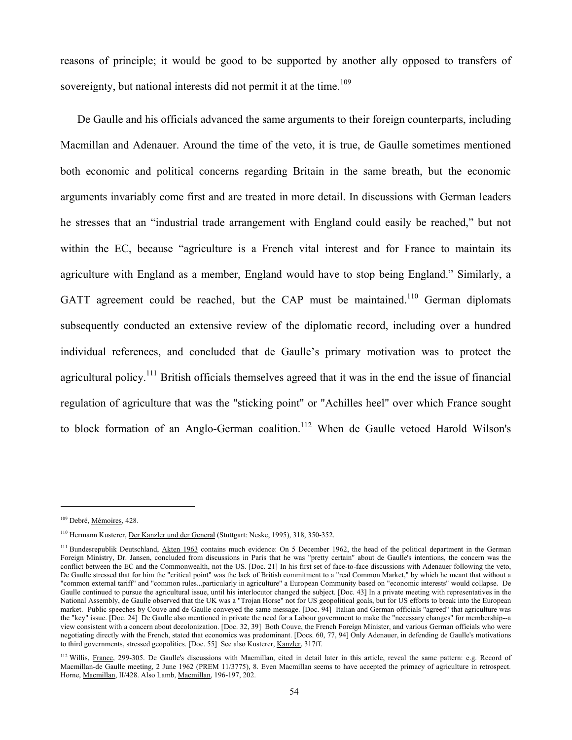reasons of principle; it would be good to be supported by another ally opposed to transfers of sovereignty, but national interests did not permit it at the time.<sup>109</sup>

De Gaulle and his officials advanced the same arguments to their foreign counterparts, including Macmillan and Adenauer. Around the time of the veto, it is true, de Gaulle sometimes mentioned both economic and political concerns regarding Britain in the same breath, but the economic arguments invariably come first and are treated in more detail. In discussions with German leaders he stresses that an "industrial trade arrangement with England could easily be reached," but not within the EC, because "agriculture is a French vital interest and for France to maintain its agriculture with England as a member, England would have to stop being England." Similarly, a GATT agreement could be reached, but the CAP must be maintained.<sup>110</sup> German diplomats subsequently conducted an extensive review of the diplomatic record, including over a hundred individual references, and concluded that de Gaulle's primary motivation was to protect the agricultural policy.<sup>111</sup> British officials themselves agreed that it was in the end the issue of financial regulation of agriculture that was the "sticking point" or "Achilles heel" over which France sought to block formation of an Anglo-German coalition.<sup>112</sup> When de Gaulle vetoed Harold Wilson's

<sup>&</sup>lt;sup>109</sup> Debré, Mémoires, 428.

<sup>110</sup> Hermann Kusterer, Der Kanzler und der General (Stuttgart: Neske, 1995), 318, 350-352.

<sup>&</sup>lt;sup>111</sup> Bundesrepublik Deutschland, Akten 1963 contains much evidence: On 5 December 1962, the head of the political department in the German Foreign Ministry, Dr. Jansen, concluded from discussions in Paris that he was "pretty certain" about de Gaulle's intentions, the concern was the conflict between the EC and the Commonwealth, not the US. [Doc. 21] In his first set of face-to-face discussions with Adenauer following the veto, De Gaulle stressed that for him the "critical point" was the lack of British commitment to a "real Common Market," by which he meant that without a "common external tariff" and "common rules...particularly in agriculture" a European Community based on "economic interests" would collapse. De Gaulle continued to pursue the agricultural issue, until his interlocutor changed the subject. [Doc. 43] In a private meeting with representatives in the National Assembly, de Gaulle observed that the UK was a "Trojan Horse" not for US geopolitical goals, but for US efforts to break into the European market. Public speeches by Couve and de Gaulle conveyed the same message. [Doc. 94] Italian and German officials "agreed" that agriculture was the "key" issue. [Doc. 24] De Gaulle also mentioned in private the need for a Labour government to make the "necessary changes" for membership--a view consistent with a concern about decolonization. [Doc. 32, 39] Both Couve, the French Foreign Minister, and various German officials who were negotiating directly with the French, stated that economics was predominant. [Docs. 60, 77, 94] Only Adenauer, in defending de Gaulle's motivations to third governments, stressed geopolitics. [Doc. 55] See also Kusterer, Kanzler, 317ff.

<sup>&</sup>lt;sup>112</sup> Willis, France, 299-305. De Gaulle's discussions with Macmillan, cited in detail later in this article, reveal the same pattern: e.g. Record of Macmillan-de Gaulle meeting, 2 June 1962 (PREM 11/3775), 8. Even Macmillan seems to have accepted the primacy of agriculture in retrospect. Horne, Macmillan, II/428. Also Lamb, Macmillan, 196-197, 202.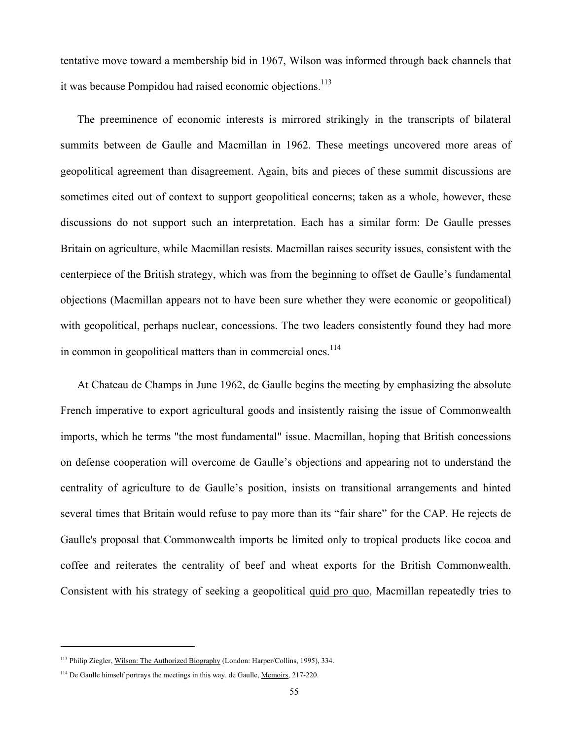tentative move toward a membership bid in 1967, Wilson was informed through back channels that it was because Pompidou had raised economic objections.<sup>113</sup>

The preeminence of economic interests is mirrored strikingly in the transcripts of bilateral summits between de Gaulle and Macmillan in 1962. These meetings uncovered more areas of geopolitical agreement than disagreement. Again, bits and pieces of these summit discussions are sometimes cited out of context to support geopolitical concerns; taken as a whole, however, these discussions do not support such an interpretation. Each has a similar form: De Gaulle presses Britain on agriculture, while Macmillan resists. Macmillan raises security issues, consistent with the centerpiece of the British strategy, which was from the beginning to offset de Gaulle's fundamental objections (Macmillan appears not to have been sure whether they were economic or geopolitical) with geopolitical, perhaps nuclear, concessions. The two leaders consistently found they had more in common in geopolitical matters than in commercial ones.<sup>114</sup>

At Chateau de Champs in June 1962, de Gaulle begins the meeting by emphasizing the absolute French imperative to export agricultural goods and insistently raising the issue of Commonwealth imports, which he terms "the most fundamental" issue. Macmillan, hoping that British concessions on defense cooperation will overcome de Gaulle's objections and appearing not to understand the centrality of agriculture to de Gaulle's position, insists on transitional arrangements and hinted several times that Britain would refuse to pay more than its "fair share" for the CAP. He rejects de Gaulle's proposal that Commonwealth imports be limited only to tropical products like cocoa and coffee and reiterates the centrality of beef and wheat exports for the British Commonwealth. Consistent with his strategy of seeking a geopolitical quid pro quo, Macmillan repeatedly tries to

<sup>113</sup> Philip Ziegler, Wilson: The Authorized Biography (London: Harper/Collins, 1995), 334.

<sup>&</sup>lt;sup>114</sup> De Gaulle himself portrays the meetings in this way. de Gaulle, Memoirs, 217-220.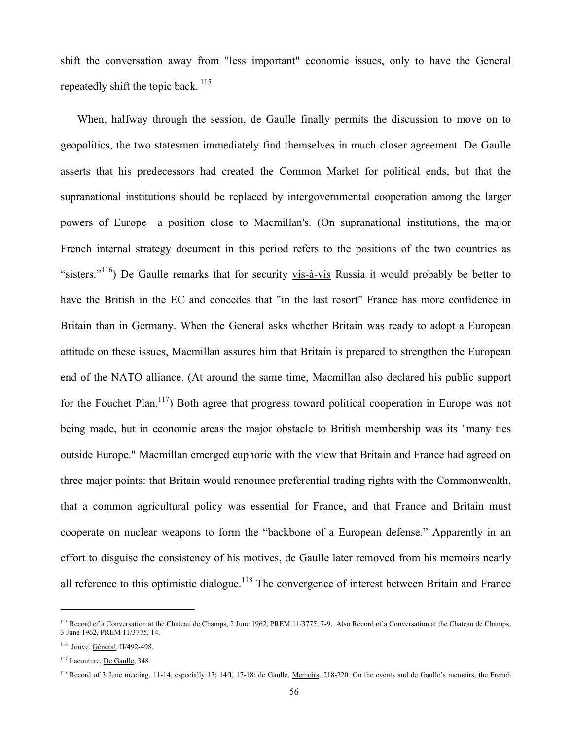shift the conversation away from "less important" economic issues, only to have the General repeatedly shift the topic back.<sup>115</sup>

When, halfway through the session, de Gaulle finally permits the discussion to move on to geopolitics, the two statesmen immediately find themselves in much closer agreement. De Gaulle asserts that his predecessors had created the Common Market for political ends, but that the supranational institutions should be replaced by intergovernmental cooperation among the larger powers of Europe—a position close to Macmillan's. (On supranational institutions, the major French internal strategy document in this period refers to the positions of the two countries as "sisters."<sup>116</sup>) De Gaulle remarks that for security vis-à-vis Russia it would probably be better to have the British in the EC and concedes that "in the last resort" France has more confidence in Britain than in Germany. When the General asks whether Britain was ready to adopt a European attitude on these issues, Macmillan assures him that Britain is prepared to strengthen the European end of the NATO alliance. (At around the same time, Macmillan also declared his public support for the Fouchet Plan.<sup>117</sup>) Both agree that progress toward political cooperation in Europe was not being made, but in economic areas the major obstacle to British membership was its "many ties outside Europe." Macmillan emerged euphoric with the view that Britain and France had agreed on three major points: that Britain would renounce preferential trading rights with the Commonwealth, that a common agricultural policy was essential for France, and that France and Britain must cooperate on nuclear weapons to form the "backbone of a European defense." Apparently in an effort to disguise the consistency of his motives, de Gaulle later removed from his memoirs nearly all reference to this optimistic dialogue.<sup>118</sup> The convergence of interest between Britain and France

<sup>&</sup>lt;sup>115</sup> Record of a Conversation at the Chateau de Champs, 2 June 1962, PREM 11/3775, 7-9. Also Record of a Conversation at the Chateau de Champs, 3 June 1962, PREM 11/3775, 14.

<sup>116</sup> Jouve, Général, II/492-498.

<sup>&</sup>lt;sup>117</sup> Lacouture, De Gaulle, 348.

<sup>&</sup>lt;sup>118</sup> Record of 3 June meeting, 11-14, especially 13; 14ff, 17-18; de Gaulle, Memoirs, 218-220. On the events and de Gaulle's memoirs, the French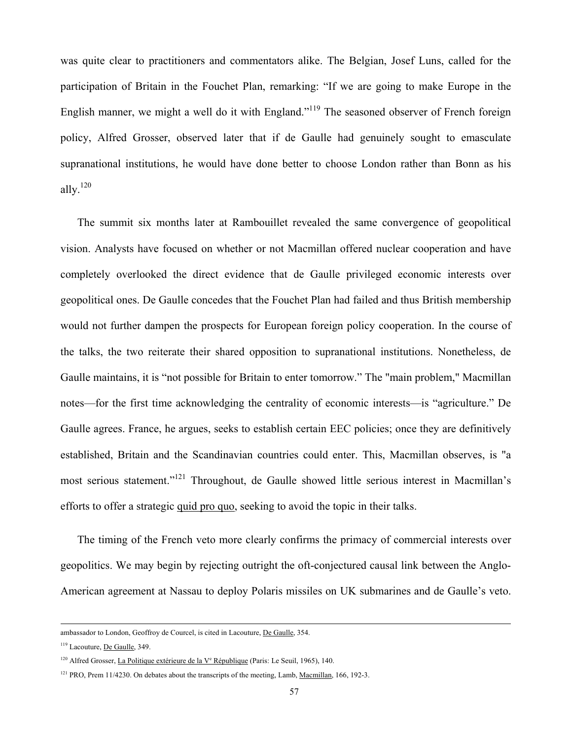was quite clear to practitioners and commentators alike. The Belgian, Josef Luns, called for the participation of Britain in the Fouchet Plan, remarking: "If we are going to make Europe in the English manner, we might a well do it with England."<sup>119</sup> The seasoned observer of French foreign policy, Alfred Grosser, observed later that if de Gaulle had genuinely sought to emasculate supranational institutions, he would have done better to choose London rather than Bonn as his ally.120

The summit six months later at Rambouillet revealed the same convergence of geopolitical vision. Analysts have focused on whether or not Macmillan offered nuclear cooperation and have completely overlooked the direct evidence that de Gaulle privileged economic interests over geopolitical ones. De Gaulle concedes that the Fouchet Plan had failed and thus British membership would not further dampen the prospects for European foreign policy cooperation. In the course of the talks, the two reiterate their shared opposition to supranational institutions. Nonetheless, de Gaulle maintains, it is "not possible for Britain to enter tomorrow." The "main problem," Macmillan notes—for the first time acknowledging the centrality of economic interests—is "agriculture." De Gaulle agrees. France, he argues, seeks to establish certain EEC policies; once they are definitively established, Britain and the Scandinavian countries could enter. This, Macmillan observes, is "a most serious statement."121 Throughout, de Gaulle showed little serious interest in Macmillan's efforts to offer a strategic quid pro quo, seeking to avoid the topic in their talks.

The timing of the French veto more clearly confirms the primacy of commercial interests over geopolitics. We may begin by rejecting outright the oft-conjectured causal link between the Anglo-American agreement at Nassau to deploy Polaris missiles on UK submarines and de Gaulle's veto.

ambassador to London, Geoffroy de Courcel, is cited in Lacouture, De Gaulle, 354.

<sup>119</sup> Lacouture, De Gaulle, 349.

<sup>&</sup>lt;sup>120</sup> Alfred Grosser, *La Politique extérieure de la V<sup>e</sup> République (Paris: Le Seuil, 1965)*, 140.

<sup>&</sup>lt;sup>121</sup> PRO, Prem 11/4230. On debates about the transcripts of the meeting, Lamb, Macmillan, 166, 192-3.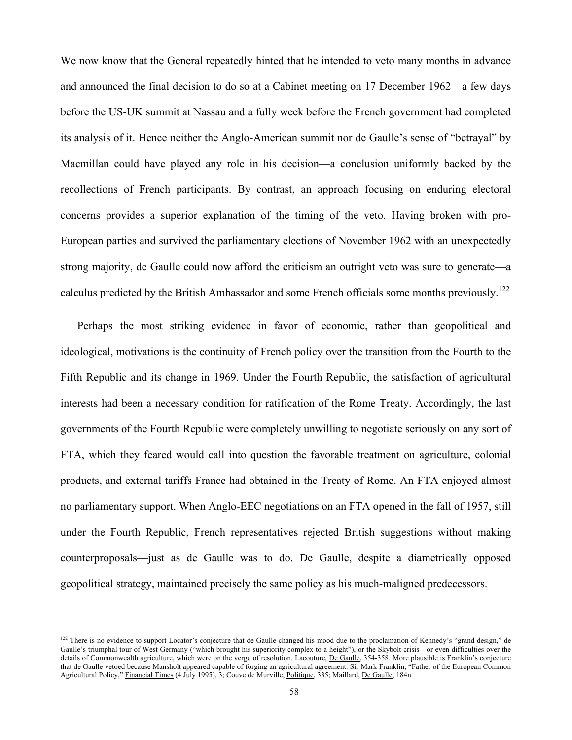We now know that the General repeatedly hinted that he intended to veto many months in advance and announced the final decision to do so at a Cabinet meeting on 17 December 1962—a few days before the US-UK summit at Nassau and a fully week before the French government had completed its analysis of it. Hence neither the Anglo-American summit nor de Gaulle's sense of "betrayal" by Macmillan could have played any role in his decision—a conclusion uniformly backed by the recollections of French participants. By contrast, an approach focusing on enduring electoral concerns provides a superior explanation of the timing of the veto. Having broken with pro-European parties and survived the parliamentary elections of November 1962 with an unexpectedly strong majority, de Gaulle could now afford the criticism an outright veto was sure to generate—a calculus predicted by the British Ambassador and some French officials some months previously.<sup>122</sup>

Perhaps the most striking evidence in favor of economic, rather than geopolitical and ideological, motivations is the continuity of French policy over the transition from the Fourth to the Fifth Republic and its change in 1969. Under the Fourth Republic, the satisfaction of agricultural interests had been a necessary condition for ratification of the Rome Treaty. Accordingly, the last governments of the Fourth Republic were completely unwilling to negotiate seriously on any sort of FTA, which they feared would call into question the favorable treatment on agriculture, colonial products, and external tariffs France had obtained in the Treaty of Rome. An FTA enjoyed almost no parliamentary support. When Anglo-EEC negotiations on an FTA opened in the fall of 1957, still under the Fourth Republic, French representatives rejected British suggestions without making counterproposals—just as de Gaulle was to do. De Gaulle, despite a diametrically opposed geopolitical strategy, maintained precisely the same policy as his much-maligned predecessors.

<sup>&</sup>lt;sup>122</sup> There is no evidence to support Locator's conjecture that de Gaulle changed his mood due to the proclamation of Kennedy's "grand design," de Gaulle's triumphal tour of West Germany ("which brought his superiority complex to a height"), or the Skybolt crisis—or even difficulties over the details of Commonwealth agriculture, which were on the verge of resolution. Lacouture, De Gaulle, 354-358. More plausible is Franklin's conjecture that de Gaulle vetoed because Mansholt appeared capable of forging an agricultural agreement. Sir Mark Franklin, "Father of the European Common Agricultural Policy," Financial Times (4 July 1995), 3; Couve de Murville, Politique, 335; Maillard, De Gaulle, 184n.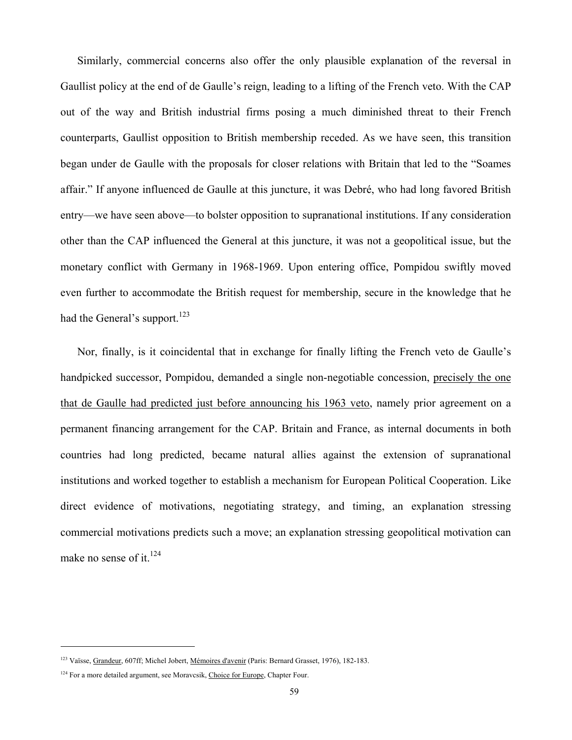Similarly, commercial concerns also offer the only plausible explanation of the reversal in Gaullist policy at the end of de Gaulle's reign, leading to a lifting of the French veto. With the CAP out of the way and British industrial firms posing a much diminished threat to their French counterparts, Gaullist opposition to British membership receded. As we have seen, this transition began under de Gaulle with the proposals for closer relations with Britain that led to the "Soames affair." If anyone influenced de Gaulle at this juncture, it was Debré, who had long favored British entry—we have seen above—to bolster opposition to supranational institutions. If any consideration other than the CAP influenced the General at this juncture, it was not a geopolitical issue, but the monetary conflict with Germany in 1968-1969. Upon entering office, Pompidou swiftly moved even further to accommodate the British request for membership, secure in the knowledge that he had the General's support.<sup>123</sup>

Nor, finally, is it coincidental that in exchange for finally lifting the French veto de Gaulle's handpicked successor, Pompidou, demanded a single non-negotiable concession, precisely the one that de Gaulle had predicted just before announcing his 1963 veto, namely prior agreement on a permanent financing arrangement for the CAP. Britain and France, as internal documents in both countries had long predicted, became natural allies against the extension of supranational institutions and worked together to establish a mechanism for European Political Cooperation. Like direct evidence of motivations, negotiating strategy, and timing, an explanation stressing commercial motivations predicts such a move; an explanation stressing geopolitical motivation can make no sense of it.<sup>124</sup>

<sup>123</sup> Vaïsse, Grandeur, 607ff; Michel Jobert, Mémoires d'avenir (Paris: Bernard Grasset, 1976), 182-183.

<sup>&</sup>lt;sup>124</sup> For a more detailed argument, see Moravcsik, Choice for Europe, Chapter Four.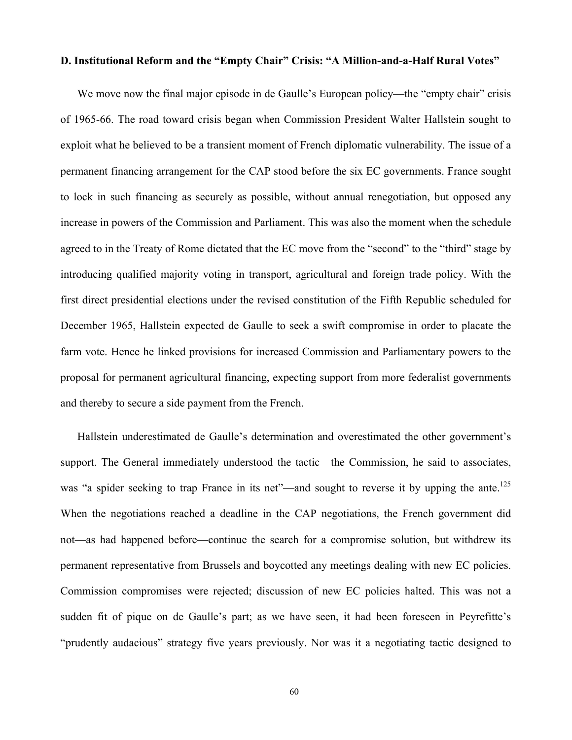## **D. Institutional Reform and the "Empty Chair" Crisis: "A Million-and-a-Half Rural Votes"**

We move now the final major episode in de Gaulle's European policy—the "empty chair" crisis of 1965-66. The road toward crisis began when Commission President Walter Hallstein sought to exploit what he believed to be a transient moment of French diplomatic vulnerability. The issue of a permanent financing arrangement for the CAP stood before the six EC governments. France sought to lock in such financing as securely as possible, without annual renegotiation, but opposed any increase in powers of the Commission and Parliament. This was also the moment when the schedule agreed to in the Treaty of Rome dictated that the EC move from the "second" to the "third" stage by introducing qualified majority voting in transport, agricultural and foreign trade policy. With the first direct presidential elections under the revised constitution of the Fifth Republic scheduled for December 1965, Hallstein expected de Gaulle to seek a swift compromise in order to placate the farm vote. Hence he linked provisions for increased Commission and Parliamentary powers to the proposal for permanent agricultural financing, expecting support from more federalist governments and thereby to secure a side payment from the French.

Hallstein underestimated de Gaulle's determination and overestimated the other government's support. The General immediately understood the tactic—the Commission, he said to associates, was "a spider seeking to trap France in its net"—and sought to reverse it by upping the ante.<sup>125</sup> When the negotiations reached a deadline in the CAP negotiations, the French government did not—as had happened before—continue the search for a compromise solution, but withdrew its permanent representative from Brussels and boycotted any meetings dealing with new EC policies. Commission compromises were rejected; discussion of new EC policies halted. This was not a sudden fit of pique on de Gaulle's part; as we have seen, it had been foreseen in Peyrefitte's "prudently audacious" strategy five years previously. Nor was it a negotiating tactic designed to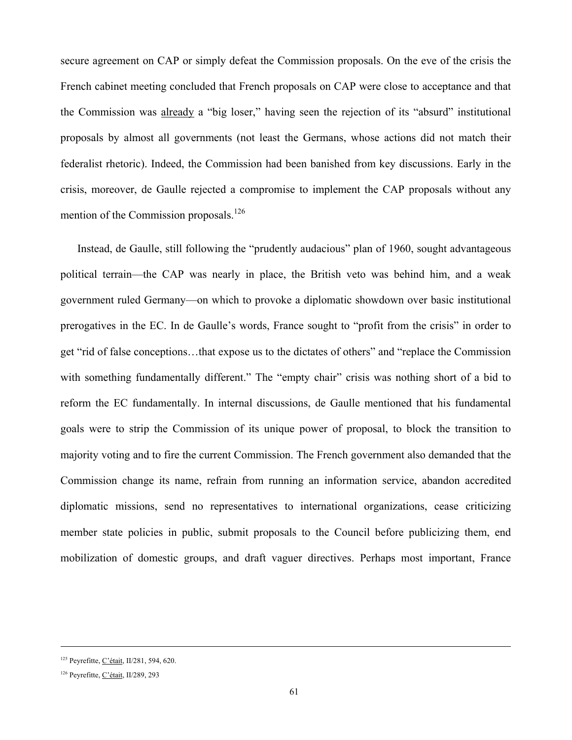secure agreement on CAP or simply defeat the Commission proposals. On the eve of the crisis the French cabinet meeting concluded that French proposals on CAP were close to acceptance and that the Commission was already a "big loser," having seen the rejection of its "absurd" institutional proposals by almost all governments (not least the Germans, whose actions did not match their federalist rhetoric). Indeed, the Commission had been banished from key discussions. Early in the crisis, moreover, de Gaulle rejected a compromise to implement the CAP proposals without any mention of the Commission proposals.<sup>126</sup>

Instead, de Gaulle, still following the "prudently audacious" plan of 1960, sought advantageous political terrain—the CAP was nearly in place, the British veto was behind him, and a weak government ruled Germany—on which to provoke a diplomatic showdown over basic institutional prerogatives in the EC. In de Gaulle's words, France sought to "profit from the crisis" in order to get "rid of false conceptions…that expose us to the dictates of others" and "replace the Commission with something fundamentally different." The "empty chair" crisis was nothing short of a bid to reform the EC fundamentally. In internal discussions, de Gaulle mentioned that his fundamental goals were to strip the Commission of its unique power of proposal, to block the transition to majority voting and to fire the current Commission. The French government also demanded that the Commission change its name, refrain from running an information service, abandon accredited diplomatic missions, send no representatives to international organizations, cease criticizing member state policies in public, submit proposals to the Council before publicizing them, end mobilization of domestic groups, and draft vaguer directives. Perhaps most important, France

-

<sup>125</sup> Peyrefitte, C'était, II/281, 594, 620.

<sup>126</sup> Peyrefitte, C'était, II/289, 293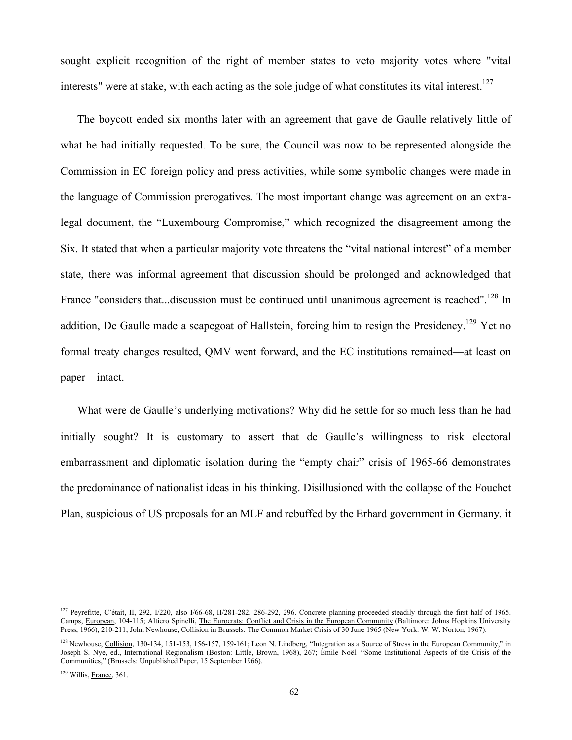sought explicit recognition of the right of member states to veto majority votes where "vital interests" were at stake, with each acting as the sole judge of what constitutes its vital interest.<sup>127</sup>

The boycott ended six months later with an agreement that gave de Gaulle relatively little of what he had initially requested. To be sure, the Council was now to be represented alongside the Commission in EC foreign policy and press activities, while some symbolic changes were made in the language of Commission prerogatives. The most important change was agreement on an extralegal document, the "Luxembourg Compromise," which recognized the disagreement among the Six. It stated that when a particular majority vote threatens the "vital national interest" of a member state, there was informal agreement that discussion should be prolonged and acknowledged that France "considers that...discussion must be continued until unanimous agreement is reached".<sup>128</sup> In addition, De Gaulle made a scapegoat of Hallstein, forcing him to resign the Presidency.<sup>129</sup> Yet no formal treaty changes resulted, QMV went forward, and the EC institutions remained—at least on paper—intact.

What were de Gaulle's underlying motivations? Why did he settle for so much less than he had initially sought? It is customary to assert that de Gaulle's willingness to risk electoral embarrassment and diplomatic isolation during the "empty chair" crisis of 1965-66 demonstrates the predominance of nationalist ideas in his thinking. Disillusioned with the collapse of the Fouchet Plan, suspicious of US proposals for an MLF and rebuffed by the Erhard government in Germany, it

<sup>&</sup>lt;sup>127</sup> Peyrefitte, C'était, II, 292, I/220, also I/66-68, II/281-282, 286-292, 296. Concrete planning proceeded steadily through the first half of 1965. Camps, European, 104-115; Altiero Spinelli, The Eurocrats: Conflict and Crisis in the European Community (Baltimore: Johns Hopkins University Press, 1966), 210-211; John Newhouse, Collision in Brussels: The Common Market Crisis of 30 June 1965 (New York: W. W. Norton, 1967).

<sup>&</sup>lt;sup>128</sup> Newhouse, Collision, 130-134, 151-153, 156-157, 159-161; Leon N. Lindberg, "Integration as a Source of Stress in the European Community," in Joseph S. Nye, ed., International Regionalism (Boston: Little, Brown, 1968), 267; Émile Noël, "Some Institutional Aspects of the Crisis of the Communities," (Brussels: Unpublished Paper, 15 September 1966).

<sup>&</sup>lt;sup>129</sup> Willis, France, 361.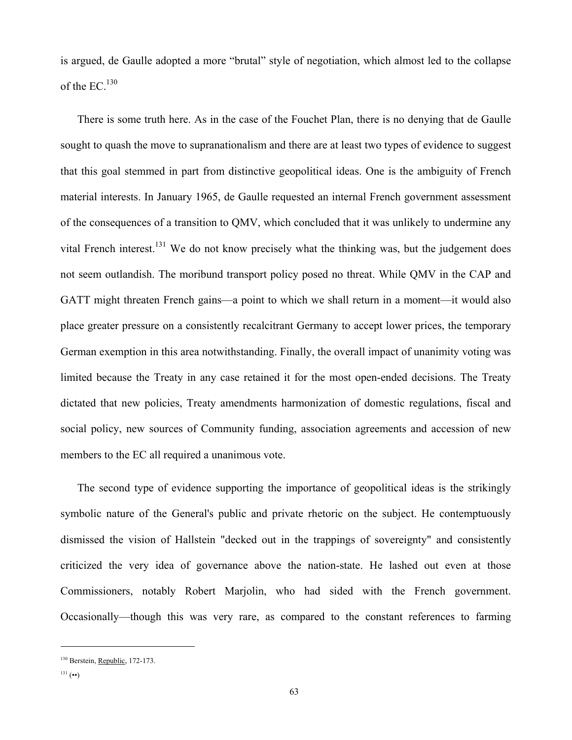is argued, de Gaulle adopted a more "brutal" style of negotiation, which almost led to the collapse of the  $EC^{130}$ 

There is some truth here. As in the case of the Fouchet Plan, there is no denying that de Gaulle sought to quash the move to supranationalism and there are at least two types of evidence to suggest that this goal stemmed in part from distinctive geopolitical ideas. One is the ambiguity of French material interests. In January 1965, de Gaulle requested an internal French government assessment of the consequences of a transition to QMV, which concluded that it was unlikely to undermine any vital French interest.<sup>131</sup> We do not know precisely what the thinking was, but the judgement does not seem outlandish. The moribund transport policy posed no threat. While QMV in the CAP and GATT might threaten French gains—a point to which we shall return in a moment—it would also place greater pressure on a consistently recalcitrant Germany to accept lower prices, the temporary German exemption in this area notwithstanding. Finally, the overall impact of unanimity voting was limited because the Treaty in any case retained it for the most open-ended decisions. The Treaty dictated that new policies, Treaty amendments harmonization of domestic regulations, fiscal and social policy, new sources of Community funding, association agreements and accession of new members to the EC all required a unanimous vote.

The second type of evidence supporting the importance of geopolitical ideas is the strikingly symbolic nature of the General's public and private rhetoric on the subject. He contemptuously dismissed the vision of Hallstein "decked out in the trappings of sovereignty" and consistently criticized the very idea of governance above the nation-state. He lashed out even at those Commissioners, notably Robert Marjolin, who had sided with the French government. Occasionally—though this was very rare, as compared to the constant references to farming

<sup>&</sup>lt;sup>130</sup> Berstein, Republic, 172-173.

 $^{131}$  (••)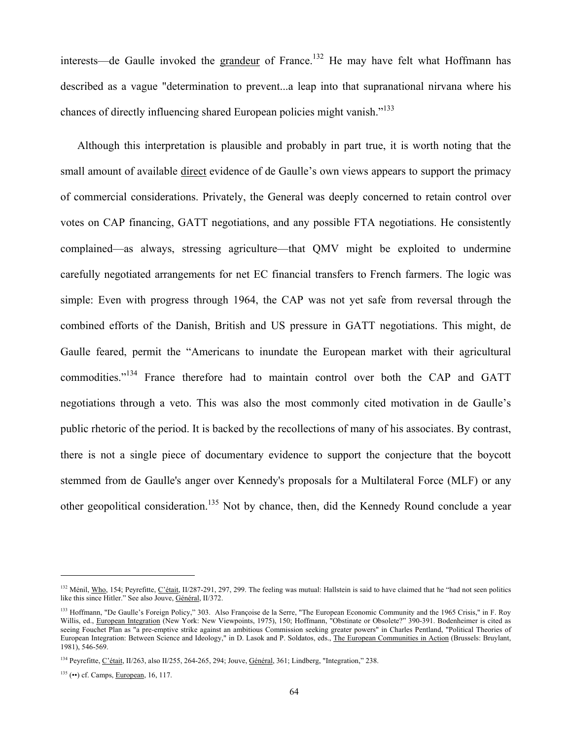interests—de Gaulle invoked the grandeur of France.<sup>132</sup> He may have felt what Hoffmann has described as a vague "determination to prevent...a leap into that supranational nirvana where his chances of directly influencing shared European policies might vanish."133

Although this interpretation is plausible and probably in part true, it is worth noting that the small amount of available direct evidence of de Gaulle's own views appears to support the primacy of commercial considerations. Privately, the General was deeply concerned to retain control over votes on CAP financing, GATT negotiations, and any possible FTA negotiations. He consistently complained—as always, stressing agriculture—that QMV might be exploited to undermine carefully negotiated arrangements for net EC financial transfers to French farmers. The logic was simple: Even with progress through 1964, the CAP was not yet safe from reversal through the combined efforts of the Danish, British and US pressure in GATT negotiations. This might, de Gaulle feared, permit the "Americans to inundate the European market with their agricultural commodities."134 France therefore had to maintain control over both the CAP and GATT negotiations through a veto. This was also the most commonly cited motivation in de Gaulle's public rhetoric of the period. It is backed by the recollections of many of his associates. By contrast, there is not a single piece of documentary evidence to support the conjecture that the boycott stemmed from de Gaulle's anger over Kennedy's proposals for a Multilateral Force (MLF) or any other geopolitical consideration.<sup>135</sup> Not by chance, then, did the Kennedy Round conclude a year

<sup>&</sup>lt;sup>132</sup> Ménil, Who, 154; Peyrefitte, C'était, II/287-291, 297, 299. The feeling was mutual: Hallstein is said to have claimed that he "had not seen politics like this since Hitler." See also Jouve, Général, II/372.

<sup>&</sup>lt;sup>133</sup> Hoffmann, "De Gaulle's Foreign Policy," 303. Also Françoise de la Serre, "The European Economic Community and the 1965 Crisis," in F. Roy Willis, ed., European Integration (New York: New Viewpoints, 1975), 150; Hoffmann, "Obstinate or Obsolete?" 390-391. Bodenheimer is cited as seeing Fouchet Plan as "a pre-emptive strike against an ambitious Commission seeking greater powers" in Charles Pentland, "Political Theories of European Integration: Between Science and Ideology," in D. Lasok and P. Soldatos, eds., The European Communities in Action (Brussels: Bruylant, 1981), 546-569.

<sup>&</sup>lt;sup>134</sup> Peyrefitte, C'était, II/263, also II/255, 264-265, 294; Jouve, Général, 361; Lindberg, "Integration," 238.

<sup>135 (••)</sup> cf. Camps, European, 16, 117.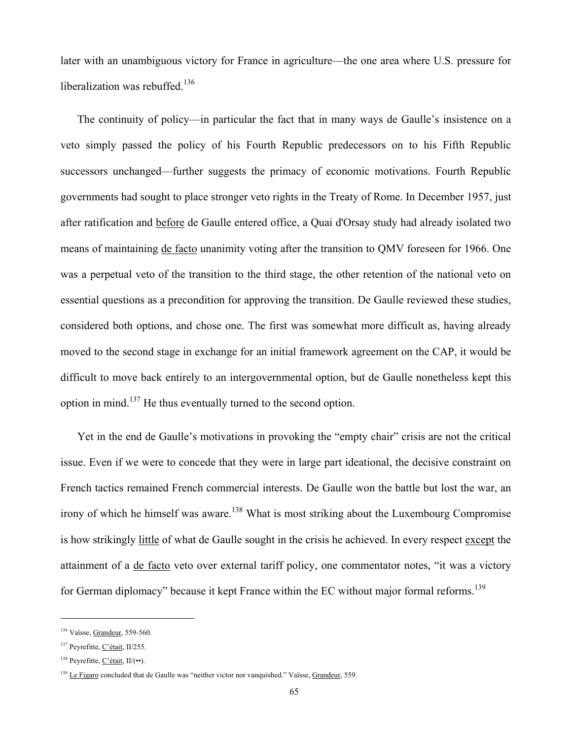later with an unambiguous victory for France in agriculture—the one area where U.S. pressure for liberalization was rebuffed. $136$ 

The continuity of policy—in particular the fact that in many ways de Gaulle's insistence on a veto simply passed the policy of his Fourth Republic predecessors on to his Fifth Republic successors unchanged—further suggests the primacy of economic motivations. Fourth Republic governments had sought to place stronger veto rights in the Treaty of Rome. In December 1957, just after ratification and before de Gaulle entered office, a Quai d'Orsay study had already isolated two means of maintaining de facto unanimity voting after the transition to QMV foreseen for 1966. One was a perpetual veto of the transition to the third stage, the other retention of the national veto on essential questions as a precondition for approving the transition. De Gaulle reviewed these studies, considered both options, and chose one. The first was somewhat more difficult as, having already moved to the second stage in exchange for an initial framework agreement on the CAP, it would be difficult to move back entirely to an intergovernmental option, but de Gaulle nonetheless kept this option in mind.137 He thus eventually turned to the second option.

Yet in the end de Gaulle's motivations in provoking the "empty chair" crisis are not the critical issue. Even if we were to concede that they were in large part ideational, the decisive constraint on French tactics remained French commercial interests. De Gaulle won the battle but lost the war, an irony of which he himself was aware.<sup>138</sup> What is most striking about the Luxembourg Compromise is how strikingly little of what de Gaulle sought in the crisis he achieved. In every respect except the attainment of a de facto veto over external tariff policy, one commentator notes, "it was a victory for German diplomacy" because it kept France within the EC without major formal reforms.<sup>139</sup>

<sup>&</sup>lt;sup>136</sup> Vaïsse, Grandeur, 559-560.

<sup>137</sup> Peyrefitte, C'était, II/255.

<sup>138</sup> Peyrefitte, C'était, II/(••).

<sup>&</sup>lt;sup>139</sup> Le Figaro concluded that de Gaulle was "neither victor nor vanquished." Vaïsse, Grandeur, 559.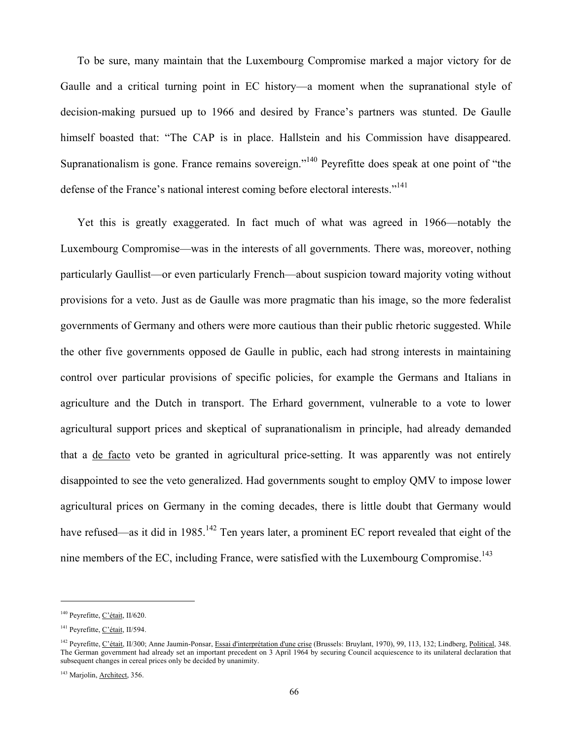To be sure, many maintain that the Luxembourg Compromise marked a major victory for de Gaulle and a critical turning point in EC history—a moment when the supranational style of decision-making pursued up to 1966 and desired by France's partners was stunted. De Gaulle himself boasted that: "The CAP is in place. Hallstein and his Commission have disappeared. Supranationalism is gone. France remains sovereign."<sup>140</sup> Peyrefitte does speak at one point of "the defense of the France's national interest coming before electoral interests."<sup>141</sup>

Yet this is greatly exaggerated. In fact much of what was agreed in 1966—notably the Luxembourg Compromise—was in the interests of all governments. There was, moreover, nothing particularly Gaullist—or even particularly French—about suspicion toward majority voting without provisions for a veto. Just as de Gaulle was more pragmatic than his image, so the more federalist governments of Germany and others were more cautious than their public rhetoric suggested. While the other five governments opposed de Gaulle in public, each had strong interests in maintaining control over particular provisions of specific policies, for example the Germans and Italians in agriculture and the Dutch in transport. The Erhard government, vulnerable to a vote to lower agricultural support prices and skeptical of supranationalism in principle, had already demanded that a de facto veto be granted in agricultural price-setting. It was apparently was not entirely disappointed to see the veto generalized. Had governments sought to employ QMV to impose lower agricultural prices on Germany in the coming decades, there is little doubt that Germany would have refused—as it did in 1985.<sup>142</sup> Ten years later, a prominent EC report revealed that eight of the nine members of the EC, including France, were satisfied with the Luxembourg Compromise.<sup>143</sup>

<sup>&</sup>lt;sup>140</sup> Peyrefitte, C'était, II/620.

<sup>&</sup>lt;sup>141</sup> Peyrefitte, C'était, II/594.

<sup>142</sup> Peyrefitte, C'était, II/300; Anne Jaumin-Ponsar, Essai d'interprétation d'une crise (Brussels: Bruylant, 1970), 99, 113, 132; Lindberg, Political, 348. The German government had already set an important precedent on 3 April 1964 by securing Council acquiescence to its unilateral declaration that subsequent changes in cereal prices only be decided by unanimity.

<sup>&</sup>lt;sup>143</sup> Marjolin, Architect, 356.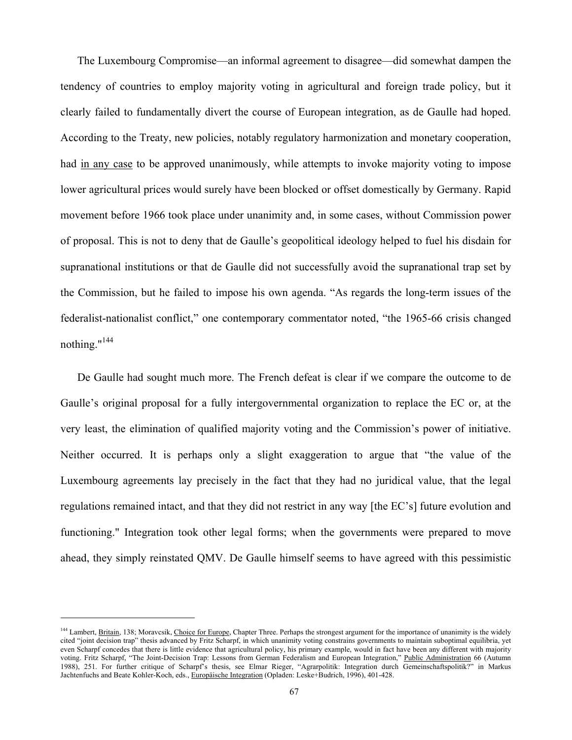The Luxembourg Compromise—an informal agreement to disagree—did somewhat dampen the tendency of countries to employ majority voting in agricultural and foreign trade policy, but it clearly failed to fundamentally divert the course of European integration, as de Gaulle had hoped. According to the Treaty, new policies, notably regulatory harmonization and monetary cooperation, had in any case to be approved unanimously, while attempts to invoke majority voting to impose lower agricultural prices would surely have been blocked or offset domestically by Germany. Rapid movement before 1966 took place under unanimity and, in some cases, without Commission power of proposal. This is not to deny that de Gaulle's geopolitical ideology helped to fuel his disdain for supranational institutions or that de Gaulle did not successfully avoid the supranational trap set by the Commission, but he failed to impose his own agenda. "As regards the long-term issues of the federalist-nationalist conflict," one contemporary commentator noted, "the 1965-66 crisis changed nothing." $144$ 

De Gaulle had sought much more. The French defeat is clear if we compare the outcome to de Gaulle's original proposal for a fully intergovernmental organization to replace the EC or, at the very least, the elimination of qualified majority voting and the Commission's power of initiative. Neither occurred. It is perhaps only a slight exaggeration to argue that "the value of the Luxembourg agreements lay precisely in the fact that they had no juridical value, that the legal regulations remained intact, and that they did not restrict in any way [the EC's] future evolution and functioning." Integration took other legal forms; when the governments were prepared to move ahead, they simply reinstated QMV. De Gaulle himself seems to have agreed with this pessimistic

<sup>&</sup>lt;sup>144</sup> Lambert, Britain, 138; Moravcsik, Choice for Europe, Chapter Three. Perhaps the strongest argument for the importance of unanimity is the widely cited "joint decision trap" thesis advanced by Fritz Scharpf, in which unanimity voting constrains governments to maintain suboptimal equilibria, yet even Scharpf concedes that there is little evidence that agricultural policy, his primary example, would in fact have been any different with majority voting. Fritz Scharpf, "The Joint-Decision Trap: Lessons from German Federalism and European Integration," Public Administration 66 (Autumn 1988), 251. For further critique of Scharpf's thesis, see Elmar Rieger, "Agrarpolitik: Integration durch Gemeinschaftspolitik?" in Markus Jachtenfuchs and Beate Kohler-Koch, eds., Europäische Integration (Opladen: Leske+Budrich, 1996), 401-428.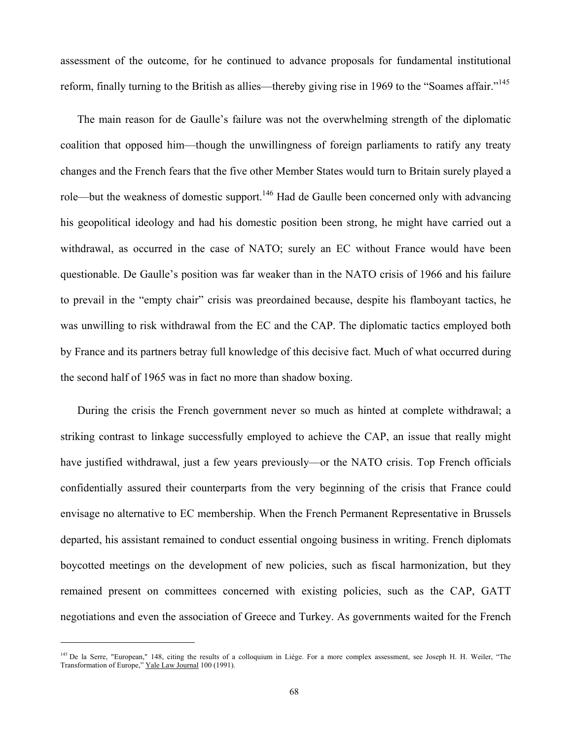assessment of the outcome, for he continued to advance proposals for fundamental institutional reform, finally turning to the British as allies—thereby giving rise in 1969 to the "Soames affair."<sup>145</sup>

The main reason for de Gaulle's failure was not the overwhelming strength of the diplomatic coalition that opposed him—though the unwillingness of foreign parliaments to ratify any treaty changes and the French fears that the five other Member States would turn to Britain surely played a role—but the weakness of domestic support.<sup>146</sup> Had de Gaulle been concerned only with advancing his geopolitical ideology and had his domestic position been strong, he might have carried out a withdrawal, as occurred in the case of NATO; surely an EC without France would have been questionable. De Gaulle's position was far weaker than in the NATO crisis of 1966 and his failure to prevail in the "empty chair" crisis was preordained because, despite his flamboyant tactics, he was unwilling to risk withdrawal from the EC and the CAP. The diplomatic tactics employed both by France and its partners betray full knowledge of this decisive fact. Much of what occurred during the second half of 1965 was in fact no more than shadow boxing.

During the crisis the French government never so much as hinted at complete withdrawal; a striking contrast to linkage successfully employed to achieve the CAP, an issue that really might have justified withdrawal, just a few years previously—or the NATO crisis. Top French officials confidentially assured their counterparts from the very beginning of the crisis that France could envisage no alternative to EC membership. When the French Permanent Representative in Brussels departed, his assistant remained to conduct essential ongoing business in writing. French diplomats boycotted meetings on the development of new policies, such as fiscal harmonization, but they remained present on committees concerned with existing policies, such as the CAP, GATT negotiations and even the association of Greece and Turkey. As governments waited for the French

<sup>&</sup>lt;sup>145</sup> De la Serre, "European," 148, citing the results of a colloquium in Liége. For a more complex assessment, see Joseph H. H. Weiler, "The Transformation of Europe," Yale Law Journal 100 (1991).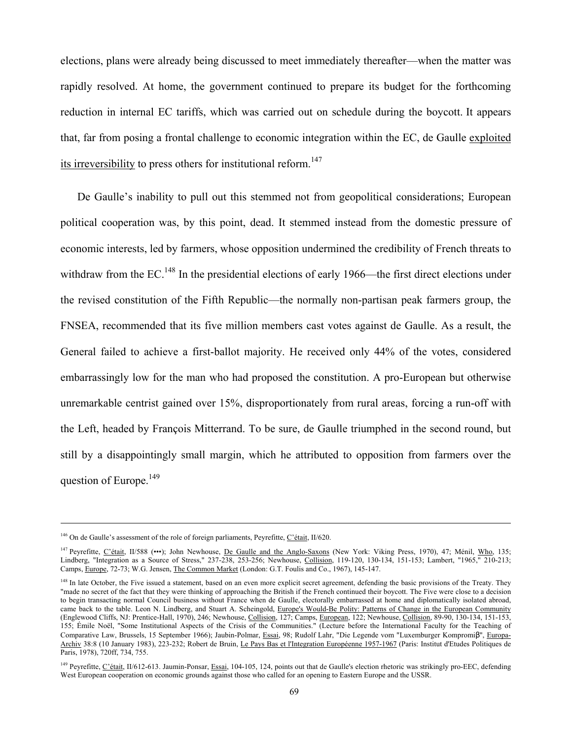elections, plans were already being discussed to meet immediately thereafter—when the matter was rapidly resolved. At home, the government continued to prepare its budget for the forthcoming reduction in internal EC tariffs, which was carried out on schedule during the boycott. It appears that, far from posing a frontal challenge to economic integration within the EC, de Gaulle exploited its irreversibility to press others for institutional reform.<sup>147</sup>

De Gaulle's inability to pull out this stemmed not from geopolitical considerations; European political cooperation was, by this point, dead. It stemmed instead from the domestic pressure of economic interests, led by farmers, whose opposition undermined the credibility of French threats to withdraw from the EC.<sup>148</sup> In the presidential elections of early 1966—the first direct elections under the revised constitution of the Fifth Republic—the normally non-partisan peak farmers group, the FNSEA, recommended that its five million members cast votes against de Gaulle. As a result, the General failed to achieve a first-ballot majority. He received only 44% of the votes, considered embarrassingly low for the man who had proposed the constitution. A pro-European but otherwise unremarkable centrist gained over 15%, disproportionately from rural areas, forcing a run-off with the Left, headed by François Mitterrand. To be sure, de Gaulle triumphed in the second round, but still by a disappointingly small margin, which he attributed to opposition from farmers over the question of Europe.<sup>149</sup>

1

<sup>&</sup>lt;sup>146</sup> On de Gaulle's assessment of the role of foreign parliaments, Peyrefitte, C'était, II/620.

<sup>&</sup>lt;sup>147</sup> Peyrefitte, C'était, II/588 (•••); John Newhouse, De Gaulle and the Anglo-Saxons (New York: Viking Press, 1970), 47; Ménil, Who, 135; Lindberg, "Integration as a Source of Stress," 237-238, 253-256; Newhouse, Collision, 119-120, 130-134, 151-153; Lambert, "1965," 210-213; Camps, Europe, 72-73; W.G. Jensen, The Common Market (London: G.T. Foulis and Co., 1967), 145-147.

<sup>&</sup>lt;sup>148</sup> In late October, the Five issued a statement, based on an even more explicit secret agreement, defending the basic provisions of the Treaty. They "made no secret of the fact that they were thinking of approaching the British if the French continued their boycott. The Five were close to a decision to begin transacting normal Council business without France when de Gaulle, electorally embarrassed at home and diplomatically isolated abroad, came back to the table. Leon N. Lindberg, and Stuart A. Scheingold, Europe's Would-Be Polity: Patterns of Change in the European Community (Englewood Cliffs, NJ: Prentice-Hall, 1970), 246; Newhouse, Collision, 127; Camps, European, 122; Newhouse, Collision, 89-90, 130-134, 151-153, 155; Émile Noël, "Some Institutional Aspects of the Crisis of the Communities." (Lecture before the International Faculty for the Teaching of Comparative Law, Brussels, 15 September 1966); Jaubin-Polmar, Essai, 98; Rudolf Lahr, "Die Legende vom "Luxemburger Kompromiβ", Europa-Archiv 38:8 (10 January 1983), 223-232; Robert de Bruin, Le Pays Bas et l'Integration Européenne 1957-1967 (Paris: Institut d'Etudes Politiques de Paris, 1978), 720ff, 734, 755.

<sup>&</sup>lt;sup>149</sup> Peyrefitte, C'était, II/612-613. Jaumin-Ponsar, Essai, 104-105, 124, points out that de Gaulle's election rhetoric was strikingly pro-EEC, defending West European cooperation on economic grounds against those who called for an opening to Eastern Europe and the USSR.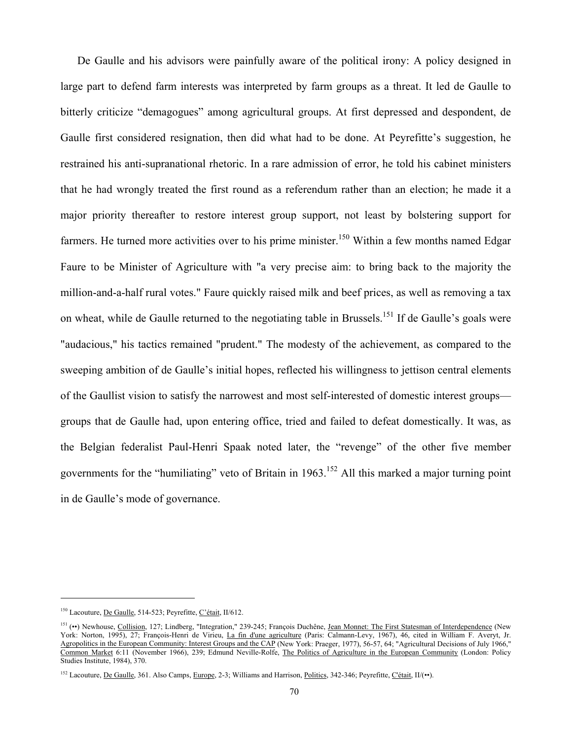De Gaulle and his advisors were painfully aware of the political irony: A policy designed in large part to defend farm interests was interpreted by farm groups as a threat. It led de Gaulle to bitterly criticize "demagogues" among agricultural groups. At first depressed and despondent, de Gaulle first considered resignation, then did what had to be done. At Peyrefitte's suggestion, he restrained his anti-supranational rhetoric. In a rare admission of error, he told his cabinet ministers that he had wrongly treated the first round as a referendum rather than an election; he made it a major priority thereafter to restore interest group support, not least by bolstering support for farmers. He turned more activities over to his prime minister.<sup>150</sup> Within a few months named Edgar Faure to be Minister of Agriculture with "a very precise aim: to bring back to the majority the million-and-a-half rural votes." Faure quickly raised milk and beef prices, as well as removing a tax on wheat, while de Gaulle returned to the negotiating table in Brussels.<sup>151</sup> If de Gaulle's goals were "audacious," his tactics remained "prudent." The modesty of the achievement, as compared to the sweeping ambition of de Gaulle's initial hopes, reflected his willingness to jettison central elements of the Gaullist vision to satisfy the narrowest and most self-interested of domestic interest groups groups that de Gaulle had, upon entering office, tried and failed to defeat domestically. It was, as the Belgian federalist Paul-Henri Spaak noted later, the "revenge" of the other five member governments for the "humiliating" veto of Britain in  $1963$ <sup>152</sup> All this marked a major turning point in de Gaulle's mode of governance.

<sup>150</sup> Lacouture, De Gaulle, 514-523; Peyrefitte, C'était, II/612.

<sup>151 (••)</sup> Newhouse, Collision, 127; Lindberg, "Integration," 239-245; François Duchêne, Jean Monnet: The First Statesman of Interdependence (New York: Norton, 1995), 27; François-Henri de Virieu, La fin d'une agriculture (Paris: Calmann-Levy, 1967), 46, cited in William F. Averyt, Jr. Agropolitics in the European Community: Interest Groups and the CAP (New York: Praeger, 1977), 56-57, 64; "Agricultural Decisions of July 1966," Common Market 6:11 (November 1966), 239; Edmund Neville-Rolfe, The Politics of Agriculture in the European Community (London: Policy Studies Institute, 1984), 370.

<sup>&</sup>lt;sup>152</sup> Lacouture, <u>De Gaulle</u>, 361. Also Camps, Europe, 2-3; Williams and Harrison, Politics, 342-346; Peyrefitte, C'était, II/(••).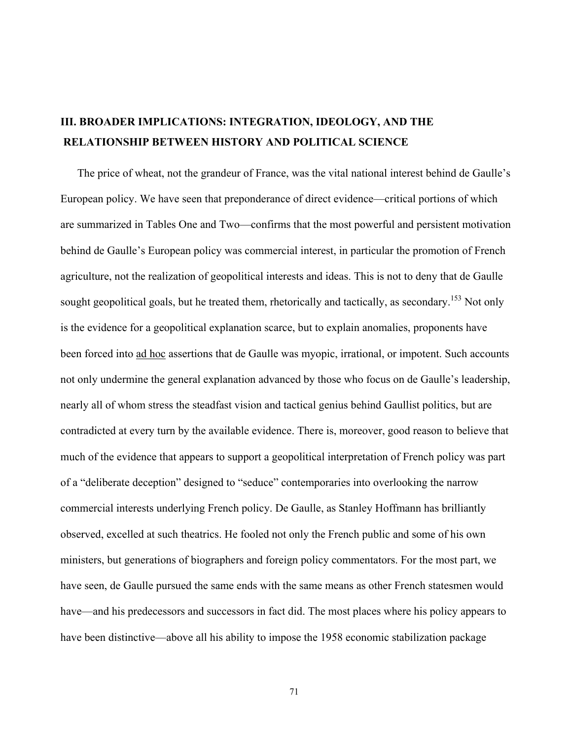# **III. BROADER IMPLICATIONS: INTEGRATION, IDEOLOGY, AND THE RELATIONSHIP BETWEEN HISTORY AND POLITICAL SCIENCE**

The price of wheat, not the grandeur of France, was the vital national interest behind de Gaulle's European policy. We have seen that preponderance of direct evidence—critical portions of which are summarized in Tables One and Two—confirms that the most powerful and persistent motivation behind de Gaulle's European policy was commercial interest, in particular the promotion of French agriculture, not the realization of geopolitical interests and ideas. This is not to deny that de Gaulle sought geopolitical goals, but he treated them, rhetorically and tactically, as secondary.<sup>153</sup> Not only is the evidence for a geopolitical explanation scarce, but to explain anomalies, proponents have been forced into ad hoc assertions that de Gaulle was myopic, irrational, or impotent. Such accounts not only undermine the general explanation advanced by those who focus on de Gaulle's leadership, nearly all of whom stress the steadfast vision and tactical genius behind Gaullist politics, but are contradicted at every turn by the available evidence. There is, moreover, good reason to believe that much of the evidence that appears to support a geopolitical interpretation of French policy was part of a "deliberate deception" designed to "seduce" contemporaries into overlooking the narrow commercial interests underlying French policy. De Gaulle, as Stanley Hoffmann has brilliantly observed, excelled at such theatrics. He fooled not only the French public and some of his own ministers, but generations of biographers and foreign policy commentators. For the most part, we have seen, de Gaulle pursued the same ends with the same means as other French statesmen would have—and his predecessors and successors in fact did. The most places where his policy appears to have been distinctive—above all his ability to impose the 1958 economic stabilization package

71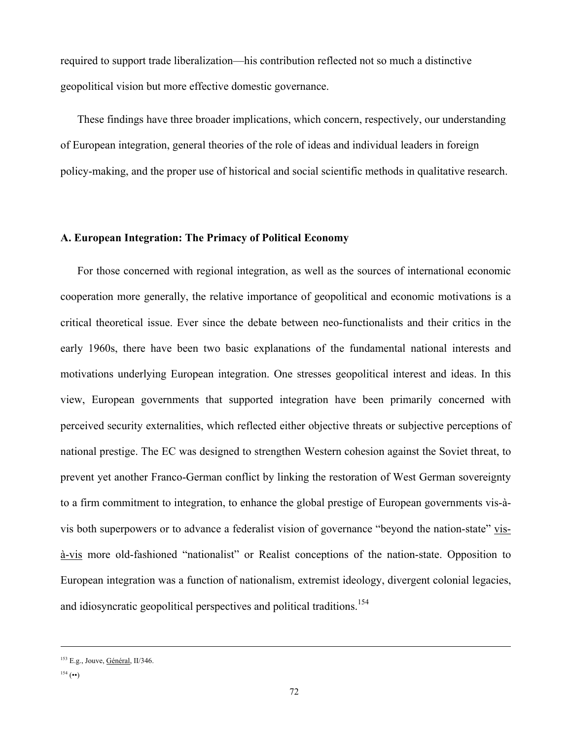required to support trade liberalization—his contribution reflected not so much a distinctive geopolitical vision but more effective domestic governance.

These findings have three broader implications, which concern, respectively, our understanding of European integration, general theories of the role of ideas and individual leaders in foreign policy-making, and the proper use of historical and social scientific methods in qualitative research.

## **A. European Integration: The Primacy of Political Economy**

For those concerned with regional integration, as well as the sources of international economic cooperation more generally, the relative importance of geopolitical and economic motivations is a critical theoretical issue. Ever since the debate between neo-functionalists and their critics in the early 1960s, there have been two basic explanations of the fundamental national interests and motivations underlying European integration. One stresses geopolitical interest and ideas. In this view, European governments that supported integration have been primarily concerned with perceived security externalities, which reflected either objective threats or subjective perceptions of national prestige. The EC was designed to strengthen Western cohesion against the Soviet threat, to prevent yet another Franco-German conflict by linking the restoration of West German sovereignty to a firm commitment to integration, to enhance the global prestige of European governments vis-àvis both superpowers or to advance a federalist vision of governance "beyond the nation-state" visà-vis more old-fashioned "nationalist" or Realist conceptions of the nation-state. Opposition to European integration was a function of nationalism, extremist ideology, divergent colonial legacies, and idiosyncratic geopolitical perspectives and political traditions.<sup>154</sup>

-

<sup>&</sup>lt;sup>153</sup> E.g., Jouve, **Général**, II/346.

 $^{154}$  (••)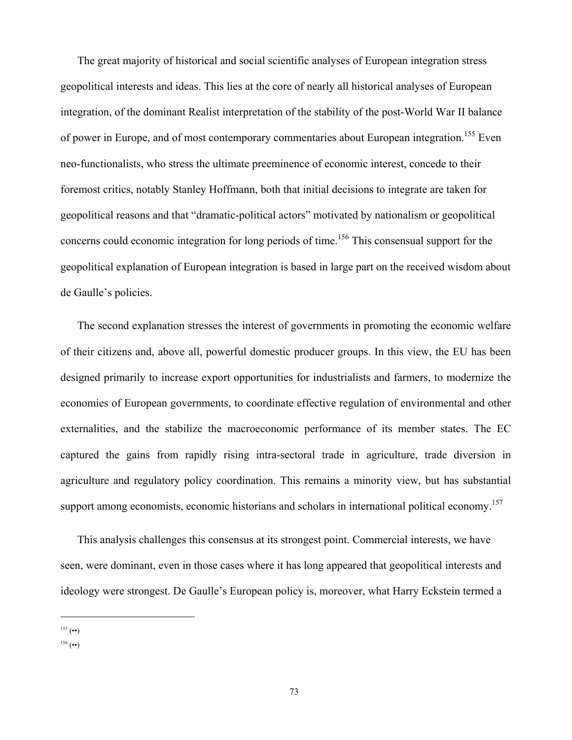The great majority of historical and social scientific analyses of European integration stress geopolitical interests and ideas. This lies at the core of nearly all historical analyses of European integration, of the dominant Realist interpretation of the stability of the post-World War II balance of power in Europe, and of most contemporary commentaries about European integration.<sup>155</sup> Even neo-functionalists, who stress the ultimate preeminence of economic interest, concede to their foremost critics, notably Stanley Hoffmann, both that initial decisions to integrate are taken for geopolitical reasons and that "dramatic-political actors" motivated by nationalism or geopolitical concerns could economic integration for long periods of time.<sup>156</sup> This consensual support for the geopolitical explanation of European integration is based in large part on the received wisdom about de Gaulle's policies.

The second explanation stresses the interest of governments in promoting the economic welfare of their citizens and, above all, powerful domestic producer groups. In this view, the EU has been designed primarily to increase export opportunities for industrialists and farmers, to modernize the economies of European governments, to coordinate effective regulation of environmental and other externalities, and the stabilize the macroeconomic performance of its member states. The EC captured the gains from rapidly rising intra-sectoral trade in agriculture, trade diversion in agriculture and regulatory policy coordination. This remains a minority view, but has substantial support among economists, economic historians and scholars in international political economy.<sup>157</sup>

This analysis challenges this consensus at its strongest point. Commercial interests, we have seen, were dominant, even in those cases where it has long appeared that geopolitical interests and ideology were strongest. De Gaulle's European policy is, moreover, what Harry Eckstein termed a

 $^{155}$  (••)

 $^{156}$  (••)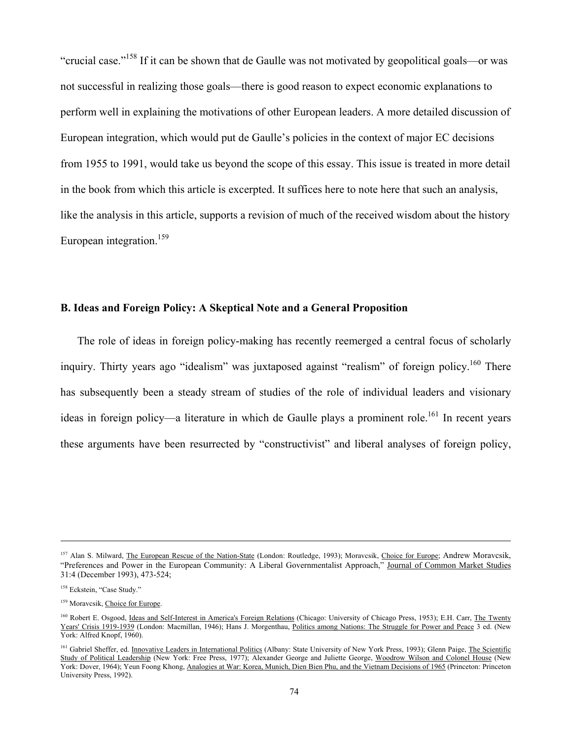"crucial case."158 If it can be shown that de Gaulle was not motivated by geopolitical goals—or was not successful in realizing those goals—there is good reason to expect economic explanations to perform well in explaining the motivations of other European leaders. A more detailed discussion of European integration, which would put de Gaulle's policies in the context of major EC decisions from 1955 to 1991, would take us beyond the scope of this essay. This issue is treated in more detail in the book from which this article is excerpted. It suffices here to note here that such an analysis, like the analysis in this article, supports a revision of much of the received wisdom about the history European integration.<sup>159</sup>

### **B. Ideas and Foreign Policy: A Skeptical Note and a General Proposition**

The role of ideas in foreign policy-making has recently reemerged a central focus of scholarly inquiry. Thirty years ago "idealism" was juxtaposed against "realism" of foreign policy.<sup>160</sup> There has subsequently been a steady stream of studies of the role of individual leaders and visionary ideas in foreign policy—a literature in which de Gaulle plays a prominent role.<sup>161</sup> In recent years these arguments have been resurrected by "constructivist" and liberal analyses of foreign policy,

-

<sup>&</sup>lt;sup>157</sup> Alan S. Milward, The European Rescue of the Nation-State (London: Routledge, 1993); Moravcsik, Choice for Europe; Andrew Moravcsik, "Preferences and Power in the European Community: A Liberal Governmentalist Approach," Journal of Common Market Studies 31:4 (December 1993), 473-524;

<sup>&</sup>lt;sup>158</sup> Eckstein, "Case Study."

<sup>&</sup>lt;sup>159</sup> Moravcsik, Choice for Europe.

<sup>&</sup>lt;sup>160</sup> Robert E. Osgood, Ideas and Self-Interest in America's Foreign Relations (Chicago: University of Chicago Press, 1953); E.H. Carr, The Twenty Years' Crisis 1919-1939 (London: Macmillan, 1946); Hans J. Morgenthau, Politics among Nations: The Struggle for Power and Peace 3 ed. (New York: Alfred Knopf, 1960).

<sup>&</sup>lt;sup>161</sup> Gabriel Sheffer, ed. Innovative Leaders in International Politics (Albany: State University of New York Press, 1993); Glenn Paige, The Scientific Study of Political Leadership (New York: Free Press, 1977); Alexander George and Juliette George, Woodrow Wilson and Colonel House (New York: Dover, 1964); Yeun Foong Khong, Analogies at War: Korea, Munich, Dien Bien Phu, and the Vietnam Decisions of 1965 (Princeton: Princeton University Press, 1992).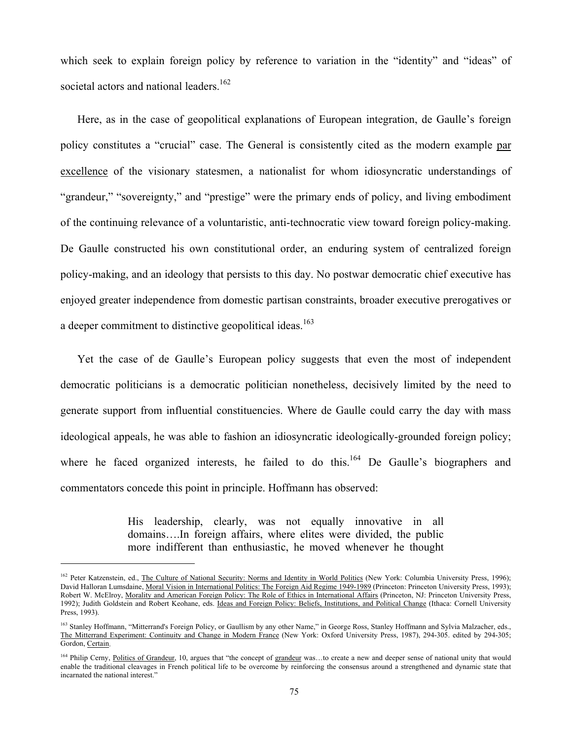which seek to explain foreign policy by reference to variation in the "identity" and "ideas" of societal actors and national leaders.<sup>162</sup>

Here, as in the case of geopolitical explanations of European integration, de Gaulle's foreign policy constitutes a "crucial" case. The General is consistently cited as the modern example par excellence of the visionary statesmen, a nationalist for whom idiosyncratic understandings of "grandeur," "sovereignty," and "prestige" were the primary ends of policy, and living embodiment of the continuing relevance of a voluntaristic, anti-technocratic view toward foreign policy-making. De Gaulle constructed his own constitutional order, an enduring system of centralized foreign policy-making, and an ideology that persists to this day. No postwar democratic chief executive has enjoyed greater independence from domestic partisan constraints, broader executive prerogatives or a deeper commitment to distinctive geopolitical ideas.<sup>163</sup>

Yet the case of de Gaulle's European policy suggests that even the most of independent democratic politicians is a democratic politician nonetheless, decisively limited by the need to generate support from influential constituencies. Where de Gaulle could carry the day with mass ideological appeals, he was able to fashion an idiosyncratic ideologically-grounded foreign policy; where he faced organized interests, he failed to do this.<sup>164</sup> De Gaulle's biographers and commentators concede this point in principle. Hoffmann has observed:

> His leadership, clearly, was not equally innovative in all domains….In foreign affairs, where elites were divided, the public more indifferent than enthusiastic, he moved whenever he thought

<sup>&</sup>lt;sup>162</sup> Peter Katzenstein, ed., The Culture of National Security: Norms and Identity in World Politics (New York: Columbia University Press, 1996); David Halloran Lumsdaine, Moral Vision in International Politics: The Foreign Aid Regime 1949-1989 (Princeton: Princeton University Press, 1993); Robert W. McElroy, Morality and American Foreign Policy: The Role of Ethics in International Affairs (Princeton, NJ: Princeton University Press, 1992); Judith Goldstein and Robert Keohane, eds. Ideas and Foreign Policy: Beliefs, Institutions, and Political Change (Ithaca: Cornell University Press, 1993).

<sup>&</sup>lt;sup>163</sup> Stanley Hoffmann, "Mitterrand's Foreign Policy, or Gaullism by any other Name," in George Ross, Stanley Hoffmann and Sylvia Malzacher, eds., The Mitterrand Experiment: Continuity and Change in Modern France (New York: Oxford University Press, 1987), 294-305. edited by 294-305; Gordon, Certain.

<sup>&</sup>lt;sup>164</sup> Philip Cerny, Politics of Grandeur, 10, argues that "the concept of grandeur was...to create a new and deeper sense of national unity that would enable the traditional cleavages in French political life to be overcome by reinforcing the consensus around a strengthened and dynamic state that incarnated the national interest."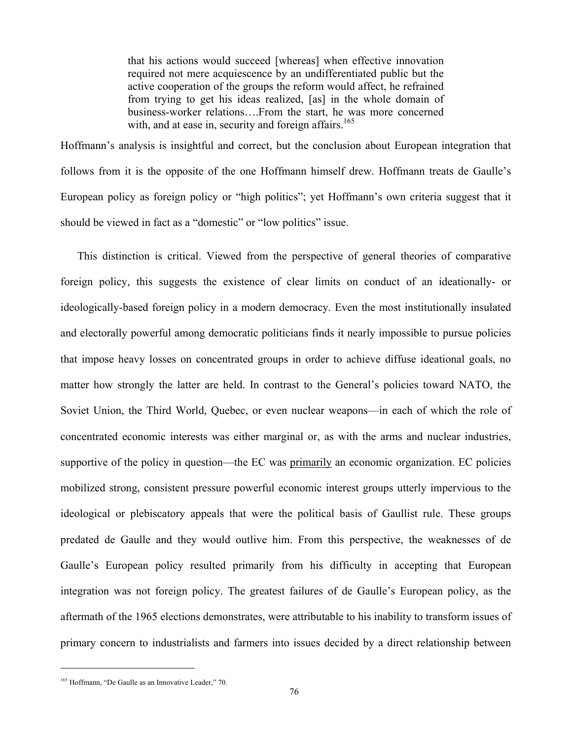that his actions would succeed [whereas] when effective innovation required not mere acquiescence by an undifferentiated public but the active cooperation of the groups the reform would affect, he refrained from trying to get his ideas realized, [as] in the whole domain of business-worker relations….From the start, he was more concerned with, and at ease in, security and foreign affairs.<sup>165</sup>

Hoffmann's analysis is insightful and correct, but the conclusion about European integration that follows from it is the opposite of the one Hoffmann himself drew. Hoffmann treats de Gaulle's European policy as foreign policy or "high politics"; yet Hoffmann's own criteria suggest that it should be viewed in fact as a "domestic" or "low politics" issue.

This distinction is critical. Viewed from the perspective of general theories of comparative foreign policy, this suggests the existence of clear limits on conduct of an ideationally- or ideologically-based foreign policy in a modern democracy. Even the most institutionally insulated and electorally powerful among democratic politicians finds it nearly impossible to pursue policies that impose heavy losses on concentrated groups in order to achieve diffuse ideational goals, no matter how strongly the latter are held. In contrast to the General's policies toward NATO, the Soviet Union, the Third World, Quebec, or even nuclear weapons—in each of which the role of concentrated economic interests was either marginal or, as with the arms and nuclear industries, supportive of the policy in question—the EC was primarily an economic organization. EC policies mobilized strong, consistent pressure powerful economic interest groups utterly impervious to the ideological or plebiscatory appeals that were the political basis of Gaullist rule. These groups predated de Gaulle and they would outlive him. From this perspective, the weaknesses of de Gaulle's European policy resulted primarily from his difficulty in accepting that European integration was not foreign policy. The greatest failures of de Gaulle's European policy, as the aftermath of the 1965 elections demonstrates, were attributable to his inability to transform issues of primary concern to industrialists and farmers into issues decided by a direct relationship between

<sup>&</sup>lt;sup>165</sup> Hoffmann, "De Gaulle as an Innovative Leader," 70.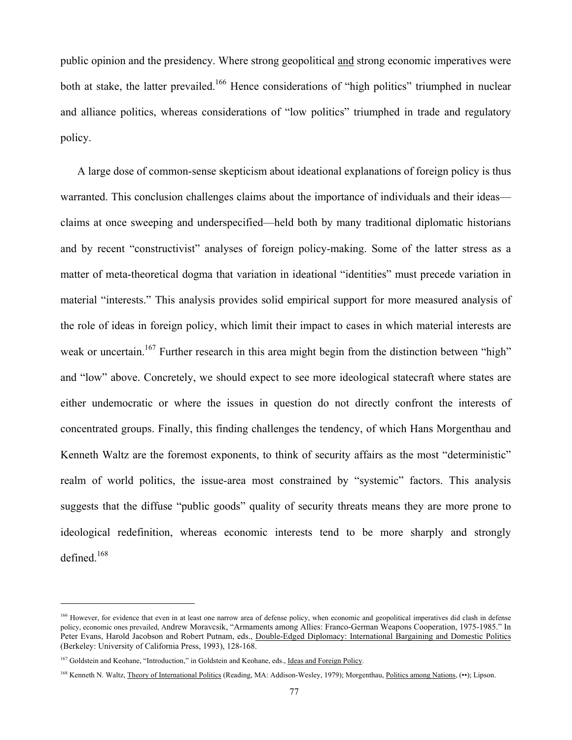public opinion and the presidency. Where strong geopolitical and strong economic imperatives were both at stake, the latter prevailed.<sup>166</sup> Hence considerations of "high politics" triumphed in nuclear and alliance politics, whereas considerations of "low politics" triumphed in trade and regulatory policy.

A large dose of common-sense skepticism about ideational explanations of foreign policy is thus warranted. This conclusion challenges claims about the importance of individuals and their ideas claims at once sweeping and underspecified—held both by many traditional diplomatic historians and by recent "constructivist" analyses of foreign policy-making. Some of the latter stress as a matter of meta-theoretical dogma that variation in ideational "identities" must precede variation in material "interests." This analysis provides solid empirical support for more measured analysis of the role of ideas in foreign policy, which limit their impact to cases in which material interests are weak or uncertain.<sup>167</sup> Further research in this area might begin from the distinction between "high" and "low" above. Concretely, we should expect to see more ideological statecraft where states are either undemocratic or where the issues in question do not directly confront the interests of concentrated groups. Finally, this finding challenges the tendency, of which Hans Morgenthau and Kenneth Waltz are the foremost exponents, to think of security affairs as the most "deterministic" realm of world politics, the issue-area most constrained by "systemic" factors. This analysis suggests that the diffuse "public goods" quality of security threats means they are more prone to ideological redefinition, whereas economic interests tend to be more sharply and strongly defined.<sup>168</sup>

<sup>&</sup>lt;sup>166</sup> However, for evidence that even in at least one narrow area of defense policy, when economic and geopolitical imperatives did clash in defense policy, economic ones prevailed, Andrew Moravcsik, "Armaments among Allies: Franco-German Weapons Cooperation, 1975-1985." In Peter Evans, Harold Jacobson and Robert Putnam, eds., Double-Edged Diplomacy: International Bargaining and Domestic Politics (Berkeley: University of California Press, 1993), 128-168.

<sup>&</sup>lt;sup>167</sup> Goldstein and Keohane, "Introduction," in Goldstein and Keohane, eds., Ideas and Foreign Policy.

<sup>168</sup> Kenneth N. Waltz, Theory of International Politics (Reading, MA: Addison-Wesley, 1979); Morgenthau, Politics among Nations, (••); Lipson.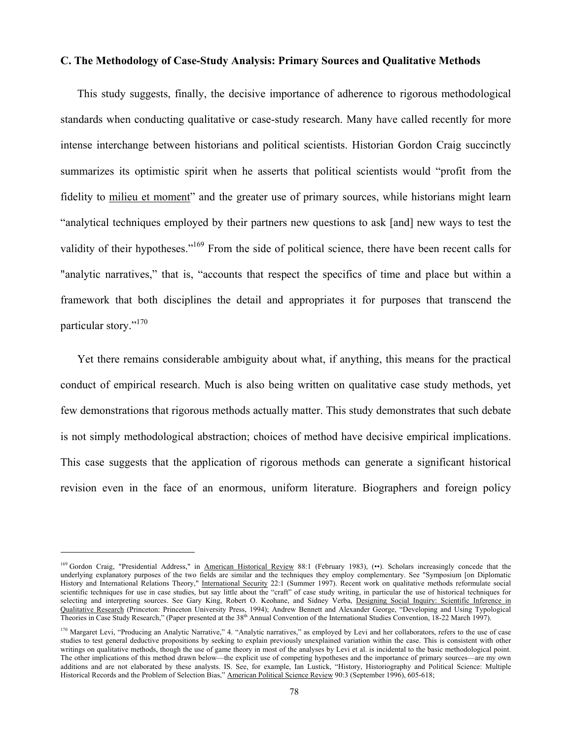#### **C. The Methodology of Case-Study Analysis: Primary Sources and Qualitative Methods**

This study suggests, finally, the decisive importance of adherence to rigorous methodological standards when conducting qualitative or case-study research. Many have called recently for more intense interchange between historians and political scientists. Historian Gordon Craig succinctly summarizes its optimistic spirit when he asserts that political scientists would "profit from the fidelity to milieu et moment" and the greater use of primary sources, while historians might learn "analytical techniques employed by their partners new questions to ask [and] new ways to test the validity of their hypotheses."<sup>169</sup> From the side of political science, there have been recent calls for "analytic narratives," that is, "accounts that respect the specifics of time and place but within a framework that both disciplines the detail and appropriates it for purposes that transcend the particular story."<sup>170</sup>

Yet there remains considerable ambiguity about what, if anything, this means for the practical conduct of empirical research. Much is also being written on qualitative case study methods, yet few demonstrations that rigorous methods actually matter. This study demonstrates that such debate is not simply methodological abstraction; choices of method have decisive empirical implications. This case suggests that the application of rigorous methods can generate a significant historical revision even in the face of an enormous, uniform literature. Biographers and foreign policy

<sup>169</sup> Gordon Craig, "Presidential Address," in American Historical Review 88:1 (February 1983), (••). Scholars increasingly concede that the underlying explanatory purposes of the two fields are similar and the techniques they employ complementary. See "Symposium [on Diplomatic History and International Relations Theory," International Security 22:1 (Summer 1997). Recent work on qualitative methods reformulate social scientific techniques for use in case studies, but say little about the "craft" of case study writing, in particular the use of historical techniques for selecting and interpreting sources. See Gary King, Robert O. Keohane, and Sidney Verba, Designing Social Inquiry: Scientific Inference in Qualitative Research (Princeton: Princeton University Press, 1994); Andrew Bennett and Alexander George, "Developing and Using Typological Theories in Case Study Research," (Paper presented at the 38th Annual Convention of the International Studies Convention, 18-22 March 1997).

<sup>&</sup>lt;sup>170</sup> Margaret Levi, "Producing an Analytic Narrative," 4. "Analytic narratives," as employed by Levi and her collaborators, refers to the use of case studies to test general deductive propositions by seeking to explain previously unexplained variation within the case. This is consistent with other writings on qualitative methods, though the use of game theory in most of the analyses by Levi et al. is incidental to the basic methodological point. The other implications of this method drawn below—the explicit use of competing hypotheses and the importance of primary sources—are my own additions and are not elaborated by these analysts. IS. See, for example, Ian Lustick, "History, Historiography and Political Science: Multiple Historical Records and the Problem of Selection Bias," American Political Science Review 90:3 (September 1996), 605-618;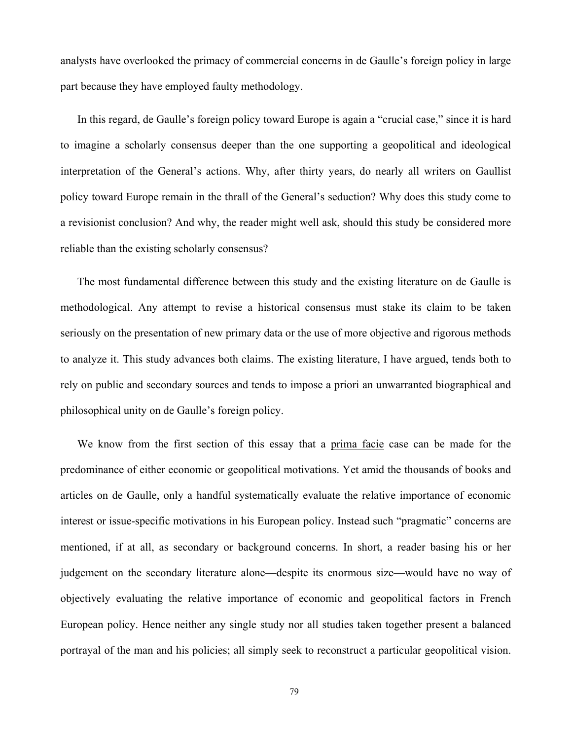analysts have overlooked the primacy of commercial concerns in de Gaulle's foreign policy in large part because they have employed faulty methodology.

In this regard, de Gaulle's foreign policy toward Europe is again a "crucial case," since it is hard to imagine a scholarly consensus deeper than the one supporting a geopolitical and ideological interpretation of the General's actions. Why, after thirty years, do nearly all writers on Gaullist policy toward Europe remain in the thrall of the General's seduction? Why does this study come to a revisionist conclusion? And why, the reader might well ask, should this study be considered more reliable than the existing scholarly consensus?

The most fundamental difference between this study and the existing literature on de Gaulle is methodological. Any attempt to revise a historical consensus must stake its claim to be taken seriously on the presentation of new primary data or the use of more objective and rigorous methods to analyze it. This study advances both claims. The existing literature, I have argued, tends both to rely on public and secondary sources and tends to impose a priori an unwarranted biographical and philosophical unity on de Gaulle's foreign policy.

We know from the first section of this essay that a prima facie case can be made for the predominance of either economic or geopolitical motivations. Yet amid the thousands of books and articles on de Gaulle, only a handful systematically evaluate the relative importance of economic interest or issue-specific motivations in his European policy. Instead such "pragmatic" concerns are mentioned, if at all, as secondary or background concerns. In short, a reader basing his or her judgement on the secondary literature alone—despite its enormous size—would have no way of objectively evaluating the relative importance of economic and geopolitical factors in French European policy. Hence neither any single study nor all studies taken together present a balanced portrayal of the man and his policies; all simply seek to reconstruct a particular geopolitical vision.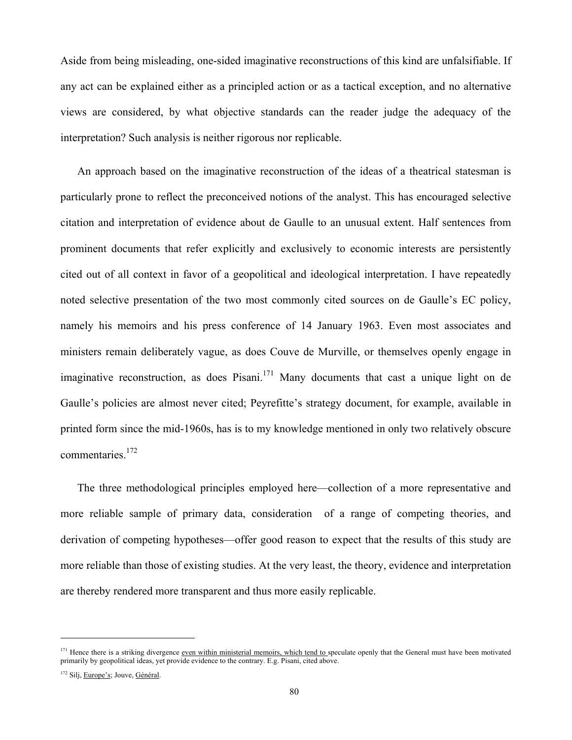Aside from being misleading, one-sided imaginative reconstructions of this kind are unfalsifiable. If any act can be explained either as a principled action or as a tactical exception, and no alternative views are considered, by what objective standards can the reader judge the adequacy of the interpretation? Such analysis is neither rigorous nor replicable.

An approach based on the imaginative reconstruction of the ideas of a theatrical statesman is particularly prone to reflect the preconceived notions of the analyst. This has encouraged selective citation and interpretation of evidence about de Gaulle to an unusual extent. Half sentences from prominent documents that refer explicitly and exclusively to economic interests are persistently cited out of all context in favor of a geopolitical and ideological interpretation. I have repeatedly noted selective presentation of the two most commonly cited sources on de Gaulle's EC policy, namely his memoirs and his press conference of 14 January 1963. Even most associates and ministers remain deliberately vague, as does Couve de Murville, or themselves openly engage in imaginative reconstruction, as does Pisani.<sup>171</sup> Many documents that cast a unique light on de Gaulle's policies are almost never cited; Peyrefitte's strategy document, for example, available in printed form since the mid-1960s, has is to my knowledge mentioned in only two relatively obscure commentaries.172

The three methodological principles employed here—collection of a more representative and more reliable sample of primary data, consideration of a range of competing theories, and derivation of competing hypotheses—offer good reason to expect that the results of this study are more reliable than those of existing studies. At the very least, the theory, evidence and interpretation are thereby rendered more transparent and thus more easily replicable.

<sup>&</sup>lt;sup>171</sup> Hence there is a striking divergence <u>even within ministerial memoirs, which tend to speculate openly that the General must have been motivated</u> primarily by geopolitical ideas, yet provide evidence to the contrary. E.g. Pisani, cited above.

<sup>&</sup>lt;sup>172</sup> Silj, Europe's; Jouve, Général.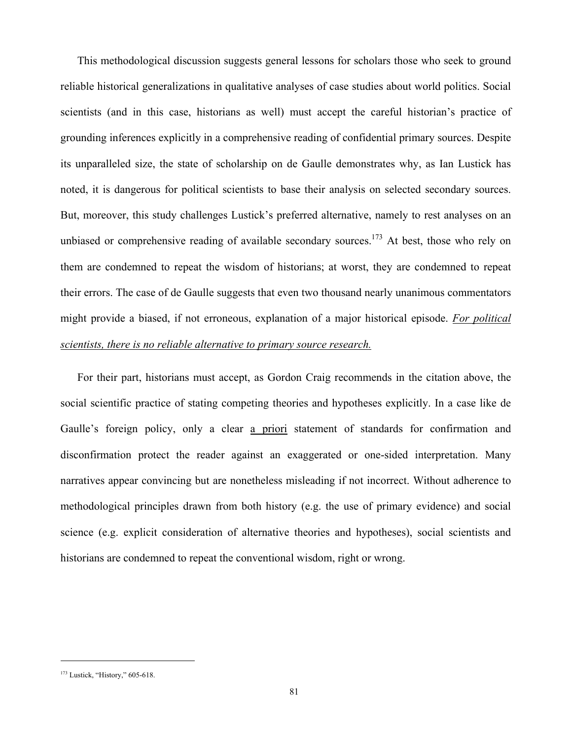This methodological discussion suggests general lessons for scholars those who seek to ground reliable historical generalizations in qualitative analyses of case studies about world politics. Social scientists (and in this case, historians as well) must accept the careful historian's practice of grounding inferences explicitly in a comprehensive reading of confidential primary sources. Despite its unparalleled size, the state of scholarship on de Gaulle demonstrates why, as Ian Lustick has noted, it is dangerous for political scientists to base their analysis on selected secondary sources. But, moreover, this study challenges Lustick's preferred alternative, namely to rest analyses on an unbiased or comprehensive reading of available secondary sources.<sup>173</sup> At best, those who rely on them are condemned to repeat the wisdom of historians; at worst, they are condemned to repeat their errors. The case of de Gaulle suggests that even two thousand nearly unanimous commentators might provide a biased, if not erroneous, explanation of a major historical episode. *For political scientists, there is no reliable alternative to primary source research.*

For their part, historians must accept, as Gordon Craig recommends in the citation above, the social scientific practice of stating competing theories and hypotheses explicitly. In a case like de Gaulle's foreign policy, only a clear a priori statement of standards for confirmation and disconfirmation protect the reader against an exaggerated or one-sided interpretation. Many narratives appear convincing but are nonetheless misleading if not incorrect. Without adherence to methodological principles drawn from both history (e.g. the use of primary evidence) and social science (e.g. explicit consideration of alternative theories and hypotheses), social scientists and historians are condemned to repeat the conventional wisdom, right or wrong.

<sup>&</sup>lt;sup>173</sup> Lustick, "History," 605-618.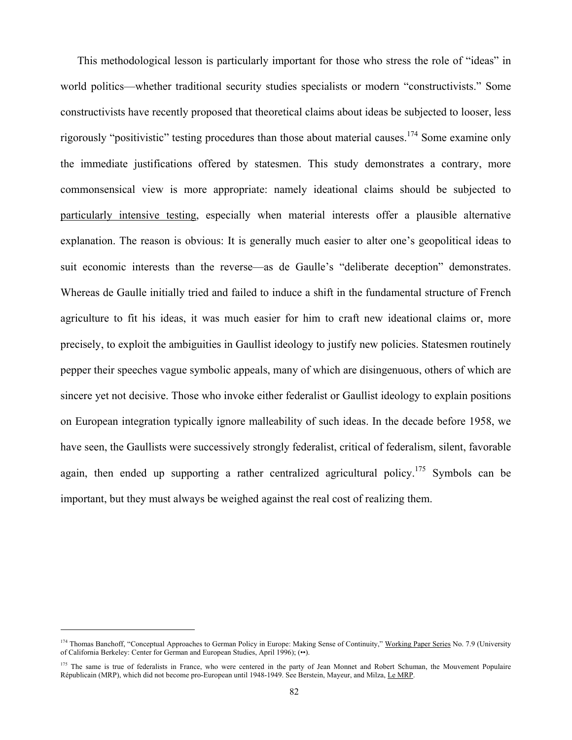This methodological lesson is particularly important for those who stress the role of "ideas" in world politics—whether traditional security studies specialists or modern "constructivists." Some constructivists have recently proposed that theoretical claims about ideas be subjected to looser, less rigorously "positivistic" testing procedures than those about material causes.<sup>174</sup> Some examine only the immediate justifications offered by statesmen. This study demonstrates a contrary, more commonsensical view is more appropriate: namely ideational claims should be subjected to particularly intensive testing, especially when material interests offer a plausible alternative explanation. The reason is obvious: It is generally much easier to alter one's geopolitical ideas to suit economic interests than the reverse—as de Gaulle's "deliberate deception" demonstrates. Whereas de Gaulle initially tried and failed to induce a shift in the fundamental structure of French agriculture to fit his ideas, it was much easier for him to craft new ideational claims or, more precisely, to exploit the ambiguities in Gaullist ideology to justify new policies. Statesmen routinely pepper their speeches vague symbolic appeals, many of which are disingenuous, others of which are sincere yet not decisive. Those who invoke either federalist or Gaullist ideology to explain positions on European integration typically ignore malleability of such ideas. In the decade before 1958, we have seen, the Gaullists were successively strongly federalist, critical of federalism, silent, favorable again, then ended up supporting a rather centralized agricultural policy.<sup>175</sup> Symbols can be important, but they must always be weighed against the real cost of realizing them.

<sup>&</sup>lt;sup>174</sup> Thomas Banchoff, "Conceptual Approaches to German Policy in Europe: Making Sense of Continuity," Working Paper Series No. 7.9 (University of California Berkeley: Center for German and European Studies, April 1996); (••).

<sup>&</sup>lt;sup>175</sup> The same is true of federalists in France, who were centered in the party of Jean Monnet and Robert Schuman, the Mouvement Populaire Républicain (MRP), which did not become pro-European until 1948-1949. See Berstein, Mayeur, and Milza, Le MRP.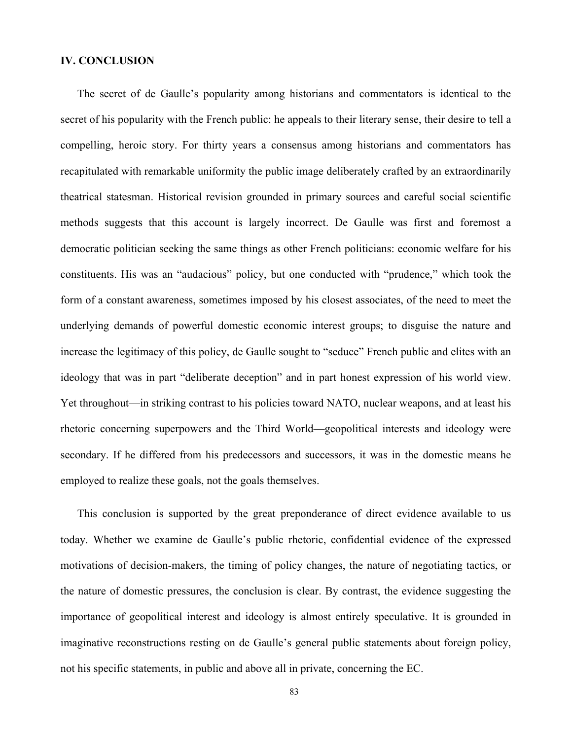### **IV. CONCLUSION**

The secret of de Gaulle's popularity among historians and commentators is identical to the secret of his popularity with the French public: he appeals to their literary sense, their desire to tell a compelling, heroic story. For thirty years a consensus among historians and commentators has recapitulated with remarkable uniformity the public image deliberately crafted by an extraordinarily theatrical statesman. Historical revision grounded in primary sources and careful social scientific methods suggests that this account is largely incorrect. De Gaulle was first and foremost a democratic politician seeking the same things as other French politicians: economic welfare for his constituents. His was an "audacious" policy, but one conducted with "prudence," which took the form of a constant awareness, sometimes imposed by his closest associates, of the need to meet the underlying demands of powerful domestic economic interest groups; to disguise the nature and increase the legitimacy of this policy, de Gaulle sought to "seduce" French public and elites with an ideology that was in part "deliberate deception" and in part honest expression of his world view. Yet throughout—in striking contrast to his policies toward NATO, nuclear weapons, and at least his rhetoric concerning superpowers and the Third World—geopolitical interests and ideology were secondary. If he differed from his predecessors and successors, it was in the domestic means he employed to realize these goals, not the goals themselves.

This conclusion is supported by the great preponderance of direct evidence available to us today. Whether we examine de Gaulle's public rhetoric, confidential evidence of the expressed motivations of decision-makers, the timing of policy changes, the nature of negotiating tactics, or the nature of domestic pressures, the conclusion is clear. By contrast, the evidence suggesting the importance of geopolitical interest and ideology is almost entirely speculative. It is grounded in imaginative reconstructions resting on de Gaulle's general public statements about foreign policy, not his specific statements, in public and above all in private, concerning the EC.